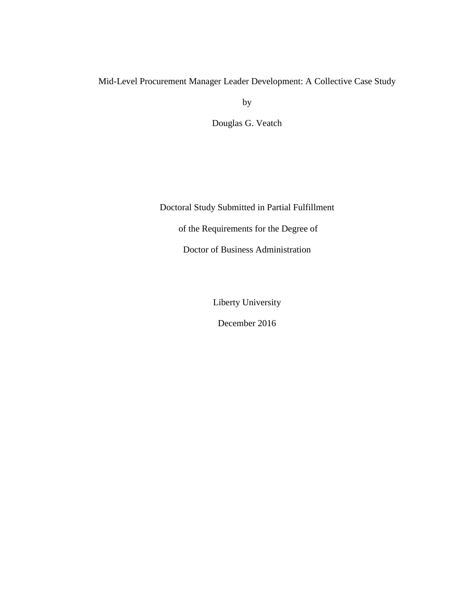# Mid-Level Procurement Manager Leader Development: A Collective Case Study

by

Douglas G. Veatch

Doctoral Study Submitted in Partial Fulfillment of the Requirements for the Degree of Doctor of Business Administration

Liberty University

December 2016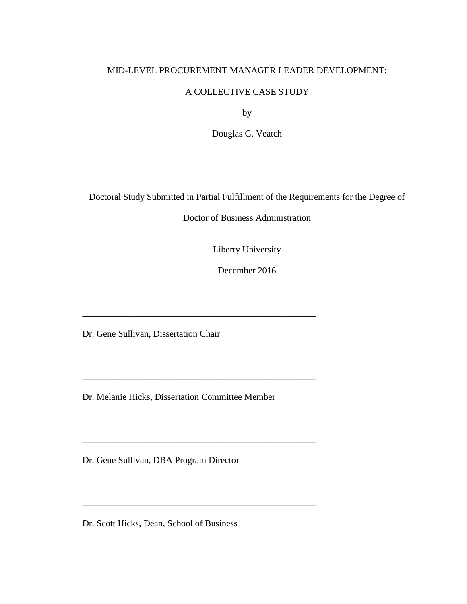# MID-LEVEL PROCUREMENT MANAGER LEADER DEVELOPMENT:

# A COLLECTIVE CASE STUDY

by

Douglas G. Veatch

Doctoral Study Submitted in Partial Fulfillment of the Requirements for the Degree of

Doctor of Business Administration

Liberty University

December 2016

Dr. Gene Sullivan, Dissertation Chair

Dr. Melanie Hicks, Dissertation Committee Member

\_\_\_\_\_\_\_\_\_\_\_\_\_\_\_\_\_\_\_\_\_\_\_\_\_\_\_\_\_\_\_\_\_\_\_\_\_\_\_\_\_\_\_\_\_\_\_\_\_\_\_

\_\_\_\_\_\_\_\_\_\_\_\_\_\_\_\_\_\_\_\_\_\_\_\_\_\_\_\_\_\_\_\_\_\_\_\_\_\_\_\_\_\_\_\_\_\_\_\_\_\_\_

\_\_\_\_\_\_\_\_\_\_\_\_\_\_\_\_\_\_\_\_\_\_\_\_\_\_\_\_\_\_\_\_\_\_\_\_\_\_\_\_\_\_\_\_\_\_\_\_\_\_\_

Dr. Gene Sullivan, DBA Program Director

Dr. Scott Hicks, Dean, School of Business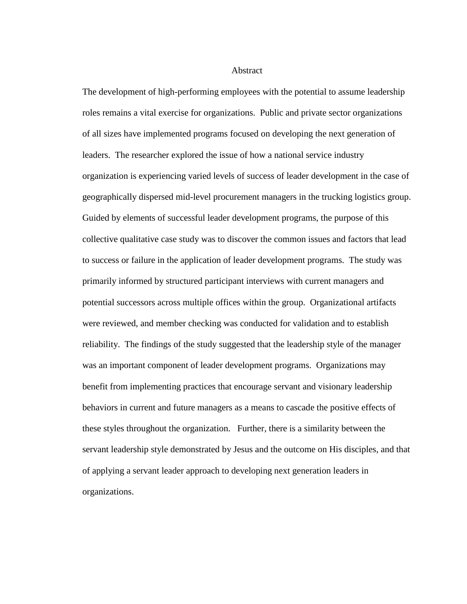## **Abstract**

The development of high-performing employees with the potential to assume leadership roles remains a vital exercise for organizations. Public and private sector organizations of all sizes have implemented programs focused on developing the next generation of leaders. The researcher explored the issue of how a national service industry organization is experiencing varied levels of success of leader development in the case of geographically dispersed mid-level procurement managers in the trucking logistics group. Guided by elements of successful leader development programs, the purpose of this collective qualitative case study was to discover the common issues and factors that lead to success or failure in the application of leader development programs. The study was primarily informed by structured participant interviews with current managers and potential successors across multiple offices within the group. Organizational artifacts were reviewed, and member checking was conducted for validation and to establish reliability. The findings of the study suggested that the leadership style of the manager was an important component of leader development programs. Organizations may benefit from implementing practices that encourage servant and visionary leadership behaviors in current and future managers as a means to cascade the positive effects of these styles throughout the organization. Further, there is a similarity between the servant leadership style demonstrated by Jesus and the outcome on His disciples, and that of applying a servant leader approach to developing next generation leaders in organizations.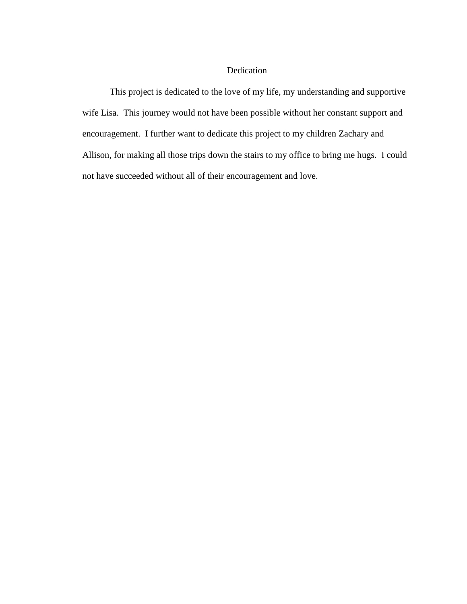# Dedication

This project is dedicated to the love of my life, my understanding and supportive wife Lisa. This journey would not have been possible without her constant support and encouragement. I further want to dedicate this project to my children Zachary and Allison, for making all those trips down the stairs to my office to bring me hugs. I could not have succeeded without all of their encouragement and love.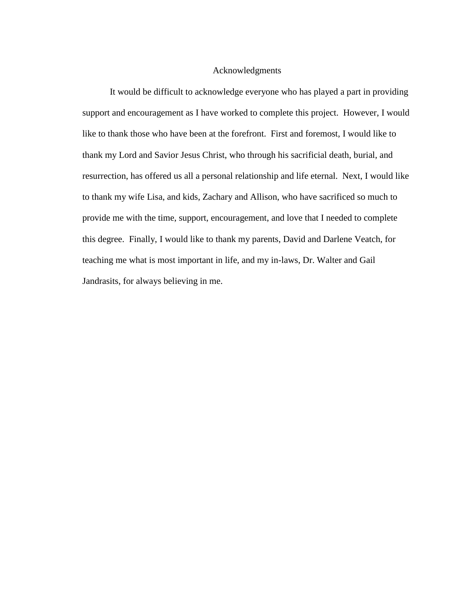## Acknowledgments

It would be difficult to acknowledge everyone who has played a part in providing support and encouragement as I have worked to complete this project. However, I would like to thank those who have been at the forefront. First and foremost, I would like to thank my Lord and Savior Jesus Christ, who through his sacrificial death, burial, and resurrection, has offered us all a personal relationship and life eternal. Next, I would like to thank my wife Lisa, and kids, Zachary and Allison, who have sacrificed so much to provide me with the time, support, encouragement, and love that I needed to complete this degree. Finally, I would like to thank my parents, David and Darlene Veatch, for teaching me what is most important in life, and my in-laws, Dr. Walter and Gail Jandrasits, for always believing in me.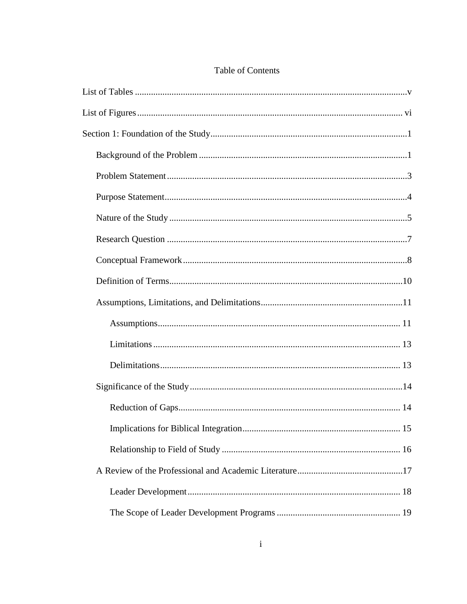# Table of Contents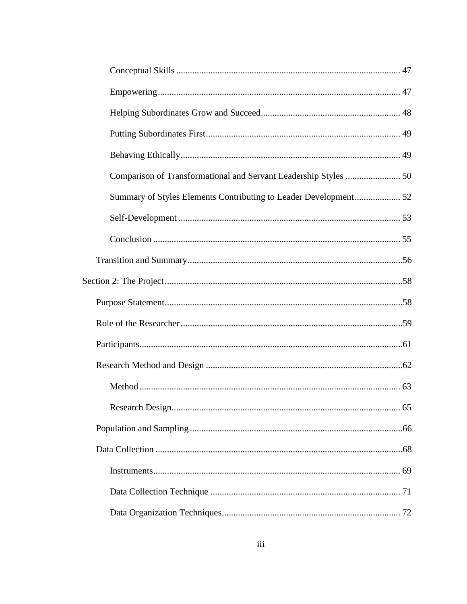| Summary of Styles Elements Contributing to Leader Development 52 |  |
|------------------------------------------------------------------|--|
|                                                                  |  |
|                                                                  |  |
|                                                                  |  |
|                                                                  |  |
|                                                                  |  |
|                                                                  |  |
|                                                                  |  |
|                                                                  |  |
|                                                                  |  |
|                                                                  |  |
|                                                                  |  |
|                                                                  |  |
|                                                                  |  |
|                                                                  |  |
|                                                                  |  |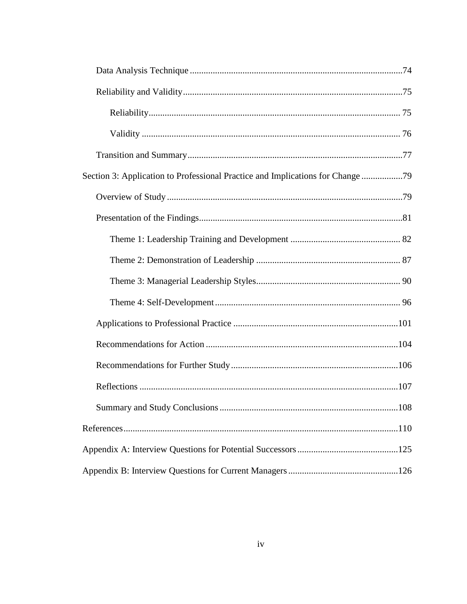| Section 3: Application to Professional Practice and Implications for Change 79 |  |
|--------------------------------------------------------------------------------|--|
|                                                                                |  |
|                                                                                |  |
|                                                                                |  |
|                                                                                |  |
|                                                                                |  |
|                                                                                |  |
|                                                                                |  |
|                                                                                |  |
|                                                                                |  |
|                                                                                |  |
|                                                                                |  |
|                                                                                |  |
|                                                                                |  |
|                                                                                |  |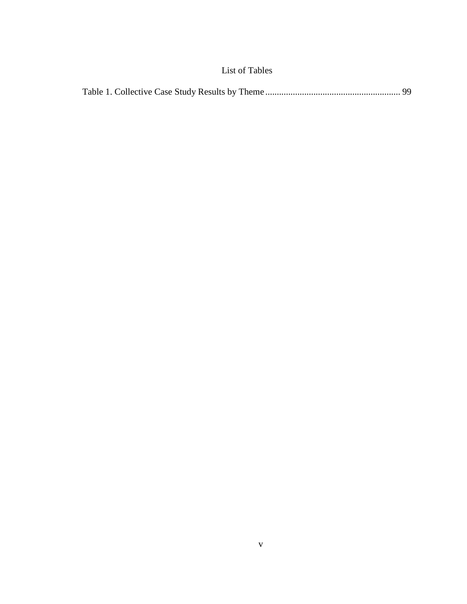# List of Tables

<span id="page-9-0"></span>

|--|--|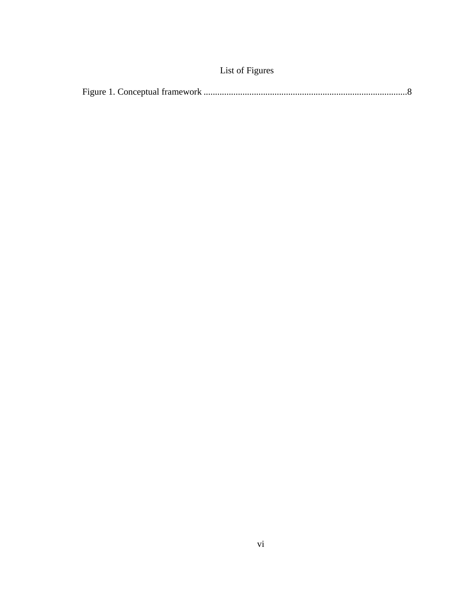|  |  | List of Figures |  |
|--|--|-----------------|--|
|--|--|-----------------|--|

<span id="page-10-0"></span>

|--|--|--|--|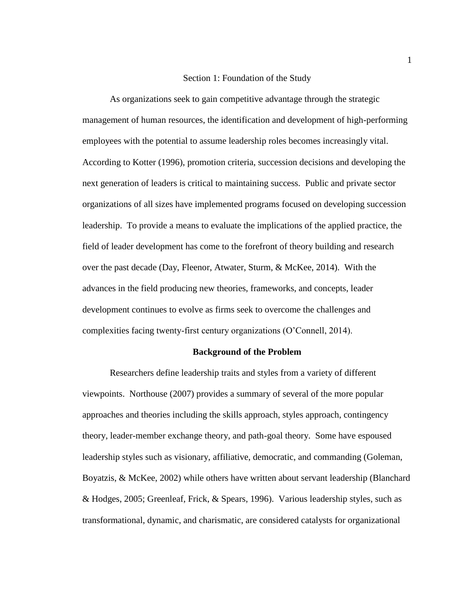#### Section 1: Foundation of the Study

<span id="page-11-0"></span>As organizations seek to gain competitive advantage through the strategic management of human resources, the identification and development of high-performing employees with the potential to assume leadership roles becomes increasingly vital. According to Kotter (1996), promotion criteria, succession decisions and developing the next generation of leaders is critical to maintaining success. Public and private sector organizations of all sizes have implemented programs focused on developing succession leadership. To provide a means to evaluate the implications of the applied practice, the field of leader development has come to the forefront of theory building and research over the past decade (Day, Fleenor, Atwater, Sturm, & McKee, 2014). With the advances in the field producing new theories, frameworks, and concepts, leader development continues to evolve as firms seek to overcome the challenges and complexities facing twenty-first century organizations (O'Connell, 2014).

#### **Background of the Problem**

<span id="page-11-1"></span>Researchers define leadership traits and styles from a variety of different viewpoints. Northouse (2007) provides a summary of several of the more popular approaches and theories including the skills approach, styles approach, contingency theory, leader-member exchange theory, and path-goal theory. Some have espoused leadership styles such as visionary, affiliative, democratic, and commanding (Goleman, Boyatzis, & McKee, 2002) while others have written about servant leadership (Blanchard & Hodges, 2005; Greenleaf, Frick, & Spears, 1996). Various leadership styles, such as transformational, dynamic, and charismatic, are considered catalysts for organizational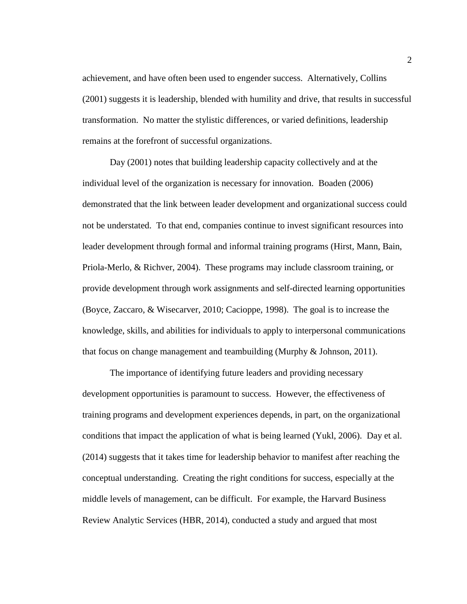achievement, and have often been used to engender success. Alternatively, Collins (2001) suggests it is leadership, blended with humility and drive, that results in successful transformation. No matter the stylistic differences, or varied definitions, leadership remains at the forefront of successful organizations.

Day (2001) notes that building leadership capacity collectively and at the individual level of the organization is necessary for innovation. Boaden (2006) demonstrated that the link between leader development and organizational success could not be understated. To that end, companies continue to invest significant resources into leader development through formal and informal training programs (Hirst, Mann, Bain, Priola-Merlo, & Richver, 2004). These programs may include classroom training, or provide development through work assignments and self-directed learning opportunities (Boyce, Zaccaro, & Wisecarver, 2010; Cacioppe, 1998). The goal is to increase the knowledge, skills, and abilities for individuals to apply to interpersonal communications that focus on change management and teambuilding (Murphy & Johnson, 2011).

The importance of identifying future leaders and providing necessary development opportunities is paramount to success. However, the effectiveness of training programs and development experiences depends, in part, on the organizational conditions that impact the application of what is being learned (Yukl, 2006). Day et al. (2014) suggests that it takes time for leadership behavior to manifest after reaching the conceptual understanding. Creating the right conditions for success, especially at the middle levels of management, can be difficult. For example, the Harvard Business Review Analytic Services (HBR, 2014), conducted a study and argued that most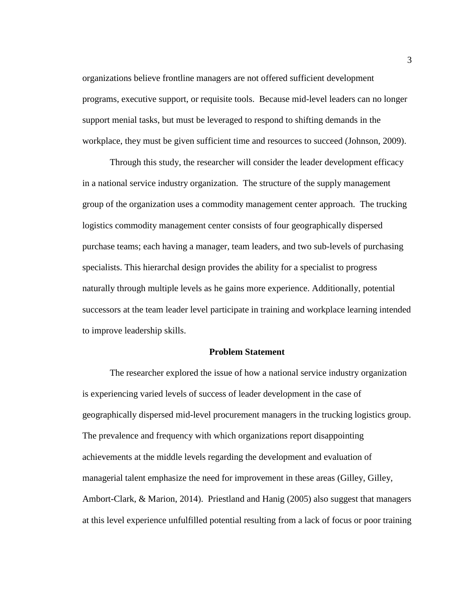organizations believe frontline managers are not offered sufficient development programs, executive support, or requisite tools. Because mid-level leaders can no longer support menial tasks, but must be leveraged to respond to shifting demands in the workplace, they must be given sufficient time and resources to succeed (Johnson, 2009).

Through this study, the researcher will consider the leader development efficacy in a national service industry organization. The structure of the supply management group of the organization uses a commodity management center approach. The trucking logistics commodity management center consists of four geographically dispersed purchase teams; each having a manager, team leaders, and two sub-levels of purchasing specialists. This hierarchal design provides the ability for a specialist to progress naturally through multiple levels as he gains more experience. Additionally, potential successors at the team leader level participate in training and workplace learning intended to improve leadership skills.

#### **Problem Statement**

<span id="page-13-0"></span>The researcher explored the issue of how a national service industry organization is experiencing varied levels of success of leader development in the case of geographically dispersed mid-level procurement managers in the trucking logistics group. The prevalence and frequency with which organizations report disappointing achievements at the middle levels regarding the development and evaluation of managerial talent emphasize the need for improvement in these areas (Gilley, Gilley, Ambort-Clark, & Marion, 2014). Priestland and Hanig (2005) also suggest that managers at this level experience unfulfilled potential resulting from a lack of focus or poor training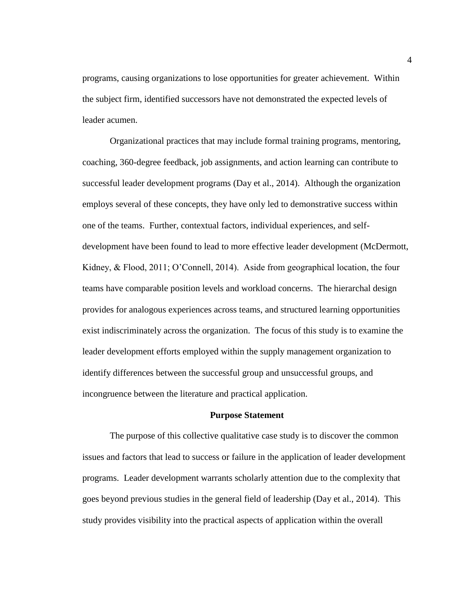programs, causing organizations to lose opportunities for greater achievement. Within the subject firm, identified successors have not demonstrated the expected levels of leader acumen.

Organizational practices that may include formal training programs, mentoring, coaching, 360-degree feedback, job assignments, and action learning can contribute to successful leader development programs (Day et al., 2014). Although the organization employs several of these concepts, they have only led to demonstrative success within one of the teams. Further, contextual factors, individual experiences, and selfdevelopment have been found to lead to more effective leader development (McDermott, Kidney, & Flood, 2011; O'Connell, 2014). Aside from geographical location, the four teams have comparable position levels and workload concerns. The hierarchal design provides for analogous experiences across teams, and structured learning opportunities exist indiscriminately across the organization. The focus of this study is to examine the leader development efforts employed within the supply management organization to identify differences between the successful group and unsuccessful groups, and incongruence between the literature and practical application.

### **Purpose Statement**

<span id="page-14-0"></span>The purpose of this collective qualitative case study is to discover the common issues and factors that lead to success or failure in the application of leader development programs. Leader development warrants scholarly attention due to the complexity that goes beyond previous studies in the general field of leadership (Day et al., 2014). This study provides visibility into the practical aspects of application within the overall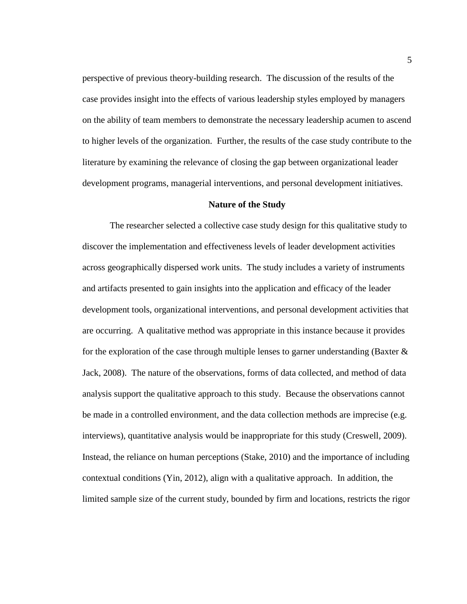perspective of previous theory-building research. The discussion of the results of the case provides insight into the effects of various leadership styles employed by managers on the ability of team members to demonstrate the necessary leadership acumen to ascend to higher levels of the organization. Further, the results of the case study contribute to the literature by examining the relevance of closing the gap between organizational leader development programs, managerial interventions, and personal development initiatives.

#### **Nature of the Study**

<span id="page-15-0"></span>The researcher selected a collective case study design for this qualitative study to discover the implementation and effectiveness levels of leader development activities across geographically dispersed work units. The study includes a variety of instruments and artifacts presented to gain insights into the application and efficacy of the leader development tools, organizational interventions, and personal development activities that are occurring. A qualitative method was appropriate in this instance because it provides for the exploration of the case through multiple lenses to garner understanding (Baxter  $\&$ Jack, 2008). The nature of the observations, forms of data collected, and method of data analysis support the qualitative approach to this study. Because the observations cannot be made in a controlled environment, and the data collection methods are imprecise (e.g. interviews), quantitative analysis would be inappropriate for this study (Creswell, 2009). Instead, the reliance on human perceptions (Stake, 2010) and the importance of including contextual conditions (Yin, 2012), align with a qualitative approach. In addition, the limited sample size of the current study, bounded by firm and locations, restricts the rigor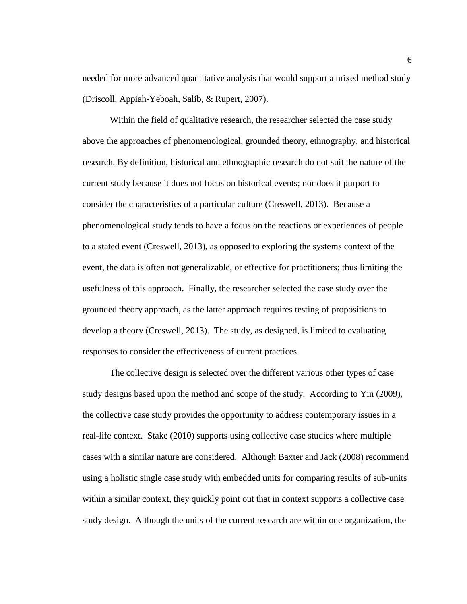needed for more advanced quantitative analysis that would support a mixed method study (Driscoll, Appiah-Yeboah, Salib, & Rupert, 2007).

Within the field of qualitative research, the researcher selected the case study above the approaches of phenomenological, grounded theory, ethnography, and historical research. By definition, historical and ethnographic research do not suit the nature of the current study because it does not focus on historical events; nor does it purport to consider the characteristics of a particular culture (Creswell, 2013). Because a phenomenological study tends to have a focus on the reactions or experiences of people to a stated event (Creswell, 2013), as opposed to exploring the systems context of the event, the data is often not generalizable, or effective for practitioners; thus limiting the usefulness of this approach. Finally, the researcher selected the case study over the grounded theory approach, as the latter approach requires testing of propositions to develop a theory (Creswell, 2013). The study, as designed, is limited to evaluating responses to consider the effectiveness of current practices.

The collective design is selected over the different various other types of case study designs based upon the method and scope of the study. According to Yin (2009), the collective case study provides the opportunity to address contemporary issues in a real-life context. Stake (2010) supports using collective case studies where multiple cases with a similar nature are considered. Although Baxter and Jack (2008) recommend using a holistic single case study with embedded units for comparing results of sub-units within a similar context, they quickly point out that in context supports a collective case study design. Although the units of the current research are within one organization, the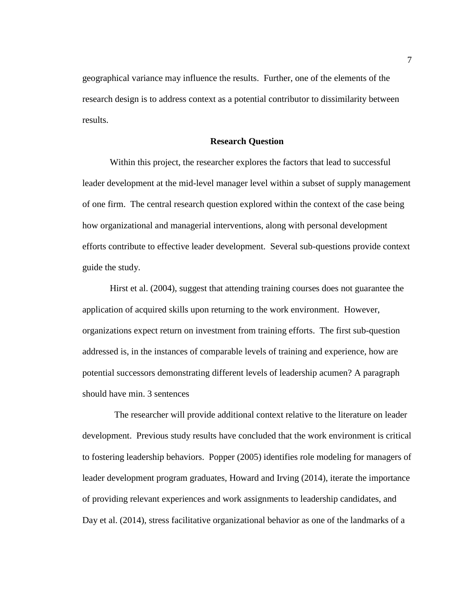geographical variance may influence the results. Further, one of the elements of the research design is to address context as a potential contributor to dissimilarity between results.

#### **Research Question**

<span id="page-17-0"></span>Within this project, the researcher explores the factors that lead to successful leader development at the mid-level manager level within a subset of supply management of one firm. The central research question explored within the context of the case being how organizational and managerial interventions, along with personal development efforts contribute to effective leader development. Several sub-questions provide context guide the study.

Hirst et al. (2004), suggest that attending training courses does not guarantee the application of acquired skills upon returning to the work environment. However, organizations expect return on investment from training efforts. The first sub-question addressed is, in the instances of comparable levels of training and experience, how are potential successors demonstrating different levels of leadership acumen? A paragraph should have min. 3 sentences

 The researcher will provide additional context relative to the literature on leader development. Previous study results have concluded that the work environment is critical to fostering leadership behaviors. Popper (2005) identifies role modeling for managers of leader development program graduates, Howard and Irving (2014), iterate the importance of providing relevant experiences and work assignments to leadership candidates, and Day et al. (2014), stress facilitative organizational behavior as one of the landmarks of a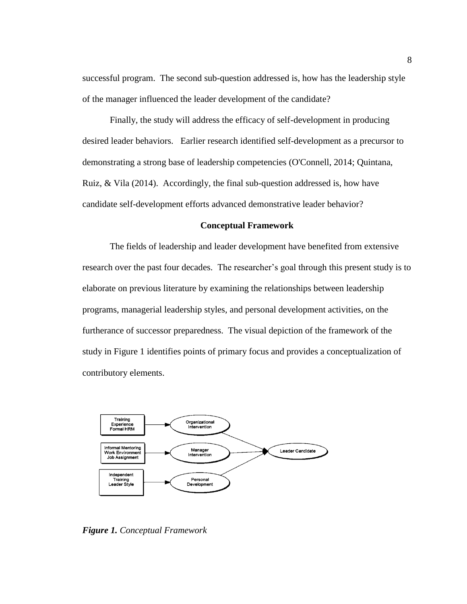successful program. The second sub-question addressed is, how has the leadership style of the manager influenced the leader development of the candidate?

Finally, the study will address the efficacy of self-development in producing desired leader behaviors. Earlier research identified self-development as a precursor to demonstrating a strong base of leadership competencies (O'Connell, 2014; Quintana, Ruiz, & Vila (2014). Accordingly, the final sub-question addressed is, how have candidate self-development efforts advanced demonstrative leader behavior?

## **Conceptual Framework**

<span id="page-18-0"></span>The fields of leadership and leader development have benefited from extensive research over the past four decades. The researcher's goal through this present study is to elaborate on previous literature by examining the relationships between leadership programs, managerial leadership styles, and personal development activities, on the furtherance of successor preparedness. The visual depiction of the framework of the study in Figure 1 identifies points of primary focus and provides a conceptualization of contributory elements.



*Figure 1. Conceptual Framework*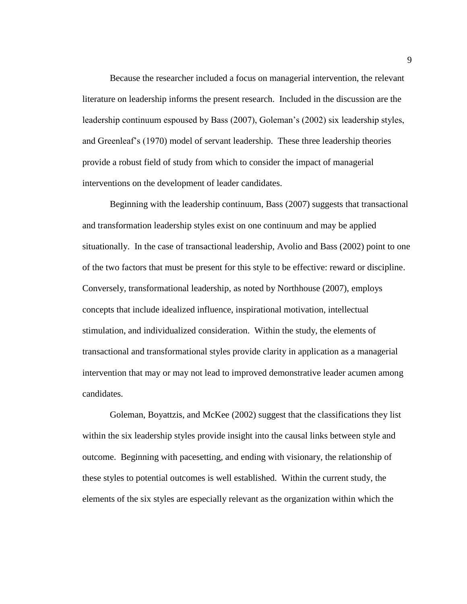Because the researcher included a focus on managerial intervention, the relevant literature on leadership informs the present research. Included in the discussion are the leadership continuum espoused by Bass (2007), Goleman's (2002) six leadership styles, and Greenleaf's (1970) model of servant leadership. These three leadership theories provide a robust field of study from which to consider the impact of managerial interventions on the development of leader candidates.

Beginning with the leadership continuum, Bass (2007) suggests that transactional and transformation leadership styles exist on one continuum and may be applied situationally. In the case of transactional leadership, Avolio and Bass (2002) point to one of the two factors that must be present for this style to be effective: reward or discipline. Conversely, transformational leadership, as noted by Northhouse (2007), employs concepts that include idealized influence, inspirational motivation, intellectual stimulation, and individualized consideration. Within the study, the elements of transactional and transformational styles provide clarity in application as a managerial intervention that may or may not lead to improved demonstrative leader acumen among candidates.

Goleman, Boyattzis, and McKee (2002) suggest that the classifications they list within the six leadership styles provide insight into the causal links between style and outcome. Beginning with pacesetting, and ending with visionary, the relationship of these styles to potential outcomes is well established. Within the current study, the elements of the six styles are especially relevant as the organization within which the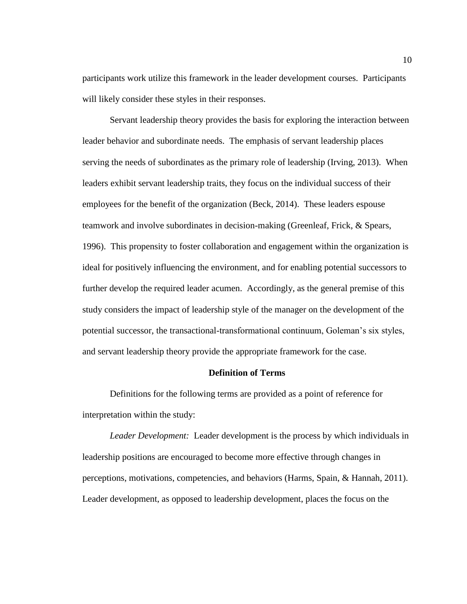participants work utilize this framework in the leader development courses. Participants will likely consider these styles in their responses.

Servant leadership theory provides the basis for exploring the interaction between leader behavior and subordinate needs. The emphasis of servant leadership places serving the needs of subordinates as the primary role of leadership (Irving, 2013). When leaders exhibit servant leadership traits, they focus on the individual success of their employees for the benefit of the organization (Beck, 2014). These leaders espouse teamwork and involve subordinates in decision-making (Greenleaf, Frick, & Spears, 1996). This propensity to foster collaboration and engagement within the organization is ideal for positively influencing the environment, and for enabling potential successors to further develop the required leader acumen. Accordingly, as the general premise of this study considers the impact of leadership style of the manager on the development of the potential successor, the transactional-transformational continuum, Goleman's six styles, and servant leadership theory provide the appropriate framework for the case.

## **Definition of Terms**

<span id="page-20-0"></span>Definitions for the following terms are provided as a point of reference for interpretation within the study:

*Leader Development:* Leader development is the process by which individuals in leadership positions are encouraged to become more effective through changes in perceptions, motivations, competencies, and behaviors (Harms, Spain, & Hannah, 2011). Leader development, as opposed to leadership development, places the focus on the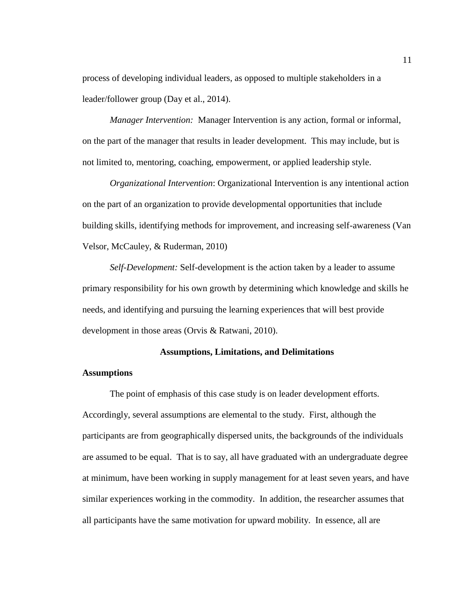process of developing individual leaders, as opposed to multiple stakeholders in a leader/follower group (Day et al., 2014).

*Manager Intervention:* Manager Intervention is any action, formal or informal, on the part of the manager that results in leader development. This may include, but is not limited to, mentoring, coaching, empowerment, or applied leadership style.

*Organizational Intervention*: Organizational Intervention is any intentional action on the part of an organization to provide developmental opportunities that include building skills, identifying methods for improvement, and increasing self-awareness (Van Velsor, McCauley, & Ruderman, 2010)

*Self-Development:* Self-development is the action taken by a leader to assume primary responsibility for his own growth by determining which knowledge and skills he needs, and identifying and pursuing the learning experiences that will best provide development in those areas (Orvis & Ratwani, 2010).

## **Assumptions, Limitations, and Delimitations**

## <span id="page-21-1"></span><span id="page-21-0"></span>**Assumptions**

The point of emphasis of this case study is on leader development efforts. Accordingly, several assumptions are elemental to the study. First, although the participants are from geographically dispersed units, the backgrounds of the individuals are assumed to be equal. That is to say, all have graduated with an undergraduate degree at minimum, have been working in supply management for at least seven years, and have similar experiences working in the commodity. In addition, the researcher assumes that all participants have the same motivation for upward mobility. In essence, all are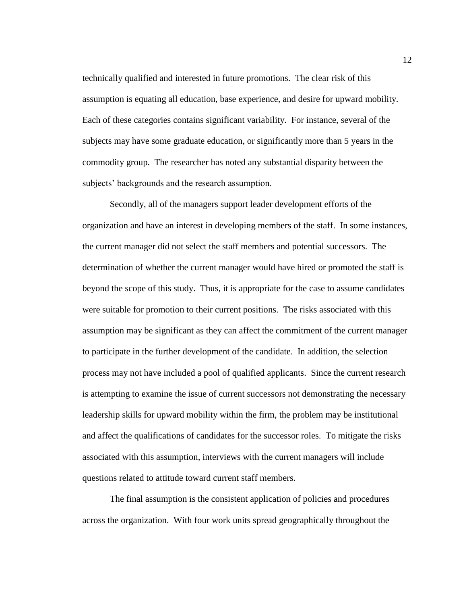technically qualified and interested in future promotions. The clear risk of this assumption is equating all education, base experience, and desire for upward mobility. Each of these categories contains significant variability. For instance, several of the subjects may have some graduate education, or significantly more than 5 years in the commodity group. The researcher has noted any substantial disparity between the subjects' backgrounds and the research assumption.

Secondly, all of the managers support leader development efforts of the organization and have an interest in developing members of the staff. In some instances, the current manager did not select the staff members and potential successors. The determination of whether the current manager would have hired or promoted the staff is beyond the scope of this study. Thus, it is appropriate for the case to assume candidates were suitable for promotion to their current positions. The risks associated with this assumption may be significant as they can affect the commitment of the current manager to participate in the further development of the candidate. In addition, the selection process may not have included a pool of qualified applicants. Since the current research is attempting to examine the issue of current successors not demonstrating the necessary leadership skills for upward mobility within the firm, the problem may be institutional and affect the qualifications of candidates for the successor roles. To mitigate the risks associated with this assumption, interviews with the current managers will include questions related to attitude toward current staff members.

The final assumption is the consistent application of policies and procedures across the organization. With four work units spread geographically throughout the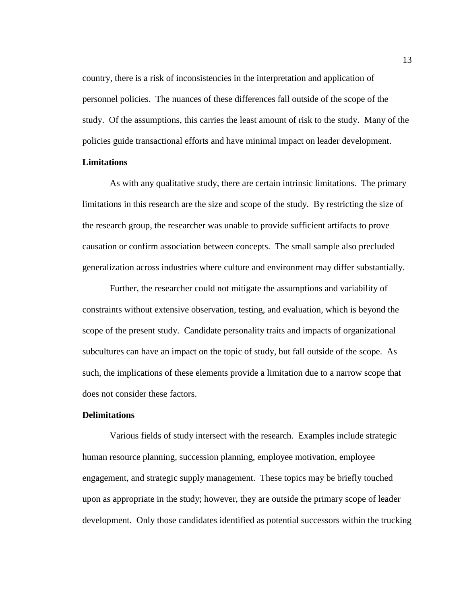country, there is a risk of inconsistencies in the interpretation and application of personnel policies. The nuances of these differences fall outside of the scope of the study. Of the assumptions, this carries the least amount of risk to the study. Many of the policies guide transactional efforts and have minimal impact on leader development.

## <span id="page-23-0"></span>**Limitations**

As with any qualitative study, there are certain intrinsic limitations. The primary limitations in this research are the size and scope of the study. By restricting the size of the research group, the researcher was unable to provide sufficient artifacts to prove causation or confirm association between concepts. The small sample also precluded generalization across industries where culture and environment may differ substantially.

Further, the researcher could not mitigate the assumptions and variability of constraints without extensive observation, testing, and evaluation, which is beyond the scope of the present study. Candidate personality traits and impacts of organizational subcultures can have an impact on the topic of study, but fall outside of the scope. As such, the implications of these elements provide a limitation due to a narrow scope that does not consider these factors.

### <span id="page-23-1"></span>**Delimitations**

Various fields of study intersect with the research. Examples include strategic human resource planning, succession planning, employee motivation, employee engagement, and strategic supply management. These topics may be briefly touched upon as appropriate in the study; however, they are outside the primary scope of leader development. Only those candidates identified as potential successors within the trucking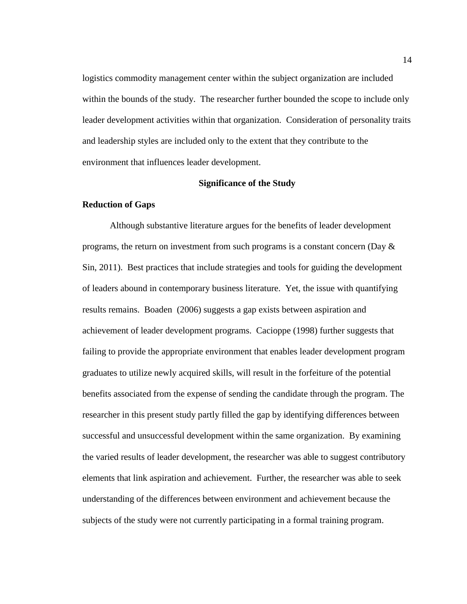logistics commodity management center within the subject organization are included within the bounds of the study. The researcher further bounded the scope to include only leader development activities within that organization. Consideration of personality traits and leadership styles are included only to the extent that they contribute to the environment that influences leader development.

#### **Significance of the Study**

#### <span id="page-24-1"></span><span id="page-24-0"></span>**Reduction of Gaps**

Although substantive literature argues for the benefits of leader development programs, the return on investment from such programs is a constant concern (Day  $\&$ Sin, 2011). Best practices that include strategies and tools for guiding the development of leaders abound in contemporary business literature. Yet, the issue with quantifying results remains. Boaden (2006) suggests a gap exists between aspiration and achievement of leader development programs. Cacioppe (1998) further suggests that failing to provide the appropriate environment that enables leader development program graduates to utilize newly acquired skills, will result in the forfeiture of the potential benefits associated from the expense of sending the candidate through the program. The researcher in this present study partly filled the gap by identifying differences between successful and unsuccessful development within the same organization. By examining the varied results of leader development, the researcher was able to suggest contributory elements that link aspiration and achievement. Further, the researcher was able to seek understanding of the differences between environment and achievement because the subjects of the study were not currently participating in a formal training program.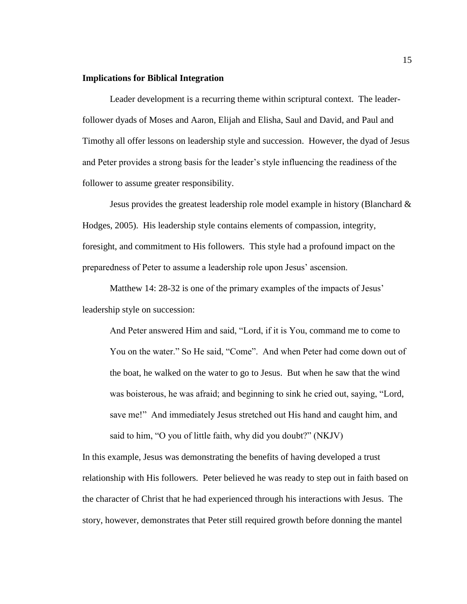## <span id="page-25-0"></span>**Implications for Biblical Integration**

Leader development is a recurring theme within scriptural context. The leaderfollower dyads of Moses and Aaron, Elijah and Elisha, Saul and David, and Paul and Timothy all offer lessons on leadership style and succession. However, the dyad of Jesus and Peter provides a strong basis for the leader's style influencing the readiness of the follower to assume greater responsibility.

Jesus provides the greatest leadership role model example in history (Blanchard  $\&$ Hodges, 2005). His leadership style contains elements of compassion, integrity, foresight, and commitment to His followers. This style had a profound impact on the preparedness of Peter to assume a leadership role upon Jesus' ascension.

Matthew 14: 28-32 is one of the primary examples of the impacts of Jesus' leadership style on succession:

And Peter answered Him and said, "Lord, if it is You, command me to come to You on the water." So He said, "Come". And when Peter had come down out of the boat, he walked on the water to go to Jesus. But when he saw that the wind was boisterous, he was afraid; and beginning to sink he cried out, saying, "Lord, save me!" And immediately Jesus stretched out His hand and caught him, and said to him, "O you of little faith, why did you doubt?" (NKJV)

In this example, Jesus was demonstrating the benefits of having developed a trust relationship with His followers. Peter believed he was ready to step out in faith based on the character of Christ that he had experienced through his interactions with Jesus. The story, however, demonstrates that Peter still required growth before donning the mantel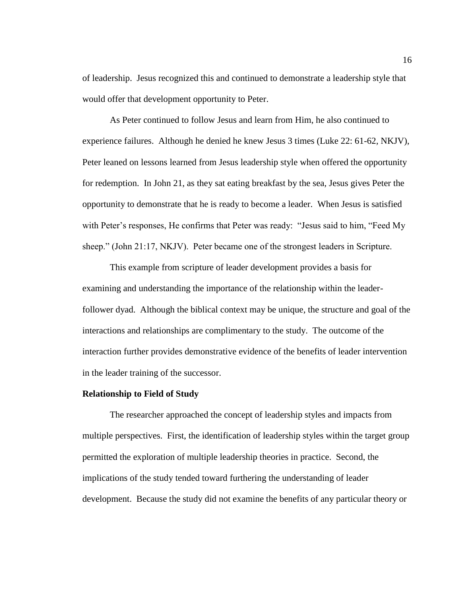of leadership. Jesus recognized this and continued to demonstrate a leadership style that would offer that development opportunity to Peter.

As Peter continued to follow Jesus and learn from Him, he also continued to experience failures. Although he denied he knew Jesus 3 times (Luke 22: 61-62, NKJV), Peter leaned on lessons learned from Jesus leadership style when offered the opportunity for redemption. In John 21, as they sat eating breakfast by the sea, Jesus gives Peter the opportunity to demonstrate that he is ready to become a leader. When Jesus is satisfied with Peter's responses, He confirms that Peter was ready: "Jesus said to him, "Feed My sheep." (John 21:17, NKJV). Peter became one of the strongest leaders in Scripture.

This example from scripture of leader development provides a basis for examining and understanding the importance of the relationship within the leaderfollower dyad. Although the biblical context may be unique, the structure and goal of the interactions and relationships are complimentary to the study. The outcome of the interaction further provides demonstrative evidence of the benefits of leader intervention in the leader training of the successor.

## <span id="page-26-0"></span>**Relationship to Field of Study**

The researcher approached the concept of leadership styles and impacts from multiple perspectives. First, the identification of leadership styles within the target group permitted the exploration of multiple leadership theories in practice. Second, the implications of the study tended toward furthering the understanding of leader development. Because the study did not examine the benefits of any particular theory or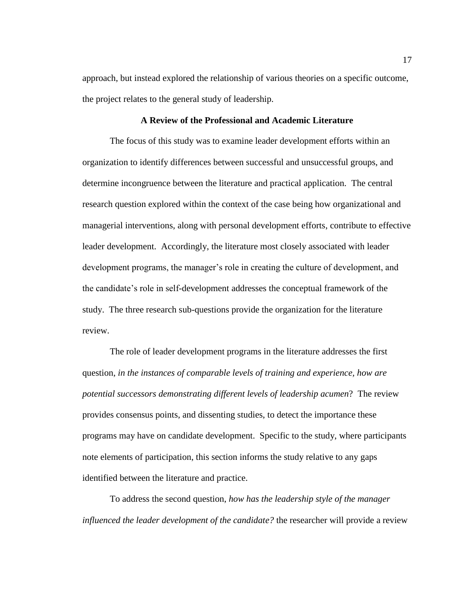approach, but instead explored the relationship of various theories on a specific outcome, the project relates to the general study of leadership.

## **A Review of the Professional and Academic Literature**

<span id="page-27-0"></span>The focus of this study was to examine leader development efforts within an organization to identify differences between successful and unsuccessful groups, and determine incongruence between the literature and practical application. The central research question explored within the context of the case being how organizational and managerial interventions, along with personal development efforts, contribute to effective leader development. Accordingly, the literature most closely associated with leader development programs, the manager's role in creating the culture of development, and the candidate's role in self-development addresses the conceptual framework of the study. The three research sub-questions provide the organization for the literature review.

The role of leader development programs in the literature addresses the first question, *in the instances of comparable levels of training and experience, how are potential successors demonstrating different levels of leadership acumen*? The review provides consensus points, and dissenting studies, to detect the importance these programs may have on candidate development. Specific to the study, where participants note elements of participation, this section informs the study relative to any gaps identified between the literature and practice.

To address the second question, *how has the leadership style of the manager influenced the leader development of the candidate?* the researcher will provide a review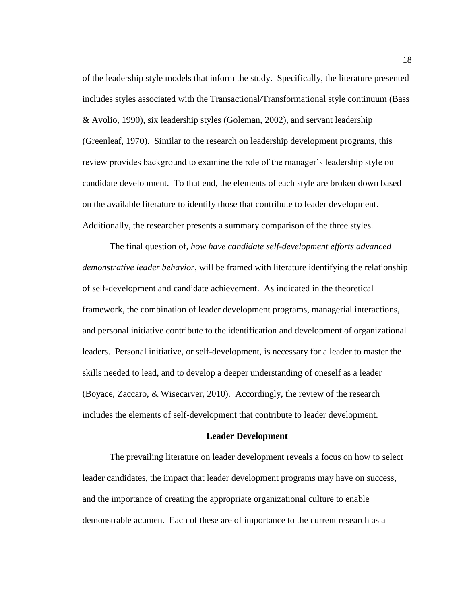of the leadership style models that inform the study. Specifically, the literature presented includes styles associated with the Transactional/Transformational style continuum (Bass & Avolio, 1990), six leadership styles (Goleman, 2002), and servant leadership (Greenleaf, 1970). Similar to the research on leadership development programs, this review provides background to examine the role of the manager's leadership style on candidate development. To that end, the elements of each style are broken down based on the available literature to identify those that contribute to leader development. Additionally, the researcher presents a summary comparison of the three styles.

The final question of, *how have candidate self-development efforts advanced demonstrative leader behavior*, will be framed with literature identifying the relationship of self-development and candidate achievement. As indicated in the theoretical framework, the combination of leader development programs, managerial interactions, and personal initiative contribute to the identification and development of organizational leaders. Personal initiative, or self-development, is necessary for a leader to master the skills needed to lead, and to develop a deeper understanding of oneself as a leader (Boyace, Zaccaro, & Wisecarver, 2010). Accordingly, the review of the research includes the elements of self-development that contribute to leader development.

## **Leader Development**

<span id="page-28-0"></span>The prevailing literature on leader development reveals a focus on how to select leader candidates, the impact that leader development programs may have on success, and the importance of creating the appropriate organizational culture to enable demonstrable acumen. Each of these are of importance to the current research as a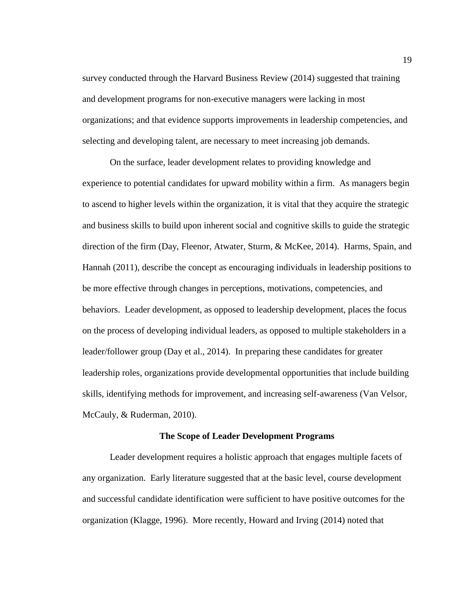survey conducted through the Harvard Business Review (2014) suggested that training and development programs for non-executive managers were lacking in most organizations; and that evidence supports improvements in leadership competencies, and selecting and developing talent, are necessary to meet increasing job demands.

On the surface, leader development relates to providing knowledge and experience to potential candidates for upward mobility within a firm. As managers begin to ascend to higher levels within the organization, it is vital that they acquire the strategic and business skills to build upon inherent social and cognitive skills to guide the strategic direction of the firm (Day, Fleenor, Atwater, Sturm, & McKee, 2014). Harms, Spain, and Hannah (2011), describe the concept as encouraging individuals in leadership positions to be more effective through changes in perceptions, motivations, competencies, and behaviors. Leader development, as opposed to leadership development, places the focus on the process of developing individual leaders, as opposed to multiple stakeholders in a leader/follower group (Day et al., 2014). In preparing these candidates for greater leadership roles, organizations provide developmental opportunities that include building skills, identifying methods for improvement, and increasing self-awareness (Van Velsor, McCauly, & Ruderman, 2010).

## **The Scope of Leader Development Programs**

<span id="page-29-0"></span>Leader development requires a holistic approach that engages multiple facets of any organization. Early literature suggested that at the basic level, course development and successful candidate identification were sufficient to have positive outcomes for the organization (Klagge, 1996). More recently, Howard and Irving (2014) noted that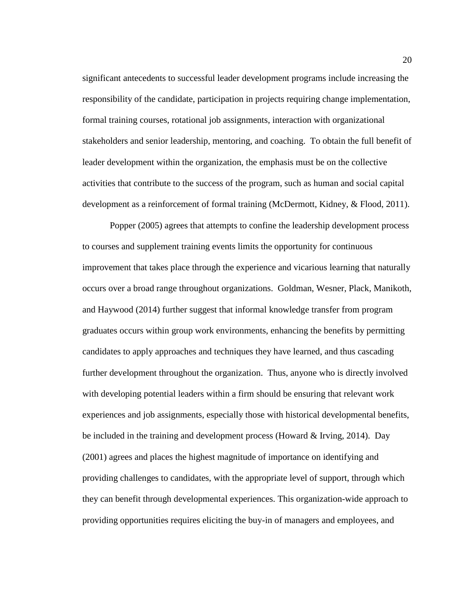significant antecedents to successful leader development programs include increasing the responsibility of the candidate, participation in projects requiring change implementation, formal training courses, rotational job assignments, interaction with organizational stakeholders and senior leadership, mentoring, and coaching. To obtain the full benefit of leader development within the organization, the emphasis must be on the collective activities that contribute to the success of the program, such as human and social capital development as a reinforcement of formal training (McDermott, Kidney, & Flood, 2011).

Popper (2005) agrees that attempts to confine the leadership development process to courses and supplement training events limits the opportunity for continuous improvement that takes place through the experience and vicarious learning that naturally occurs over a broad range throughout organizations. Goldman, Wesner, Plack, Manikoth, and Haywood (2014) further suggest that informal knowledge transfer from program graduates occurs within group work environments, enhancing the benefits by permitting candidates to apply approaches and techniques they have learned, and thus cascading further development throughout the organization. Thus, anyone who is directly involved with developing potential leaders within a firm should be ensuring that relevant work experiences and job assignments, especially those with historical developmental benefits, be included in the training and development process (Howard & Irving, 2014). Day (2001) agrees and places the highest magnitude of importance on identifying and providing challenges to candidates, with the appropriate level of support, through which they can benefit through developmental experiences. This organization-wide approach to providing opportunities requires eliciting the buy-in of managers and employees, and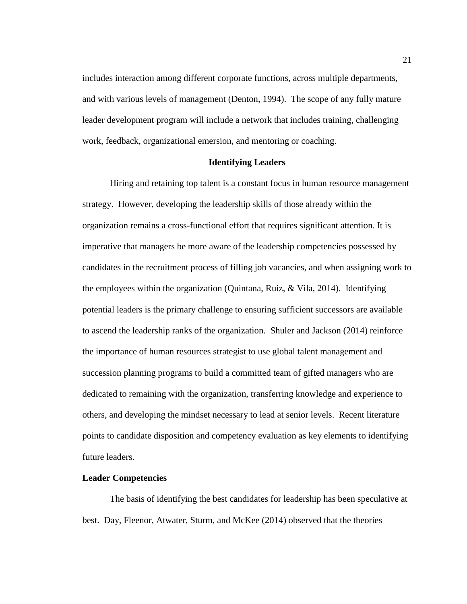includes interaction among different corporate functions, across multiple departments, and with various levels of management (Denton, 1994). The scope of any fully mature leader development program will include a network that includes training, challenging work, feedback, organizational emersion, and mentoring or coaching.

#### **Identifying Leaders**

<span id="page-31-0"></span>Hiring and retaining top talent is a constant focus in human resource management strategy. However, developing the leadership skills of those already within the organization remains a cross-functional effort that requires significant attention. It is imperative that managers be more aware of the leadership competencies possessed by candidates in the recruitment process of filling job vacancies, and when assigning work to the employees within the organization (Quintana, Ruiz, & Vila, 2014). Identifying potential leaders is the primary challenge to ensuring sufficient successors are available to ascend the leadership ranks of the organization. Shuler and Jackson (2014) reinforce the importance of human resources strategist to use global talent management and succession planning programs to build a committed team of gifted managers who are dedicated to remaining with the organization, transferring knowledge and experience to others, and developing the mindset necessary to lead at senior levels. Recent literature points to candidate disposition and competency evaluation as key elements to identifying future leaders.

## <span id="page-31-1"></span>**Leader Competencies**

The basis of identifying the best candidates for leadership has been speculative at best. Day, Fleenor, Atwater, Sturm, and McKee (2014) observed that the theories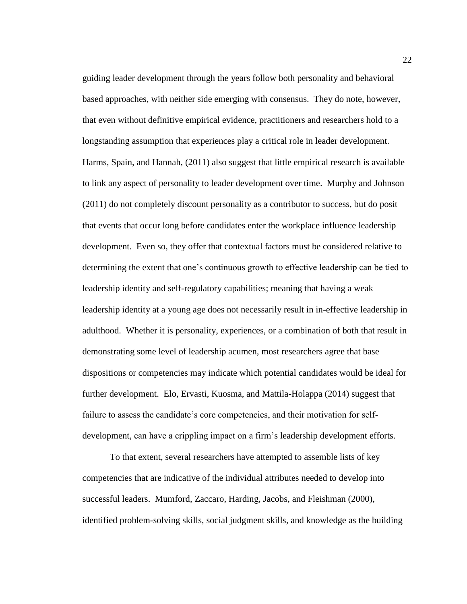guiding leader development through the years follow both personality and behavioral based approaches, with neither side emerging with consensus. They do note, however, that even without definitive empirical evidence, practitioners and researchers hold to a longstanding assumption that experiences play a critical role in leader development. Harms, Spain, and Hannah, (2011) also suggest that little empirical research is available to link any aspect of personality to leader development over time. Murphy and Johnson (2011) do not completely discount personality as a contributor to success, but do posit that events that occur long before candidates enter the workplace influence leadership development. Even so, they offer that contextual factors must be considered relative to determining the extent that one's continuous growth to effective leadership can be tied to leadership identity and self-regulatory capabilities; meaning that having a weak leadership identity at a young age does not necessarily result in in-effective leadership in adulthood. Whether it is personality, experiences, or a combination of both that result in demonstrating some level of leadership acumen, most researchers agree that base dispositions or competencies may indicate which potential candidates would be ideal for further development. Elo, Ervasti, Kuosma, and Mattila-Holappa (2014) suggest that failure to assess the candidate's core competencies, and their motivation for selfdevelopment, can have a crippling impact on a firm's leadership development efforts.

To that extent, several researchers have attempted to assemble lists of key competencies that are indicative of the individual attributes needed to develop into successful leaders. Mumford, Zaccaro, Harding, Jacobs, and Fleishman (2000), identified problem-solving skills, social judgment skills, and knowledge as the building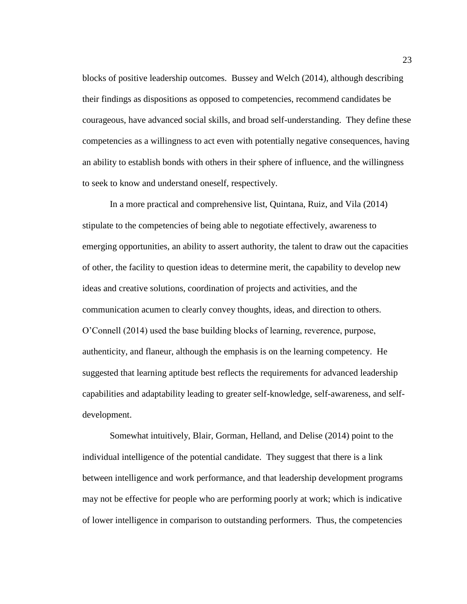blocks of positive leadership outcomes. Bussey and Welch (2014), although describing their findings as dispositions as opposed to competencies, recommend candidates be courageous, have advanced social skills, and broad self-understanding. They define these competencies as a willingness to act even with potentially negative consequences, having an ability to establish bonds with others in their sphere of influence, and the willingness to seek to know and understand oneself, respectively.

In a more practical and comprehensive list, Quintana, Ruiz, and Vila (2014) stipulate to the competencies of being able to negotiate effectively, awareness to emerging opportunities, an ability to assert authority, the talent to draw out the capacities of other, the facility to question ideas to determine merit, the capability to develop new ideas and creative solutions, coordination of projects and activities, and the communication acumen to clearly convey thoughts, ideas, and direction to others. O'Connell (2014) used the base building blocks of learning, reverence, purpose, authenticity, and flaneur, although the emphasis is on the learning competency. He suggested that learning aptitude best reflects the requirements for advanced leadership capabilities and adaptability leading to greater self-knowledge, self-awareness, and selfdevelopment.

Somewhat intuitively, Blair, Gorman, Helland, and Delise (2014) point to the individual intelligence of the potential candidate. They suggest that there is a link between intelligence and work performance, and that leadership development programs may not be effective for people who are performing poorly at work; which is indicative of lower intelligence in comparison to outstanding performers. Thus, the competencies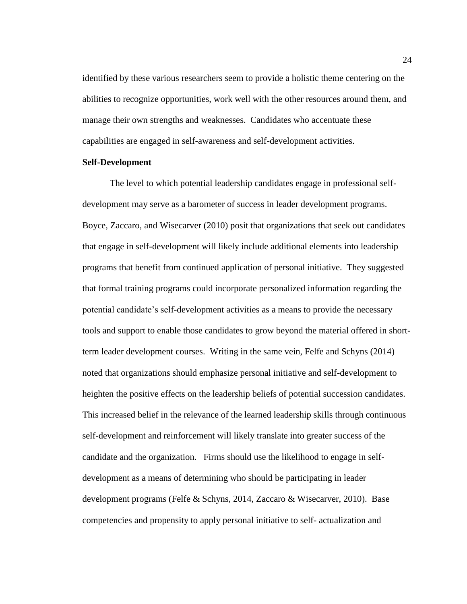identified by these various researchers seem to provide a holistic theme centering on the abilities to recognize opportunities, work well with the other resources around them, and manage their own strengths and weaknesses. Candidates who accentuate these capabilities are engaged in self-awareness and self-development activities.

#### <span id="page-34-0"></span>**Self-Development**

The level to which potential leadership candidates engage in professional selfdevelopment may serve as a barometer of success in leader development programs. Boyce, Zaccaro, and Wisecarver (2010) posit that organizations that seek out candidates that engage in self-development will likely include additional elements into leadership programs that benefit from continued application of personal initiative. They suggested that formal training programs could incorporate personalized information regarding the potential candidate's self-development activities as a means to provide the necessary tools and support to enable those candidates to grow beyond the material offered in shortterm leader development courses. Writing in the same vein, Felfe and Schyns (2014) noted that organizations should emphasize personal initiative and self-development to heighten the positive effects on the leadership beliefs of potential succession candidates. This increased belief in the relevance of the learned leadership skills through continuous self-development and reinforcement will likely translate into greater success of the candidate and the organization. Firms should use the likelihood to engage in selfdevelopment as a means of determining who should be participating in leader development programs (Felfe & Schyns, 2014, Zaccaro & Wisecarver, 2010). Base competencies and propensity to apply personal initiative to self- actualization and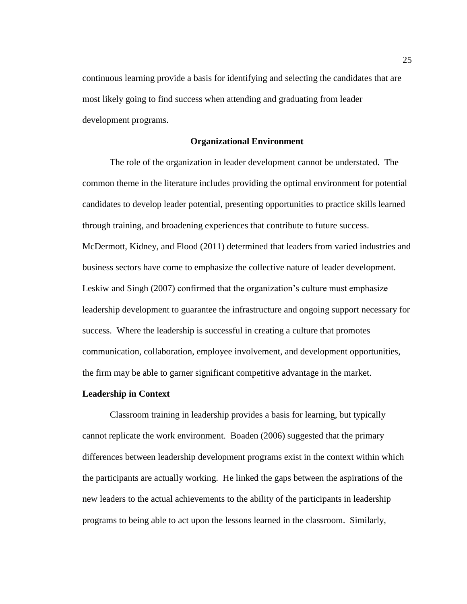continuous learning provide a basis for identifying and selecting the candidates that are most likely going to find success when attending and graduating from leader development programs.

#### **Organizational Environment**

<span id="page-35-0"></span>The role of the organization in leader development cannot be understated. The common theme in the literature includes providing the optimal environment for potential candidates to develop leader potential, presenting opportunities to practice skills learned through training, and broadening experiences that contribute to future success. McDermott, Kidney, and Flood (2011) determined that leaders from varied industries and business sectors have come to emphasize the collective nature of leader development. Leskiw and Singh (2007) confirmed that the organization's culture must emphasize leadership development to guarantee the infrastructure and ongoing support necessary for success. Where the leadership is successful in creating a culture that promotes communication, collaboration, employee involvement, and development opportunities, the firm may be able to garner significant competitive advantage in the market.

## <span id="page-35-1"></span>**Leadership in Context**

Classroom training in leadership provides a basis for learning, but typically cannot replicate the work environment. Boaden (2006) suggested that the primary differences between leadership development programs exist in the context within which the participants are actually working. He linked the gaps between the aspirations of the new leaders to the actual achievements to the ability of the participants in leadership programs to being able to act upon the lessons learned in the classroom. Similarly,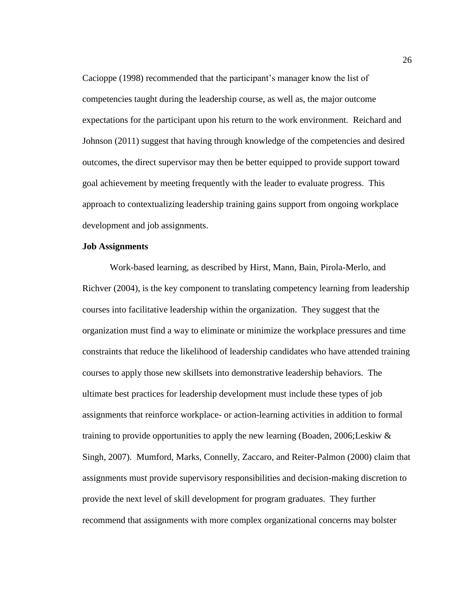Cacioppe (1998) recommended that the participant's manager know the list of competencies taught during the leadership course, as well as, the major outcome expectations for the participant upon his return to the work environment. Reichard and Johnson (2011) suggest that having through knowledge of the competencies and desired outcomes, the direct supervisor may then be better equipped to provide support toward goal achievement by meeting frequently with the leader to evaluate progress. This approach to contextualizing leadership training gains support from ongoing workplace development and job assignments.

### **Job Assignments**

Work-based learning, as described by Hirst, Mann, Bain, Pirola-Merlo, and Richver (2004), is the key component to translating competency learning from leadership courses into facilitative leadership within the organization. They suggest that the organization must find a way to eliminate or minimize the workplace pressures and time constraints that reduce the likelihood of leadership candidates who have attended training courses to apply those new skillsets into demonstrative leadership behaviors. The ultimate best practices for leadership development must include these types of job assignments that reinforce workplace- or action-learning activities in addition to formal training to provide opportunities to apply the new learning (Boaden, 2006;Leskiw & Singh, 2007). Mumford, Marks, Connelly, Zaccaro, and Reiter-Palmon (2000) claim that assignments must provide supervisory responsibilities and decision-making discretion to provide the next level of skill development for program graduates. They further recommend that assignments with more complex organizational concerns may bolster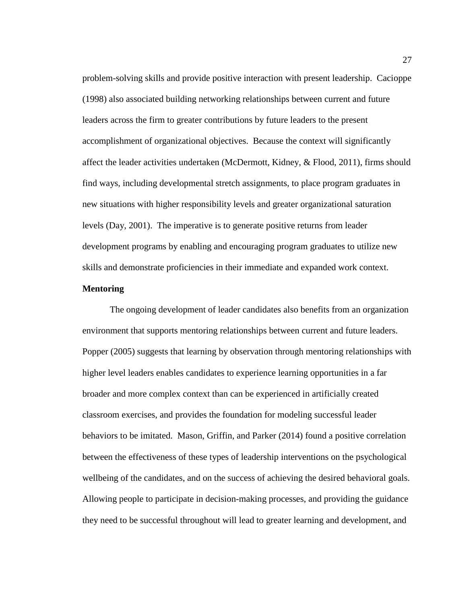problem-solving skills and provide positive interaction with present leadership. Cacioppe (1998) also associated building networking relationships between current and future leaders across the firm to greater contributions by future leaders to the present accomplishment of organizational objectives. Because the context will significantly affect the leader activities undertaken (McDermott, Kidney, & Flood, 2011), firms should find ways, including developmental stretch assignments, to place program graduates in new situations with higher responsibility levels and greater organizational saturation levels (Day, 2001). The imperative is to generate positive returns from leader development programs by enabling and encouraging program graduates to utilize new skills and demonstrate proficiencies in their immediate and expanded work context.

# **Mentoring**

The ongoing development of leader candidates also benefits from an organization environment that supports mentoring relationships between current and future leaders. Popper (2005) suggests that learning by observation through mentoring relationships with higher level leaders enables candidates to experience learning opportunities in a far broader and more complex context than can be experienced in artificially created classroom exercises, and provides the foundation for modeling successful leader behaviors to be imitated. Mason, Griffin, and Parker (2014) found a positive correlation between the effectiveness of these types of leadership interventions on the psychological wellbeing of the candidates, and on the success of achieving the desired behavioral goals. Allowing people to participate in decision-making processes, and providing the guidance they need to be successful throughout will lead to greater learning and development, and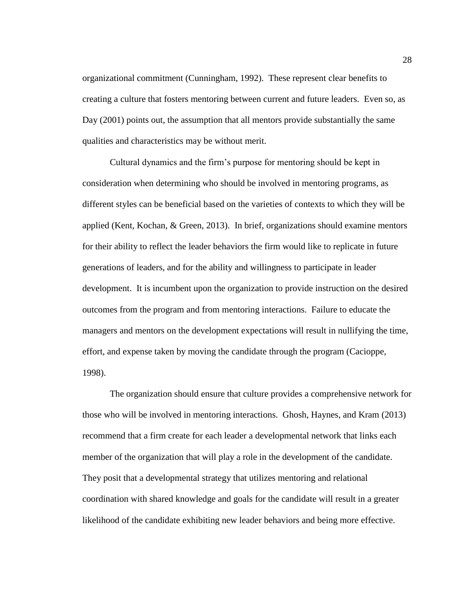organizational commitment (Cunningham, 1992). These represent clear benefits to creating a culture that fosters mentoring between current and future leaders. Even so, as Day (2001) points out, the assumption that all mentors provide substantially the same qualities and characteristics may be without merit.

Cultural dynamics and the firm's purpose for mentoring should be kept in consideration when determining who should be involved in mentoring programs, as different styles can be beneficial based on the varieties of contexts to which they will be applied (Kent, Kochan, & Green, 2013). In brief, organizations should examine mentors for their ability to reflect the leader behaviors the firm would like to replicate in future generations of leaders, and for the ability and willingness to participate in leader development. It is incumbent upon the organization to provide instruction on the desired outcomes from the program and from mentoring interactions. Failure to educate the managers and mentors on the development expectations will result in nullifying the time, effort, and expense taken by moving the candidate through the program (Cacioppe, 1998).

The organization should ensure that culture provides a comprehensive network for those who will be involved in mentoring interactions. Ghosh, Haynes, and Kram (2013) recommend that a firm create for each leader a developmental network that links each member of the organization that will play a role in the development of the candidate. They posit that a developmental strategy that utilizes mentoring and relational coordination with shared knowledge and goals for the candidate will result in a greater likelihood of the candidate exhibiting new leader behaviors and being more effective.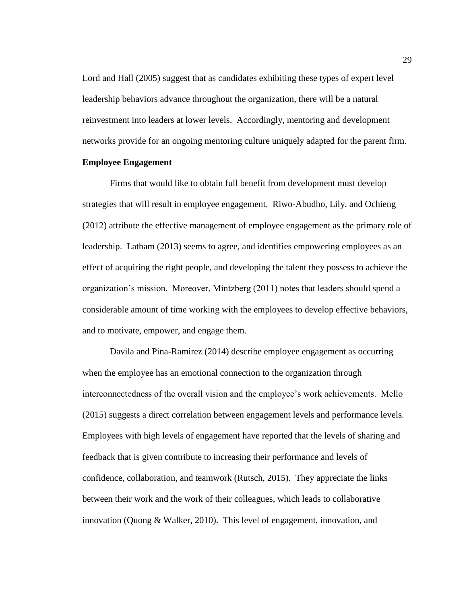Lord and Hall (2005) suggest that as candidates exhibiting these types of expert level leadership behaviors advance throughout the organization, there will be a natural reinvestment into leaders at lower levels. Accordingly, mentoring and development networks provide for an ongoing mentoring culture uniquely adapted for the parent firm.

#### **Employee Engagement**

Firms that would like to obtain full benefit from development must develop strategies that will result in employee engagement. Riwo-Abudho, Lily, and Ochieng (2012) attribute the effective management of employee engagement as the primary role of leadership. Latham (2013) seems to agree, and identifies empowering employees as an effect of acquiring the right people, and developing the talent they possess to achieve the organization's mission. Moreover, Mintzberg (2011) notes that leaders should spend a considerable amount of time working with the employees to develop effective behaviors, and to motivate, empower, and engage them.

Davila and Pina-Ramirez (2014) describe employee engagement as occurring when the employee has an emotional connection to the organization through interconnectedness of the overall vision and the employee's work achievements. Mello (2015) suggests a direct correlation between engagement levels and performance levels. Employees with high levels of engagement have reported that the levels of sharing and feedback that is given contribute to increasing their performance and levels of confidence, collaboration, and teamwork (Rutsch, 2015). They appreciate the links between their work and the work of their colleagues, which leads to collaborative innovation (Quong & Walker, 2010). This level of engagement, innovation, and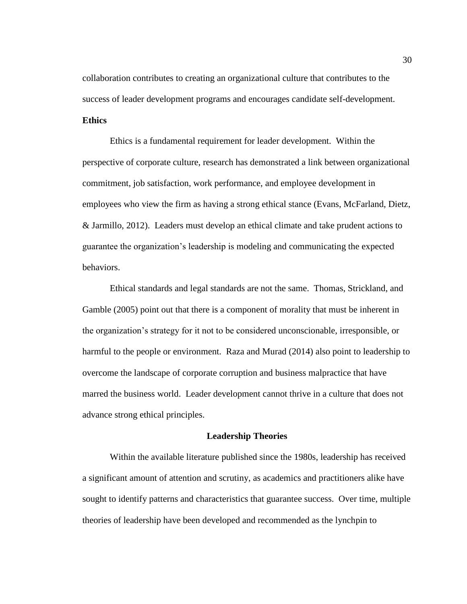collaboration contributes to creating an organizational culture that contributes to the success of leader development programs and encourages candidate self-development.

#### **Ethics**

Ethics is a fundamental requirement for leader development. Within the perspective of corporate culture, research has demonstrated a link between organizational commitment, job satisfaction, work performance, and employee development in employees who view the firm as having a strong ethical stance (Evans, McFarland, Dietz, & Jarmillo, 2012). Leaders must develop an ethical climate and take prudent actions to guarantee the organization's leadership is modeling and communicating the expected behaviors.

Ethical standards and legal standards are not the same. Thomas, Strickland, and Gamble (2005) point out that there is a component of morality that must be inherent in the organization's strategy for it not to be considered unconscionable, irresponsible, or harmful to the people or environment. Raza and Murad (2014) also point to leadership to overcome the landscape of corporate corruption and business malpractice that have marred the business world. Leader development cannot thrive in a culture that does not advance strong ethical principles.

## **Leadership Theories**

Within the available literature published since the 1980s, leadership has received a significant amount of attention and scrutiny, as academics and practitioners alike have sought to identify patterns and characteristics that guarantee success. Over time, multiple theories of leadership have been developed and recommended as the lynchpin to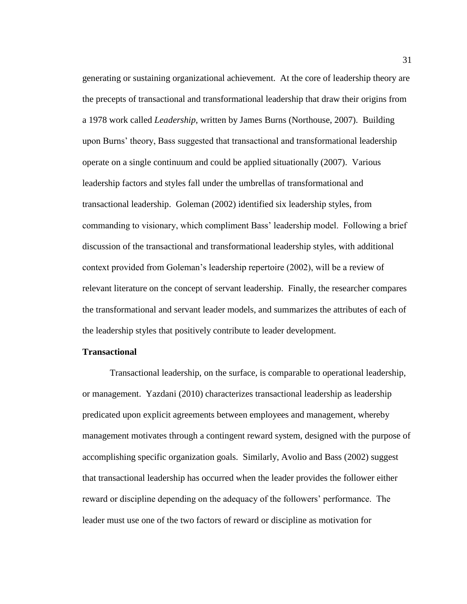generating or sustaining organizational achievement. At the core of leadership theory are the precepts of transactional and transformational leadership that draw their origins from a 1978 work called *Leadership*, written by James Burns (Northouse, 2007). Building upon Burns' theory, Bass suggested that transactional and transformational leadership operate on a single continuum and could be applied situationally (2007). Various leadership factors and styles fall under the umbrellas of transformational and transactional leadership. Goleman (2002) identified six leadership styles, from commanding to visionary, which compliment Bass' leadership model. Following a brief discussion of the transactional and transformational leadership styles, with additional context provided from Goleman's leadership repertoire (2002), will be a review of relevant literature on the concept of servant leadership. Finally, the researcher compares the transformational and servant leader models, and summarizes the attributes of each of the leadership styles that positively contribute to leader development.

# **Transactional**

Transactional leadership, on the surface, is comparable to operational leadership, or management. Yazdani (2010) characterizes transactional leadership as leadership predicated upon explicit agreements between employees and management, whereby management motivates through a contingent reward system, designed with the purpose of accomplishing specific organization goals. Similarly, Avolio and Bass (2002) suggest that transactional leadership has occurred when the leader provides the follower either reward or discipline depending on the adequacy of the followers' performance. The leader must use one of the two factors of reward or discipline as motivation for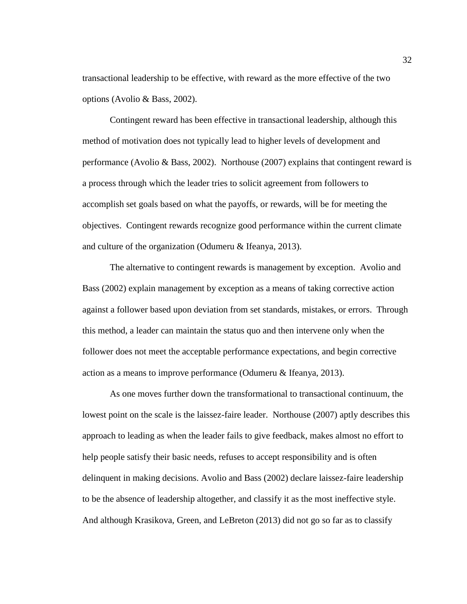transactional leadership to be effective, with reward as the more effective of the two options (Avolio & Bass, 2002).

Contingent reward has been effective in transactional leadership, although this method of motivation does not typically lead to higher levels of development and performance (Avolio & Bass, 2002). Northouse (2007) explains that contingent reward is a process through which the leader tries to solicit agreement from followers to accomplish set goals based on what the payoffs, or rewards, will be for meeting the objectives. Contingent rewards recognize good performance within the current climate and culture of the organization (Odumeru & Ifeanya, 2013).

The alternative to contingent rewards is management by exception. Avolio and Bass (2002) explain management by exception as a means of taking corrective action against a follower based upon deviation from set standards, mistakes, or errors. Through this method, a leader can maintain the status quo and then intervene only when the follower does not meet the acceptable performance expectations, and begin corrective action as a means to improve performance (Odumeru & Ifeanya, 2013).

As one moves further down the transformational to transactional continuum, the lowest point on the scale is the laissez-faire leader. Northouse (2007) aptly describes this approach to leading as when the leader fails to give feedback, makes almost no effort to help people satisfy their basic needs, refuses to accept responsibility and is often delinquent in making decisions. Avolio and Bass (2002) declare laissez-faire leadership to be the absence of leadership altogether, and classify it as the most ineffective style. And although Krasikova, Green, and LeBreton (2013) did not go so far as to classify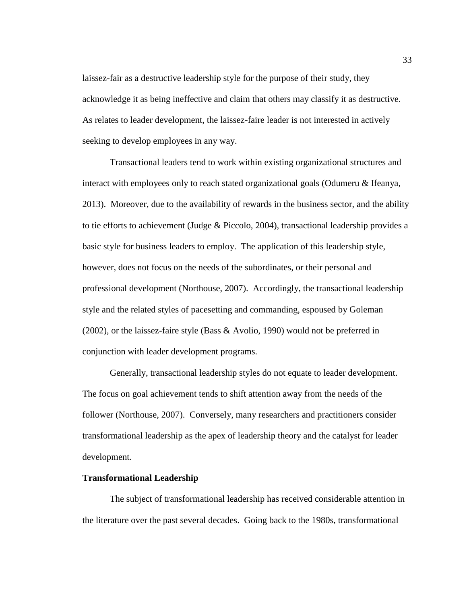laissez-fair as a destructive leadership style for the purpose of their study, they acknowledge it as being ineffective and claim that others may classify it as destructive. As relates to leader development, the laissez-faire leader is not interested in actively seeking to develop employees in any way.

Transactional leaders tend to work within existing organizational structures and interact with employees only to reach stated organizational goals (Odumeru & Ifeanya, 2013). Moreover, due to the availability of rewards in the business sector, and the ability to tie efforts to achievement (Judge & Piccolo, 2004), transactional leadership provides a basic style for business leaders to employ. The application of this leadership style, however, does not focus on the needs of the subordinates, or their personal and professional development (Northouse, 2007). Accordingly, the transactional leadership style and the related styles of pacesetting and commanding, espoused by Goleman (2002), or the laissez-faire style (Bass & Avolio, 1990) would not be preferred in conjunction with leader development programs.

Generally, transactional leadership styles do not equate to leader development. The focus on goal achievement tends to shift attention away from the needs of the follower (Northouse, 2007). Conversely, many researchers and practitioners consider transformational leadership as the apex of leadership theory and the catalyst for leader development.

# **Transformational Leadership**

The subject of transformational leadership has received considerable attention in the literature over the past several decades. Going back to the 1980s, transformational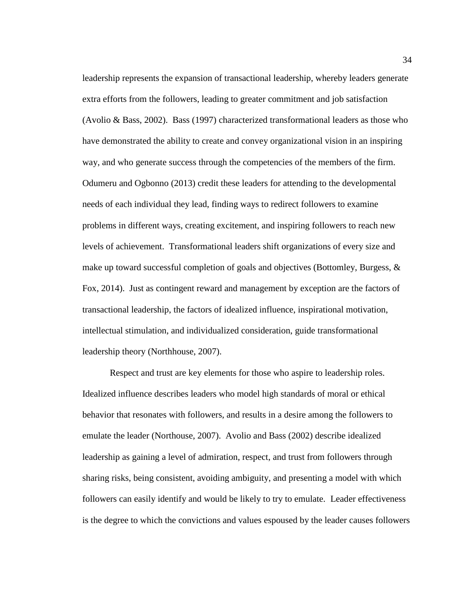leadership represents the expansion of transactional leadership, whereby leaders generate extra efforts from the followers, leading to greater commitment and job satisfaction (Avolio & Bass, 2002). Bass (1997) characterized transformational leaders as those who have demonstrated the ability to create and convey organizational vision in an inspiring way, and who generate success through the competencies of the members of the firm. Odumeru and Ogbonno (2013) credit these leaders for attending to the developmental needs of each individual they lead, finding ways to redirect followers to examine problems in different ways, creating excitement, and inspiring followers to reach new levels of achievement. Transformational leaders shift organizations of every size and make up toward successful completion of goals and objectives (Bottomley, Burgess,  $\&$ Fox, 2014). Just as contingent reward and management by exception are the factors of transactional leadership, the factors of idealized influence, inspirational motivation, intellectual stimulation, and individualized consideration, guide transformational leadership theory (Northhouse, 2007).

Respect and trust are key elements for those who aspire to leadership roles. Idealized influence describes leaders who model high standards of moral or ethical behavior that resonates with followers, and results in a desire among the followers to emulate the leader (Northouse, 2007). Avolio and Bass (2002) describe idealized leadership as gaining a level of admiration, respect, and trust from followers through sharing risks, being consistent, avoiding ambiguity, and presenting a model with which followers can easily identify and would be likely to try to emulate. Leader effectiveness is the degree to which the convictions and values espoused by the leader causes followers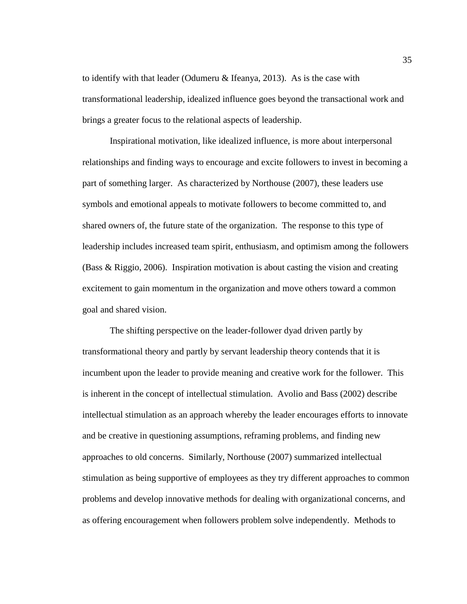to identify with that leader (Odumeru & Ifeanya, 2013). As is the case with transformational leadership, idealized influence goes beyond the transactional work and brings a greater focus to the relational aspects of leadership.

Inspirational motivation, like idealized influence, is more about interpersonal relationships and finding ways to encourage and excite followers to invest in becoming a part of something larger. As characterized by Northouse (2007), these leaders use symbols and emotional appeals to motivate followers to become committed to, and shared owners of, the future state of the organization. The response to this type of leadership includes increased team spirit, enthusiasm, and optimism among the followers (Bass & Riggio, 2006). Inspiration motivation is about casting the vision and creating excitement to gain momentum in the organization and move others toward a common goal and shared vision.

The shifting perspective on the leader-follower dyad driven partly by transformational theory and partly by servant leadership theory contends that it is incumbent upon the leader to provide meaning and creative work for the follower. This is inherent in the concept of intellectual stimulation. Avolio and Bass (2002) describe intellectual stimulation as an approach whereby the leader encourages efforts to innovate and be creative in questioning assumptions, reframing problems, and finding new approaches to old concerns. Similarly, Northouse (2007) summarized intellectual stimulation as being supportive of employees as they try different approaches to common problems and develop innovative methods for dealing with organizational concerns, and as offering encouragement when followers problem solve independently. Methods to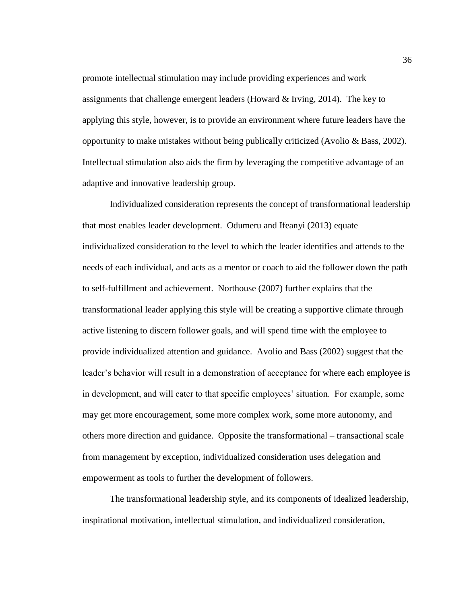promote intellectual stimulation may include providing experiences and work assignments that challenge emergent leaders (Howard & Irving, 2014). The key to applying this style, however, is to provide an environment where future leaders have the opportunity to make mistakes without being publically criticized (Avolio & Bass, 2002). Intellectual stimulation also aids the firm by leveraging the competitive advantage of an adaptive and innovative leadership group.

Individualized consideration represents the concept of transformational leadership that most enables leader development. Odumeru and Ifeanyi (2013) equate individualized consideration to the level to which the leader identifies and attends to the needs of each individual, and acts as a mentor or coach to aid the follower down the path to self-fulfillment and achievement. Northouse (2007) further explains that the transformational leader applying this style will be creating a supportive climate through active listening to discern follower goals, and will spend time with the employee to provide individualized attention and guidance. Avolio and Bass (2002) suggest that the leader's behavior will result in a demonstration of acceptance for where each employee is in development, and will cater to that specific employees' situation. For example, some may get more encouragement, some more complex work, some more autonomy, and others more direction and guidance. Opposite the transformational – transactional scale from management by exception, individualized consideration uses delegation and empowerment as tools to further the development of followers.

The transformational leadership style, and its components of idealized leadership, inspirational motivation, intellectual stimulation, and individualized consideration,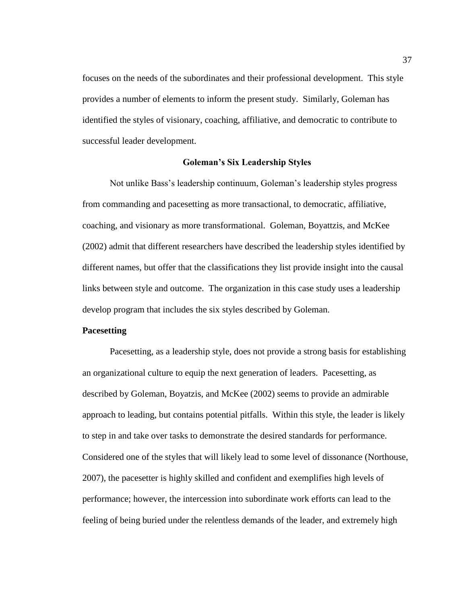focuses on the needs of the subordinates and their professional development. This style provides a number of elements to inform the present study. Similarly, Goleman has identified the styles of visionary, coaching, affiliative, and democratic to contribute to successful leader development.

#### **Goleman's Six Leadership Styles**

Not unlike Bass's leadership continuum, Goleman's leadership styles progress from commanding and pacesetting as more transactional, to democratic, affiliative, coaching, and visionary as more transformational. Goleman, Boyattzis, and McKee (2002) admit that different researchers have described the leadership styles identified by different names, but offer that the classifications they list provide insight into the causal links between style and outcome. The organization in this case study uses a leadership develop program that includes the six styles described by Goleman.

### **Pacesetting**

Pacesetting, as a leadership style, does not provide a strong basis for establishing an organizational culture to equip the next generation of leaders. Pacesetting, as described by Goleman, Boyatzis, and McKee (2002) seems to provide an admirable approach to leading, but contains potential pitfalls. Within this style, the leader is likely to step in and take over tasks to demonstrate the desired standards for performance. Considered one of the styles that will likely lead to some level of dissonance (Northouse, 2007), the pacesetter is highly skilled and confident and exemplifies high levels of performance; however, the intercession into subordinate work efforts can lead to the feeling of being buried under the relentless demands of the leader, and extremely high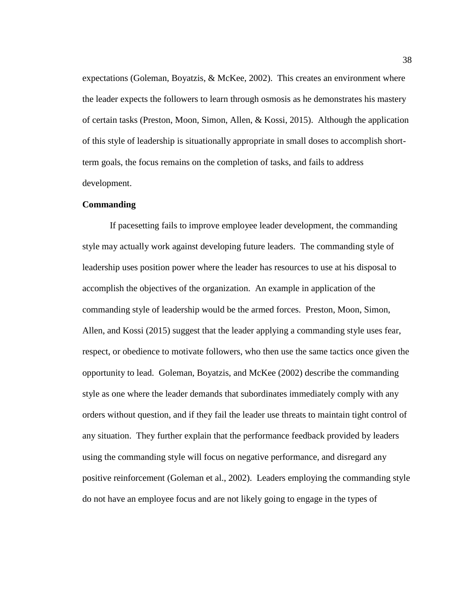expectations (Goleman, Boyatzis, & McKee, 2002). This creates an environment where the leader expects the followers to learn through osmosis as he demonstrates his mastery of certain tasks (Preston, Moon, Simon, Allen, & Kossi, 2015). Although the application of this style of leadership is situationally appropriate in small doses to accomplish shortterm goals, the focus remains on the completion of tasks, and fails to address development.

#### **Commanding**

If pacesetting fails to improve employee leader development, the commanding style may actually work against developing future leaders. The commanding style of leadership uses position power where the leader has resources to use at his disposal to accomplish the objectives of the organization. An example in application of the commanding style of leadership would be the armed forces. Preston, Moon, Simon, Allen, and Kossi (2015) suggest that the leader applying a commanding style uses fear, respect, or obedience to motivate followers, who then use the same tactics once given the opportunity to lead. Goleman, Boyatzis, and McKee (2002) describe the commanding style as one where the leader demands that subordinates immediately comply with any orders without question, and if they fail the leader use threats to maintain tight control of any situation. They further explain that the performance feedback provided by leaders using the commanding style will focus on negative performance, and disregard any positive reinforcement (Goleman et al., 2002). Leaders employing the commanding style do not have an employee focus and are not likely going to engage in the types of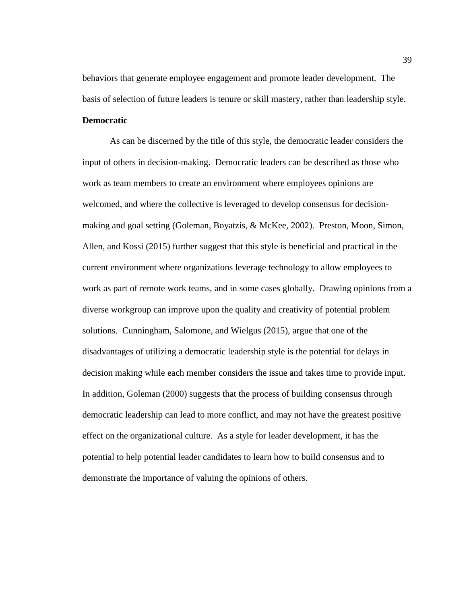behaviors that generate employee engagement and promote leader development. The basis of selection of future leaders is tenure or skill mastery, rather than leadership style.

#### **Democratic**

As can be discerned by the title of this style, the democratic leader considers the input of others in decision-making. Democratic leaders can be described as those who work as team members to create an environment where employees opinions are welcomed, and where the collective is leveraged to develop consensus for decisionmaking and goal setting (Goleman, Boyatzis, & McKee, 2002). Preston, Moon, Simon, Allen, and Kossi (2015) further suggest that this style is beneficial and practical in the current environment where organizations leverage technology to allow employees to work as part of remote work teams, and in some cases globally. Drawing opinions from a diverse workgroup can improve upon the quality and creativity of potential problem solutions. Cunningham, Salomone, and Wielgus (2015), argue that one of the disadvantages of utilizing a democratic leadership style is the potential for delays in decision making while each member considers the issue and takes time to provide input. In addition, Goleman (2000) suggests that the process of building consensus through democratic leadership can lead to more conflict, and may not have the greatest positive effect on the organizational culture. As a style for leader development, it has the potential to help potential leader candidates to learn how to build consensus and to demonstrate the importance of valuing the opinions of others.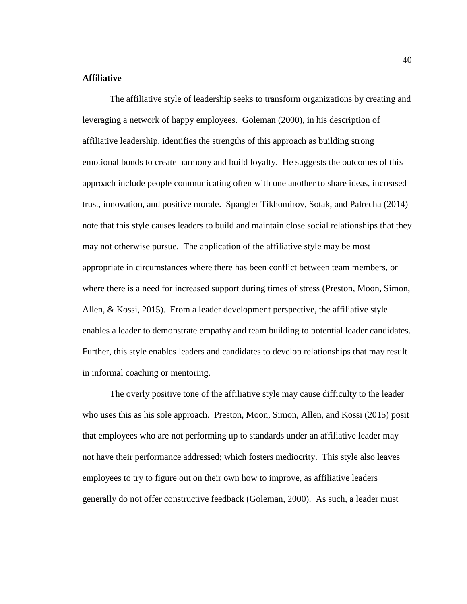# **Affiliative**

The affiliative style of leadership seeks to transform organizations by creating and leveraging a network of happy employees. Goleman (2000), in his description of affiliative leadership, identifies the strengths of this approach as building strong emotional bonds to create harmony and build loyalty. He suggests the outcomes of this approach include people communicating often with one another to share ideas, increased trust, innovation, and positive morale. Spangler Tikhomirov, Sotak, and Palrecha (2014) note that this style causes leaders to build and maintain close social relationships that they may not otherwise pursue. The application of the affiliative style may be most appropriate in circumstances where there has been conflict between team members, or where there is a need for increased support during times of stress (Preston, Moon, Simon, Allen, & Kossi, 2015). From a leader development perspective, the affiliative style enables a leader to demonstrate empathy and team building to potential leader candidates. Further, this style enables leaders and candidates to develop relationships that may result in informal coaching or mentoring.

The overly positive tone of the affiliative style may cause difficulty to the leader who uses this as his sole approach. Preston, Moon, Simon, Allen, and Kossi (2015) posit that employees who are not performing up to standards under an affiliative leader may not have their performance addressed; which fosters mediocrity. This style also leaves employees to try to figure out on their own how to improve, as affiliative leaders generally do not offer constructive feedback (Goleman, 2000). As such, a leader must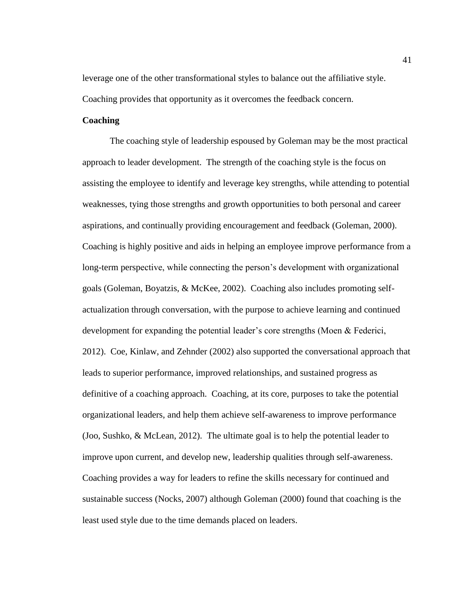leverage one of the other transformational styles to balance out the affiliative style. Coaching provides that opportunity as it overcomes the feedback concern.

# **Coaching**

The coaching style of leadership espoused by Goleman may be the most practical approach to leader development. The strength of the coaching style is the focus on assisting the employee to identify and leverage key strengths, while attending to potential weaknesses, tying those strengths and growth opportunities to both personal and career aspirations, and continually providing encouragement and feedback (Goleman, 2000). Coaching is highly positive and aids in helping an employee improve performance from a long-term perspective, while connecting the person's development with organizational goals (Goleman, Boyatzis, & McKee, 2002). Coaching also includes promoting selfactualization through conversation, with the purpose to achieve learning and continued development for expanding the potential leader's core strengths (Moen & Federici, 2012). Coe, Kinlaw, and Zehnder (2002) also supported the conversational approach that leads to superior performance, improved relationships, and sustained progress as definitive of a coaching approach. Coaching, at its core, purposes to take the potential organizational leaders, and help them achieve self-awareness to improve performance (Joo, Sushko, & McLean, 2012). The ultimate goal is to help the potential leader to improve upon current, and develop new, leadership qualities through self-awareness. Coaching provides a way for leaders to refine the skills necessary for continued and sustainable success (Nocks, 2007) although Goleman (2000) found that coaching is the least used style due to the time demands placed on leaders.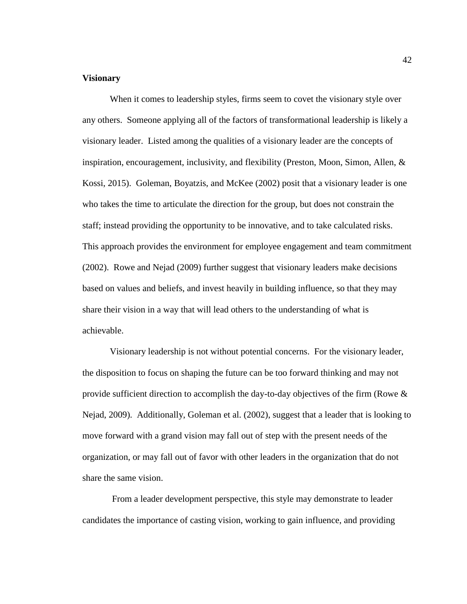## **Visionary**

When it comes to leadership styles, firms seem to covet the visionary style over any others. Someone applying all of the factors of transformational leadership is likely a visionary leader. Listed among the qualities of a visionary leader are the concepts of inspiration, encouragement, inclusivity, and flexibility (Preston, Moon, Simon, Allen,  $\&$ Kossi, 2015). Goleman, Boyatzis, and McKee (2002) posit that a visionary leader is one who takes the time to articulate the direction for the group, but does not constrain the staff; instead providing the opportunity to be innovative, and to take calculated risks. This approach provides the environment for employee engagement and team commitment (2002). Rowe and Nejad (2009) further suggest that visionary leaders make decisions based on values and beliefs, and invest heavily in building influence, so that they may share their vision in a way that will lead others to the understanding of what is achievable.

Visionary leadership is not without potential concerns. For the visionary leader, the disposition to focus on shaping the future can be too forward thinking and may not provide sufficient direction to accomplish the day-to-day objectives of the firm (Rowe & Nejad, 2009). Additionally, Goleman et al. (2002), suggest that a leader that is looking to move forward with a grand vision may fall out of step with the present needs of the organization, or may fall out of favor with other leaders in the organization that do not share the same vision.

From a leader development perspective, this style may demonstrate to leader candidates the importance of casting vision, working to gain influence, and providing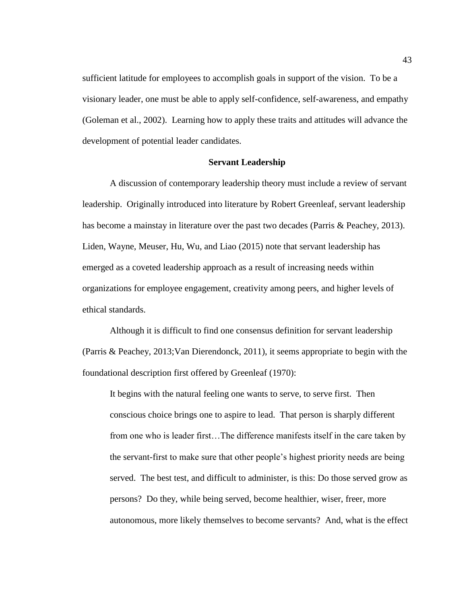sufficient latitude for employees to accomplish goals in support of the vision. To be a visionary leader, one must be able to apply self-confidence, self-awareness, and empathy (Goleman et al., 2002). Learning how to apply these traits and attitudes will advance the development of potential leader candidates.

#### **Servant Leadership**

A discussion of contemporary leadership theory must include a review of servant leadership. Originally introduced into literature by Robert Greenleaf, servant leadership has become a mainstay in literature over the past two decades (Parris & Peachey, 2013). Liden, Wayne, Meuser, Hu, Wu, and Liao (2015) note that servant leadership has emerged as a coveted leadership approach as a result of increasing needs within organizations for employee engagement, creativity among peers, and higher levels of ethical standards.

Although it is difficult to find one consensus definition for servant leadership (Parris & Peachey, 2013;Van Dierendonck, 2011), it seems appropriate to begin with the foundational description first offered by Greenleaf (1970):

It begins with the natural feeling one wants to serve, to serve first. Then conscious choice brings one to aspire to lead. That person is sharply different from one who is leader first…The difference manifests itself in the care taken by the servant-first to make sure that other people's highest priority needs are being served. The best test, and difficult to administer, is this: Do those served grow as persons? Do they, while being served, become healthier, wiser, freer, more autonomous, more likely themselves to become servants? And, what is the effect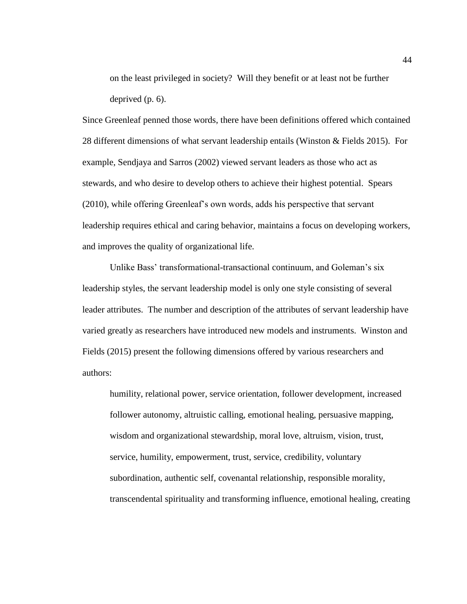on the least privileged in society? Will they benefit or at least not be further deprived (p. 6).

Since Greenleaf penned those words, there have been definitions offered which contained 28 different dimensions of what servant leadership entails (Winston & Fields 2015). For example, Sendjaya and Sarros (2002) viewed servant leaders as those who act as stewards, and who desire to develop others to achieve their highest potential. Spears (2010), while offering Greenleaf's own words, adds his perspective that servant leadership requires ethical and caring behavior, maintains a focus on developing workers, and improves the quality of organizational life.

Unlike Bass' transformational-transactional continuum, and Goleman's six leadership styles, the servant leadership model is only one style consisting of several leader attributes. The number and description of the attributes of servant leadership have varied greatly as researchers have introduced new models and instruments. Winston and Fields (2015) present the following dimensions offered by various researchers and authors:

humility, relational power, service orientation, follower development, increased follower autonomy, altruistic calling, emotional healing, persuasive mapping, wisdom and organizational stewardship, moral love, altruism, vision, trust, service, humility, empowerment, trust, service, credibility, voluntary subordination, authentic self, covenantal relationship, responsible morality, transcendental spirituality and transforming influence, emotional healing, creating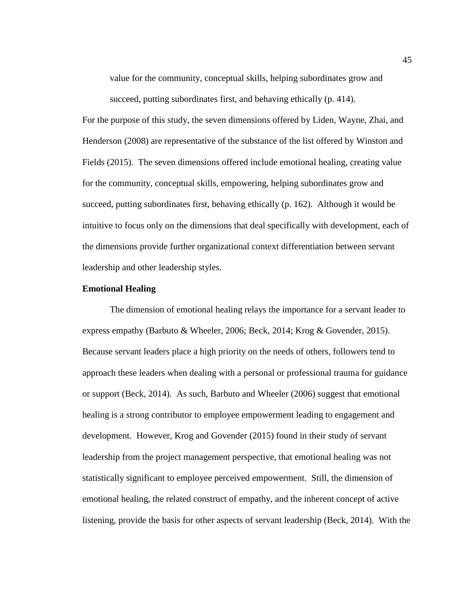value for the community, conceptual skills, helping subordinates grow and succeed, putting subordinates first, and behaving ethically (p. 414).

For the purpose of this study, the seven dimensions offered by Liden, Wayne, Zhai, and Henderson (2008) are representative of the substance of the list offered by Winston and Fields (2015). The seven dimensions offered include emotional healing, creating value for the community, conceptual skills, empowering, helping subordinates grow and succeed, putting subordinates first, behaving ethically (p. 162). Although it would be intuitive to focus only on the dimensions that deal specifically with development, each of the dimensions provide further organizational context differentiation between servant leadership and other leadership styles.

### **Emotional Healing**

The dimension of emotional healing relays the importance for a servant leader to express empathy (Barbuto & Wheeler, 2006; Beck, 2014; Krog & Govender, 2015). Because servant leaders place a high priority on the needs of others, followers tend to approach these leaders when dealing with a personal or professional trauma for guidance or support (Beck, 2014). As such, Barbuto and Wheeler (2006) suggest that emotional healing is a strong contributor to employee empowerment leading to engagement and development. However, Krog and Govender (2015) found in their study of servant leadership from the project management perspective, that emotional healing was not statistically significant to employee perceived empowerment. Still, the dimension of emotional healing, the related construct of empathy, and the inherent concept of active listening, provide the basis for other aspects of servant leadership (Beck, 2014). With the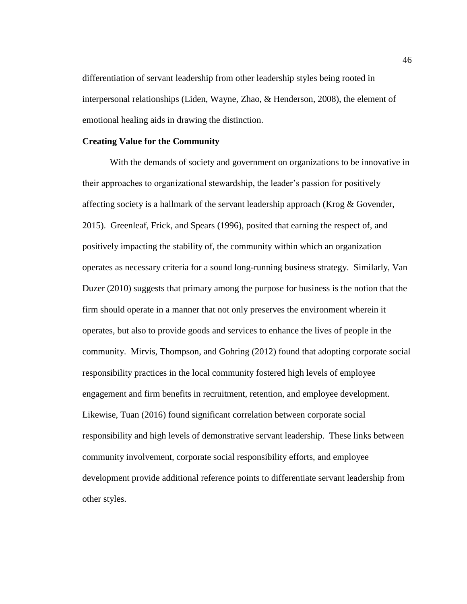differentiation of servant leadership from other leadership styles being rooted in interpersonal relationships (Liden, Wayne, Zhao, & Henderson, 2008), the element of emotional healing aids in drawing the distinction.

#### **Creating Value for the Community**

With the demands of society and government on organizations to be innovative in their approaches to organizational stewardship, the leader's passion for positively affecting society is a hallmark of the servant leadership approach (Krog & Govender, 2015). Greenleaf, Frick, and Spears (1996), posited that earning the respect of, and positively impacting the stability of, the community within which an organization operates as necessary criteria for a sound long-running business strategy. Similarly, Van Duzer (2010) suggests that primary among the purpose for business is the notion that the firm should operate in a manner that not only preserves the environment wherein it operates, but also to provide goods and services to enhance the lives of people in the community. Mirvis, Thompson, and Gohring (2012) found that adopting corporate social responsibility practices in the local community fostered high levels of employee engagement and firm benefits in recruitment, retention, and employee development. Likewise, Tuan (2016) found significant correlation between corporate social responsibility and high levels of demonstrative servant leadership. These links between community involvement, corporate social responsibility efforts, and employee development provide additional reference points to differentiate servant leadership from other styles.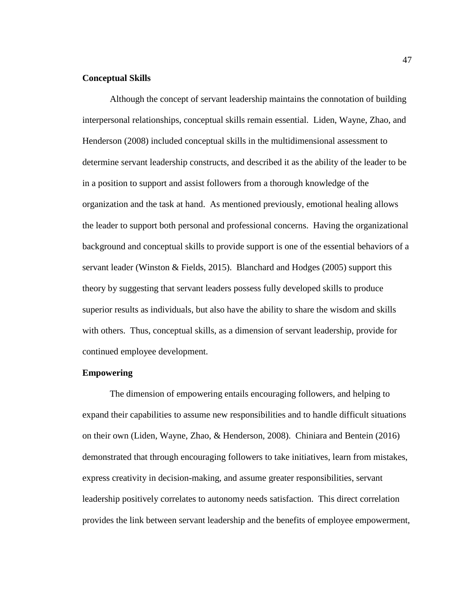### **Conceptual Skills**

Although the concept of servant leadership maintains the connotation of building interpersonal relationships, conceptual skills remain essential. Liden, Wayne, Zhao, and Henderson (2008) included conceptual skills in the multidimensional assessment to determine servant leadership constructs, and described it as the ability of the leader to be in a position to support and assist followers from a thorough knowledge of the organization and the task at hand. As mentioned previously, emotional healing allows the leader to support both personal and professional concerns. Having the organizational background and conceptual skills to provide support is one of the essential behaviors of a servant leader (Winston & Fields, 2015). Blanchard and Hodges (2005) support this theory by suggesting that servant leaders possess fully developed skills to produce superior results as individuals, but also have the ability to share the wisdom and skills with others. Thus, conceptual skills, as a dimension of servant leadership, provide for continued employee development.

# **Empowering**

The dimension of empowering entails encouraging followers, and helping to expand their capabilities to assume new responsibilities and to handle difficult situations on their own (Liden, Wayne, Zhao, & Henderson, 2008). Chiniara and Bentein (2016) demonstrated that through encouraging followers to take initiatives, learn from mistakes, express creativity in decision-making, and assume greater responsibilities, servant leadership positively correlates to autonomy needs satisfaction. This direct correlation provides the link between servant leadership and the benefits of employee empowerment,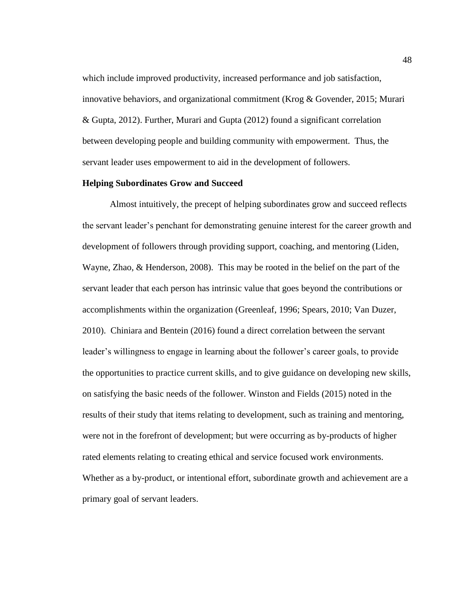which include improved productivity, increased performance and job satisfaction, innovative behaviors, and organizational commitment (Krog  $\&$  Govender, 2015; Murari & Gupta, 2012). Further, Murari and Gupta (2012) found a significant correlation between developing people and building community with empowerment. Thus, the servant leader uses empowerment to aid in the development of followers.

# **Helping Subordinates Grow and Succeed**

Almost intuitively, the precept of helping subordinates grow and succeed reflects the servant leader's penchant for demonstrating genuine interest for the career growth and development of followers through providing support, coaching, and mentoring (Liden, Wayne, Zhao, & Henderson, 2008). This may be rooted in the belief on the part of the servant leader that each person has intrinsic value that goes beyond the contributions or accomplishments within the organization (Greenleaf, 1996; Spears, 2010; Van Duzer, 2010). Chiniara and Bentein (2016) found a direct correlation between the servant leader's willingness to engage in learning about the follower's career goals, to provide the opportunities to practice current skills, and to give guidance on developing new skills, on satisfying the basic needs of the follower. Winston and Fields (2015) noted in the results of their study that items relating to development, such as training and mentoring, were not in the forefront of development; but were occurring as by-products of higher rated elements relating to creating ethical and service focused work environments. Whether as a by-product, or intentional effort, subordinate growth and achievement are a primary goal of servant leaders.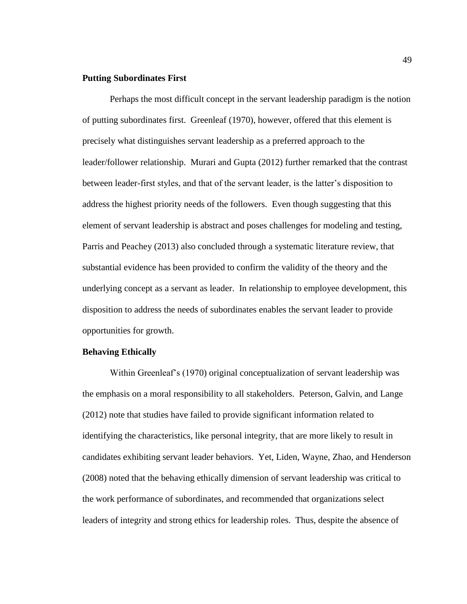### **Putting Subordinates First**

Perhaps the most difficult concept in the servant leadership paradigm is the notion of putting subordinates first. Greenleaf (1970), however, offered that this element is precisely what distinguishes servant leadership as a preferred approach to the leader/follower relationship. Murari and Gupta (2012) further remarked that the contrast between leader-first styles, and that of the servant leader, is the latter's disposition to address the highest priority needs of the followers. Even though suggesting that this element of servant leadership is abstract and poses challenges for modeling and testing, Parris and Peachey (2013) also concluded through a systematic literature review, that substantial evidence has been provided to confirm the validity of the theory and the underlying concept as a servant as leader. In relationship to employee development, this disposition to address the needs of subordinates enables the servant leader to provide opportunities for growth.

## **Behaving Ethically**

Within Greenleaf's (1970) original conceptualization of servant leadership was the emphasis on a moral responsibility to all stakeholders. Peterson, Galvin, and Lange (2012) note that studies have failed to provide significant information related to identifying the characteristics, like personal integrity, that are more likely to result in candidates exhibiting servant leader behaviors. Yet, Liden, Wayne, Zhao, and Henderson (2008) noted that the behaving ethically dimension of servant leadership was critical to the work performance of subordinates, and recommended that organizations select leaders of integrity and strong ethics for leadership roles. Thus, despite the absence of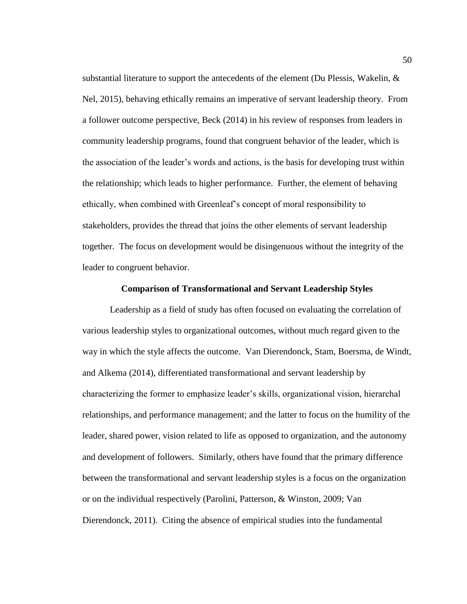substantial literature to support the antecedents of the element (Du Plessis, Wakelin,  $\&$ Nel, 2015), behaving ethically remains an imperative of servant leadership theory. From a follower outcome perspective, Beck (2014) in his review of responses from leaders in community leadership programs, found that congruent behavior of the leader, which is the association of the leader's words and actions, is the basis for developing trust within the relationship; which leads to higher performance. Further, the element of behaving ethically, when combined with Greenleaf's concept of moral responsibility to stakeholders, provides the thread that joins the other elements of servant leadership together. The focus on development would be disingenuous without the integrity of the leader to congruent behavior.

# **Comparison of Transformational and Servant Leadership Styles**

Leadership as a field of study has often focused on evaluating the correlation of various leadership styles to organizational outcomes, without much regard given to the way in which the style affects the outcome. Van Dierendonck, Stam, Boersma, de Windt, and Alkema (2014), differentiated transformational and servant leadership by characterizing the former to emphasize leader's skills, organizational vision, hierarchal relationships, and performance management; and the latter to focus on the humility of the leader, shared power, vision related to life as opposed to organization, and the autonomy and development of followers. Similarly, others have found that the primary difference between the transformational and servant leadership styles is a focus on the organization or on the individual respectively (Parolini, Patterson, & Winston, 2009; Van Dierendonck, 2011). Citing the absence of empirical studies into the fundamental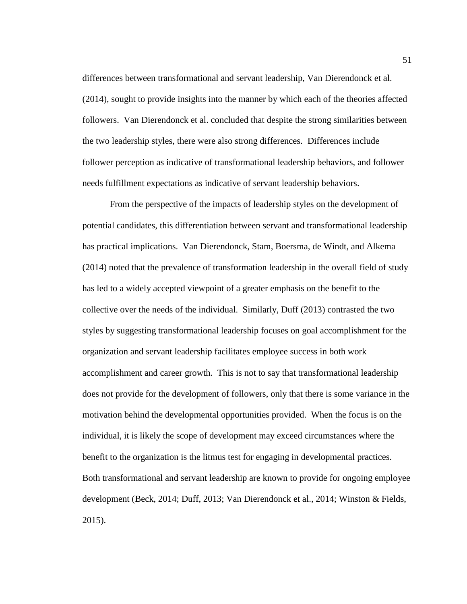differences between transformational and servant leadership, Van Dierendonck et al. (2014), sought to provide insights into the manner by which each of the theories affected followers. Van Dierendonck et al. concluded that despite the strong similarities between the two leadership styles, there were also strong differences. Differences include follower perception as indicative of transformational leadership behaviors, and follower needs fulfillment expectations as indicative of servant leadership behaviors.

From the perspective of the impacts of leadership styles on the development of potential candidates, this differentiation between servant and transformational leadership has practical implications. Van Dierendonck, Stam, Boersma, de Windt, and Alkema (2014) noted that the prevalence of transformation leadership in the overall field of study has led to a widely accepted viewpoint of a greater emphasis on the benefit to the collective over the needs of the individual. Similarly, Duff (2013) contrasted the two styles by suggesting transformational leadership focuses on goal accomplishment for the organization and servant leadership facilitates employee success in both work accomplishment and career growth. This is not to say that transformational leadership does not provide for the development of followers, only that there is some variance in the motivation behind the developmental opportunities provided. When the focus is on the individual, it is likely the scope of development may exceed circumstances where the benefit to the organization is the litmus test for engaging in developmental practices. Both transformational and servant leadership are known to provide for ongoing employee development (Beck, 2014; Duff, 2013; Van Dierendonck et al., 2014; Winston & Fields, 2015).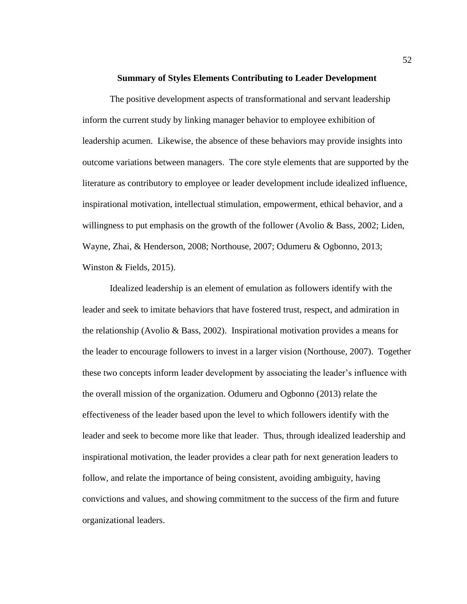#### **Summary of Styles Elements Contributing to Leader Development**

The positive development aspects of transformational and servant leadership inform the current study by linking manager behavior to employee exhibition of leadership acumen. Likewise, the absence of these behaviors may provide insights into outcome variations between managers. The core style elements that are supported by the literature as contributory to employee or leader development include idealized influence, inspirational motivation, intellectual stimulation, empowerment, ethical behavior, and a willingness to put emphasis on the growth of the follower (Avolio & Bass, 2002; Liden, Wayne, Zhai, & Henderson, 2008; Northouse, 2007; Odumeru & Ogbonno, 2013; Winston & Fields, 2015).

Idealized leadership is an element of emulation as followers identify with the leader and seek to imitate behaviors that have fostered trust, respect, and admiration in the relationship (Avolio & Bass, 2002). Inspirational motivation provides a means for the leader to encourage followers to invest in a larger vision (Northouse, 2007). Together these two concepts inform leader development by associating the leader's influence with the overall mission of the organization. Odumeru and Ogbonno (2013) relate the effectiveness of the leader based upon the level to which followers identify with the leader and seek to become more like that leader. Thus, through idealized leadership and inspirational motivation, the leader provides a clear path for next generation leaders to follow, and relate the importance of being consistent, avoiding ambiguity, having convictions and values, and showing commitment to the success of the firm and future organizational leaders.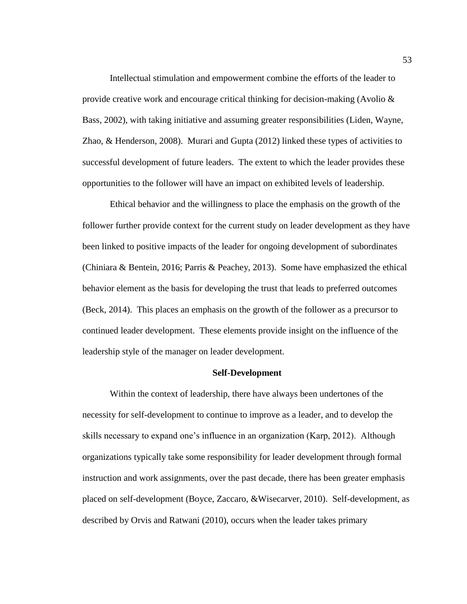Intellectual stimulation and empowerment combine the efforts of the leader to provide creative work and encourage critical thinking for decision-making (Avolio  $\&$ Bass, 2002), with taking initiative and assuming greater responsibilities (Liden, Wayne, Zhao, & Henderson, 2008). Murari and Gupta (2012) linked these types of activities to successful development of future leaders. The extent to which the leader provides these opportunities to the follower will have an impact on exhibited levels of leadership.

Ethical behavior and the willingness to place the emphasis on the growth of the follower further provide context for the current study on leader development as they have been linked to positive impacts of the leader for ongoing development of subordinates (Chiniara & Bentein, 2016; Parris & Peachey, 2013). Some have emphasized the ethical behavior element as the basis for developing the trust that leads to preferred outcomes (Beck, 2014). This places an emphasis on the growth of the follower as a precursor to continued leader development. These elements provide insight on the influence of the leadership style of the manager on leader development.

# **Self-Development**

Within the context of leadership, there have always been undertones of the necessity for self-development to continue to improve as a leader, and to develop the skills necessary to expand one's influence in an organization (Karp, 2012). Although organizations typically take some responsibility for leader development through formal instruction and work assignments, over the past decade, there has been greater emphasis placed on self-development (Boyce, Zaccaro, &Wisecarver, 2010). Self-development, as described by Orvis and Ratwani (2010), occurs when the leader takes primary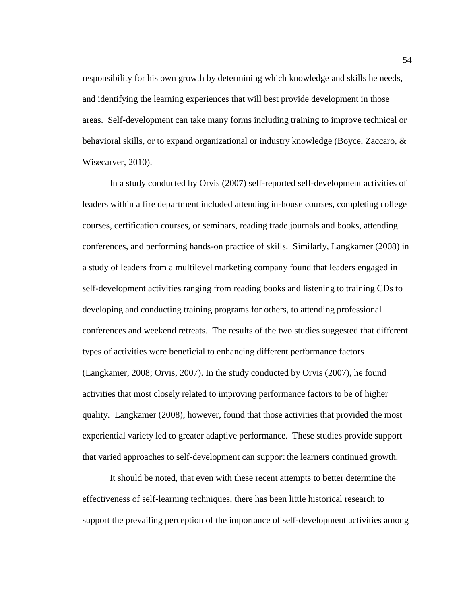responsibility for his own growth by determining which knowledge and skills he needs, and identifying the learning experiences that will best provide development in those areas. Self-development can take many forms including training to improve technical or behavioral skills, or to expand organizational or industry knowledge (Boyce, Zaccaro, & Wisecarver, 2010).

In a study conducted by Orvis (2007) self-reported self-development activities of leaders within a fire department included attending in-house courses, completing college courses, certification courses, or seminars, reading trade journals and books, attending conferences, and performing hands-on practice of skills. Similarly, Langkamer (2008) in a study of leaders from a multilevel marketing company found that leaders engaged in self-development activities ranging from reading books and listening to training CDs to developing and conducting training programs for others, to attending professional conferences and weekend retreats. The results of the two studies suggested that different types of activities were beneficial to enhancing different performance factors (Langkamer, 2008; Orvis, 2007). In the study conducted by Orvis (2007), he found activities that most closely related to improving performance factors to be of higher quality. Langkamer (2008), however, found that those activities that provided the most experiential variety led to greater adaptive performance. These studies provide support that varied approaches to self-development can support the learners continued growth.

It should be noted, that even with these recent attempts to better determine the effectiveness of self-learning techniques, there has been little historical research to support the prevailing perception of the importance of self-development activities among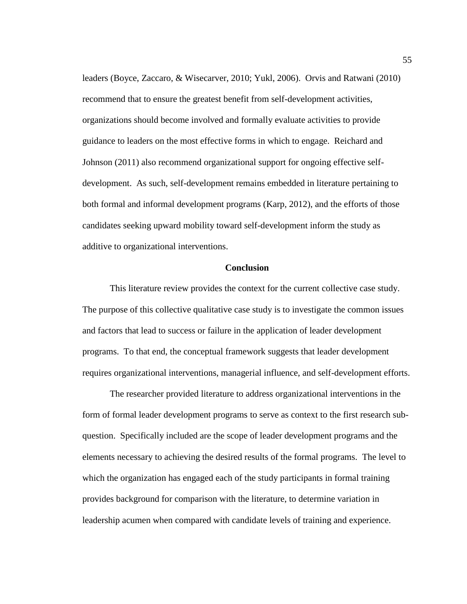leaders (Boyce, Zaccaro, & Wisecarver, 2010; Yukl, 2006). Orvis and Ratwani (2010) recommend that to ensure the greatest benefit from self-development activities, organizations should become involved and formally evaluate activities to provide guidance to leaders on the most effective forms in which to engage. Reichard and Johnson (2011) also recommend organizational support for ongoing effective selfdevelopment. As such, self-development remains embedded in literature pertaining to both formal and informal development programs (Karp, 2012), and the efforts of those candidates seeking upward mobility toward self-development inform the study as additive to organizational interventions.

#### **Conclusion**

This literature review provides the context for the current collective case study. The purpose of this collective qualitative case study is to investigate the common issues and factors that lead to success or failure in the application of leader development programs. To that end, the conceptual framework suggests that leader development requires organizational interventions, managerial influence, and self-development efforts.

The researcher provided literature to address organizational interventions in the form of formal leader development programs to serve as context to the first research subquestion. Specifically included are the scope of leader development programs and the elements necessary to achieving the desired results of the formal programs. The level to which the organization has engaged each of the study participants in formal training provides background for comparison with the literature, to determine variation in leadership acumen when compared with candidate levels of training and experience.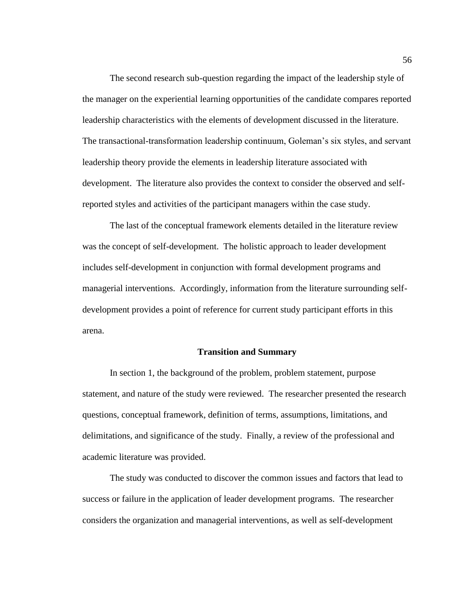The second research sub-question regarding the impact of the leadership style of the manager on the experiential learning opportunities of the candidate compares reported leadership characteristics with the elements of development discussed in the literature. The transactional-transformation leadership continuum, Goleman's six styles, and servant leadership theory provide the elements in leadership literature associated with development. The literature also provides the context to consider the observed and selfreported styles and activities of the participant managers within the case study.

The last of the conceptual framework elements detailed in the literature review was the concept of self-development. The holistic approach to leader development includes self-development in conjunction with formal development programs and managerial interventions. Accordingly, information from the literature surrounding selfdevelopment provides a point of reference for current study participant efforts in this arena.

#### **Transition and Summary**

In section 1, the background of the problem, problem statement, purpose statement, and nature of the study were reviewed. The researcher presented the research questions, conceptual framework, definition of terms, assumptions, limitations, and delimitations, and significance of the study. Finally, a review of the professional and academic literature was provided.

The study was conducted to discover the common issues and factors that lead to success or failure in the application of leader development programs. The researcher considers the organization and managerial interventions, as well as self-development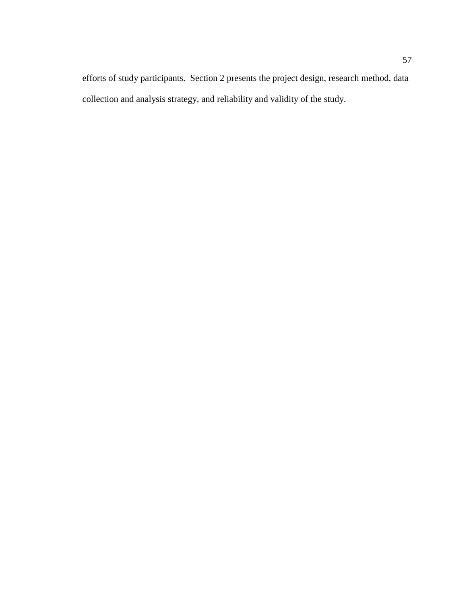efforts of study participants. Section 2 presents the project design, research method, data collection and analysis strategy, and reliability and validity of the study.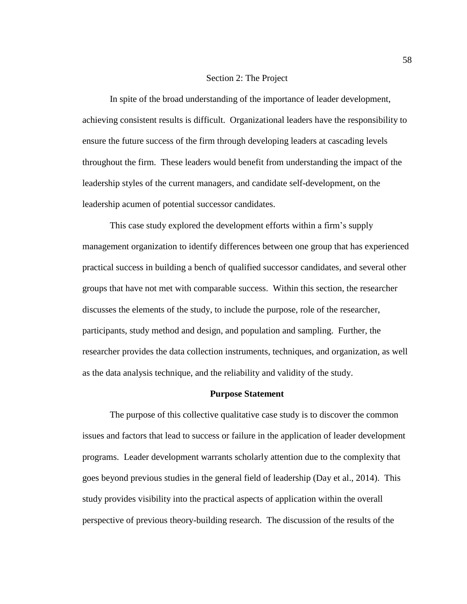#### Section 2: The Project

In spite of the broad understanding of the importance of leader development, achieving consistent results is difficult. Organizational leaders have the responsibility to ensure the future success of the firm through developing leaders at cascading levels throughout the firm. These leaders would benefit from understanding the impact of the leadership styles of the current managers, and candidate self-development, on the leadership acumen of potential successor candidates.

This case study explored the development efforts within a firm's supply management organization to identify differences between one group that has experienced practical success in building a bench of qualified successor candidates, and several other groups that have not met with comparable success. Within this section, the researcher discusses the elements of the study, to include the purpose, role of the researcher, participants, study method and design, and population and sampling. Further, the researcher provides the data collection instruments, techniques, and organization, as well as the data analysis technique, and the reliability and validity of the study.

# **Purpose Statement**

The purpose of this collective qualitative case study is to discover the common issues and factors that lead to success or failure in the application of leader development programs. Leader development warrants scholarly attention due to the complexity that goes beyond previous studies in the general field of leadership (Day et al., 2014). This study provides visibility into the practical aspects of application within the overall perspective of previous theory-building research. The discussion of the results of the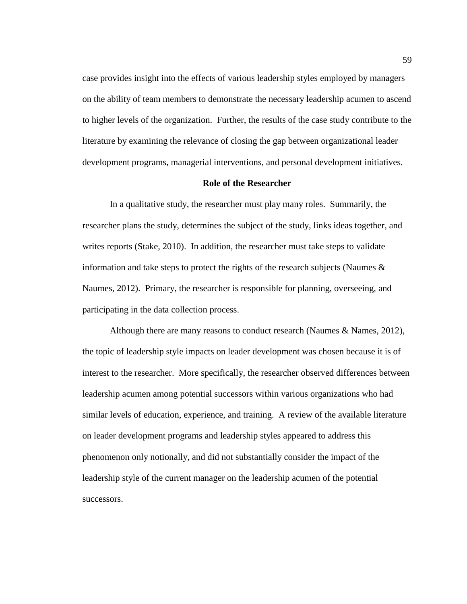case provides insight into the effects of various leadership styles employed by managers on the ability of team members to demonstrate the necessary leadership acumen to ascend to higher levels of the organization. Further, the results of the case study contribute to the literature by examining the relevance of closing the gap between organizational leader development programs, managerial interventions, and personal development initiatives.

#### **Role of the Researcher**

In a qualitative study, the researcher must play many roles. Summarily, the researcher plans the study, determines the subject of the study, links ideas together, and writes reports (Stake, 2010). In addition, the researcher must take steps to validate information and take steps to protect the rights of the research subjects (Naumes  $\&$ Naumes, 2012). Primary, the researcher is responsible for planning, overseeing, and participating in the data collection process.

Although there are many reasons to conduct research (Naumes & Names, 2012), the topic of leadership style impacts on leader development was chosen because it is of interest to the researcher. More specifically, the researcher observed differences between leadership acumen among potential successors within various organizations who had similar levels of education, experience, and training. A review of the available literature on leader development programs and leadership styles appeared to address this phenomenon only notionally, and did not substantially consider the impact of the leadership style of the current manager on the leadership acumen of the potential successors.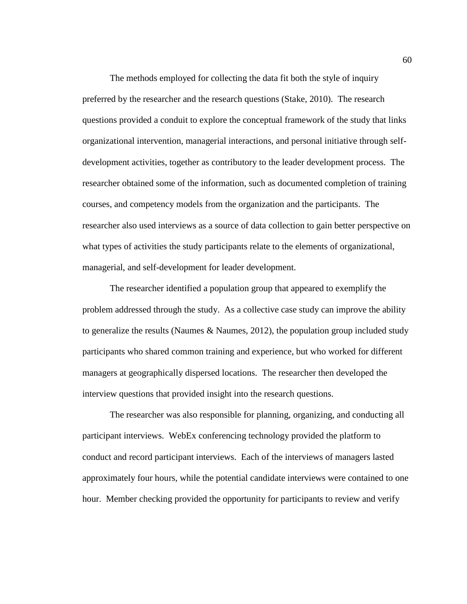The methods employed for collecting the data fit both the style of inquiry preferred by the researcher and the research questions (Stake, 2010). The research questions provided a conduit to explore the conceptual framework of the study that links organizational intervention, managerial interactions, and personal initiative through selfdevelopment activities, together as contributory to the leader development process. The researcher obtained some of the information, such as documented completion of training courses, and competency models from the organization and the participants. The researcher also used interviews as a source of data collection to gain better perspective on what types of activities the study participants relate to the elements of organizational, managerial, and self-development for leader development.

The researcher identified a population group that appeared to exemplify the problem addressed through the study. As a collective case study can improve the ability to generalize the results (Naumes & Naumes, 2012), the population group included study participants who shared common training and experience, but who worked for different managers at geographically dispersed locations. The researcher then developed the interview questions that provided insight into the research questions.

The researcher was also responsible for planning, organizing, and conducting all participant interviews. WebEx conferencing technology provided the platform to conduct and record participant interviews. Each of the interviews of managers lasted approximately four hours, while the potential candidate interviews were contained to one hour. Member checking provided the opportunity for participants to review and verify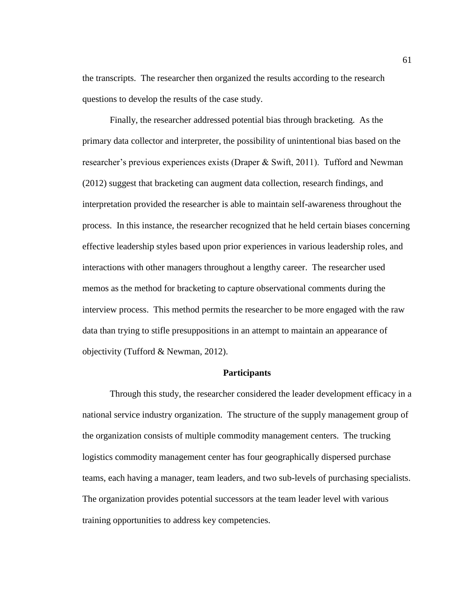the transcripts. The researcher then organized the results according to the research questions to develop the results of the case study.

Finally, the researcher addressed potential bias through bracketing. As the primary data collector and interpreter, the possibility of unintentional bias based on the researcher's previous experiences exists (Draper & Swift, 2011). Tufford and Newman (2012) suggest that bracketing can augment data collection, research findings, and interpretation provided the researcher is able to maintain self-awareness throughout the process. In this instance, the researcher recognized that he held certain biases concerning effective leadership styles based upon prior experiences in various leadership roles, and interactions with other managers throughout a lengthy career. The researcher used memos as the method for bracketing to capture observational comments during the interview process. This method permits the researcher to be more engaged with the raw data than trying to stifle presuppositions in an attempt to maintain an appearance of objectivity (Tufford & Newman, 2012).

# **Participants**

Through this study, the researcher considered the leader development efficacy in a national service industry organization. The structure of the supply management group of the organization consists of multiple commodity management centers. The trucking logistics commodity management center has four geographically dispersed purchase teams, each having a manager, team leaders, and two sub-levels of purchasing specialists. The organization provides potential successors at the team leader level with various training opportunities to address key competencies.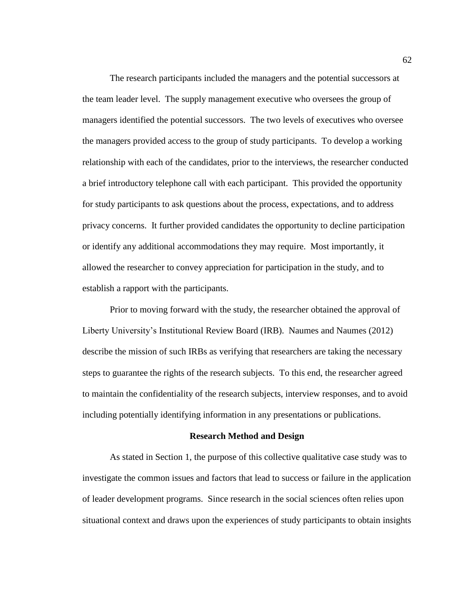The research participants included the managers and the potential successors at the team leader level. The supply management executive who oversees the group of managers identified the potential successors. The two levels of executives who oversee the managers provided access to the group of study participants. To develop a working relationship with each of the candidates, prior to the interviews, the researcher conducted a brief introductory telephone call with each participant. This provided the opportunity for study participants to ask questions about the process, expectations, and to address privacy concerns. It further provided candidates the opportunity to decline participation or identify any additional accommodations they may require. Most importantly, it allowed the researcher to convey appreciation for participation in the study, and to establish a rapport with the participants.

Prior to moving forward with the study, the researcher obtained the approval of Liberty University's Institutional Review Board (IRB). Naumes and Naumes (2012) describe the mission of such IRBs as verifying that researchers are taking the necessary steps to guarantee the rights of the research subjects. To this end, the researcher agreed to maintain the confidentiality of the research subjects, interview responses, and to avoid including potentially identifying information in any presentations or publications.

### **Research Method and Design**

As stated in Section 1, the purpose of this collective qualitative case study was to investigate the common issues and factors that lead to success or failure in the application of leader development programs. Since research in the social sciences often relies upon situational context and draws upon the experiences of study participants to obtain insights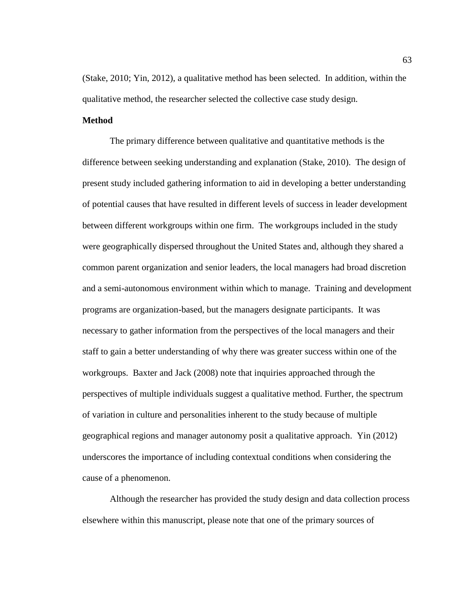(Stake, 2010; Yin, 2012), a qualitative method has been selected. In addition, within the qualitative method, the researcher selected the collective case study design.

#### **Method**

The primary difference between qualitative and quantitative methods is the difference between seeking understanding and explanation (Stake, 2010). The design of present study included gathering information to aid in developing a better understanding of potential causes that have resulted in different levels of success in leader development between different workgroups within one firm. The workgroups included in the study were geographically dispersed throughout the United States and, although they shared a common parent organization and senior leaders, the local managers had broad discretion and a semi-autonomous environment within which to manage. Training and development programs are organization-based, but the managers designate participants. It was necessary to gather information from the perspectives of the local managers and their staff to gain a better understanding of why there was greater success within one of the workgroups. Baxter and Jack (2008) note that inquiries approached through the perspectives of multiple individuals suggest a qualitative method. Further, the spectrum of variation in culture and personalities inherent to the study because of multiple geographical regions and manager autonomy posit a qualitative approach. Yin (2012) underscores the importance of including contextual conditions when considering the cause of a phenomenon.

Although the researcher has provided the study design and data collection process elsewhere within this manuscript, please note that one of the primary sources of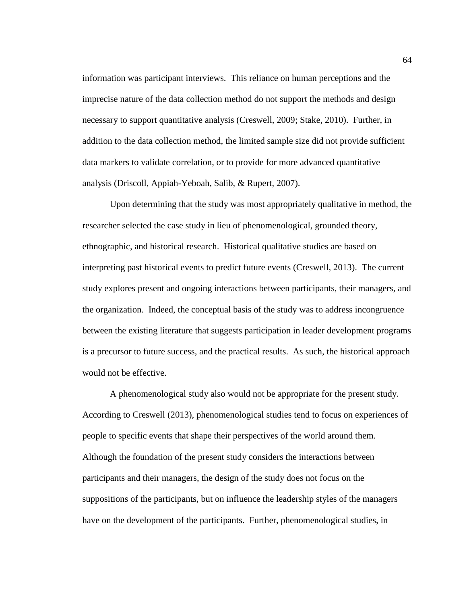information was participant interviews. This reliance on human perceptions and the imprecise nature of the data collection method do not support the methods and design necessary to support quantitative analysis (Creswell, 2009; Stake, 2010). Further, in addition to the data collection method, the limited sample size did not provide sufficient data markers to validate correlation, or to provide for more advanced quantitative analysis (Driscoll, Appiah-Yeboah, Salib, & Rupert, 2007).

Upon determining that the study was most appropriately qualitative in method, the researcher selected the case study in lieu of phenomenological, grounded theory, ethnographic, and historical research. Historical qualitative studies are based on interpreting past historical events to predict future events (Creswell, 2013). The current study explores present and ongoing interactions between participants, their managers, and the organization. Indeed, the conceptual basis of the study was to address incongruence between the existing literature that suggests participation in leader development programs is a precursor to future success, and the practical results. As such, the historical approach would not be effective.

A phenomenological study also would not be appropriate for the present study. According to Creswell (2013), phenomenological studies tend to focus on experiences of people to specific events that shape their perspectives of the world around them. Although the foundation of the present study considers the interactions between participants and their managers, the design of the study does not focus on the suppositions of the participants, but on influence the leadership styles of the managers have on the development of the participants. Further, phenomenological studies, in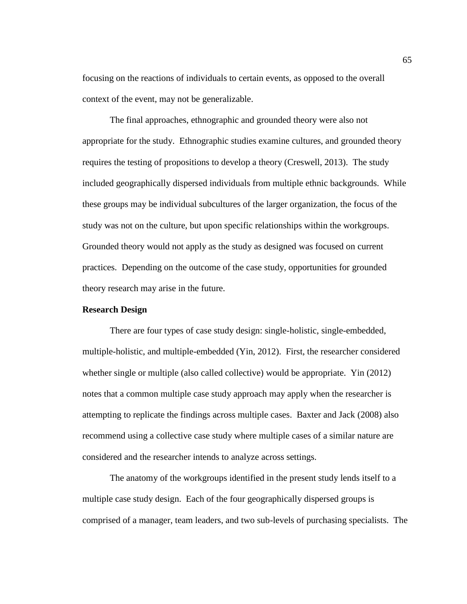focusing on the reactions of individuals to certain events, as opposed to the overall context of the event, may not be generalizable.

The final approaches, ethnographic and grounded theory were also not appropriate for the study. Ethnographic studies examine cultures, and grounded theory requires the testing of propositions to develop a theory (Creswell, 2013). The study included geographically dispersed individuals from multiple ethnic backgrounds. While these groups may be individual subcultures of the larger organization, the focus of the study was not on the culture, but upon specific relationships within the workgroups. Grounded theory would not apply as the study as designed was focused on current practices. Depending on the outcome of the case study, opportunities for grounded theory research may arise in the future.

## **Research Design**

There are four types of case study design: single-holistic, single-embedded, multiple-holistic, and multiple-embedded (Yin, 2012). First, the researcher considered whether single or multiple (also called collective) would be appropriate. Yin (2012) notes that a common multiple case study approach may apply when the researcher is attempting to replicate the findings across multiple cases. Baxter and Jack (2008) also recommend using a collective case study where multiple cases of a similar nature are considered and the researcher intends to analyze across settings.

The anatomy of the workgroups identified in the present study lends itself to a multiple case study design. Each of the four geographically dispersed groups is comprised of a manager, team leaders, and two sub-levels of purchasing specialists. The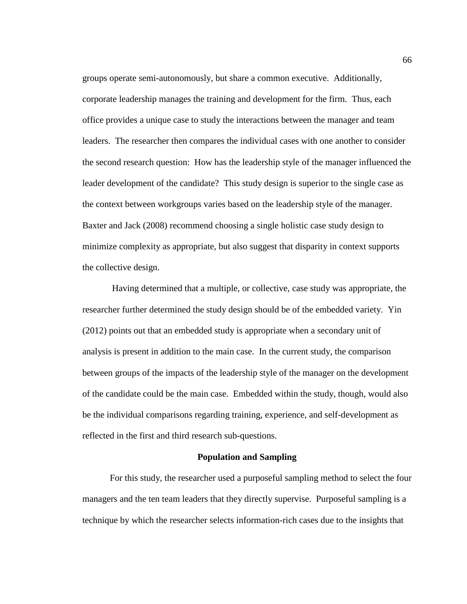groups operate semi-autonomously, but share a common executive. Additionally, corporate leadership manages the training and development for the firm. Thus, each office provides a unique case to study the interactions between the manager and team leaders. The researcher then compares the individual cases with one another to consider the second research question: How has the leadership style of the manager influenced the leader development of the candidate? This study design is superior to the single case as the context between workgroups varies based on the leadership style of the manager. Baxter and Jack (2008) recommend choosing a single holistic case study design to minimize complexity as appropriate, but also suggest that disparity in context supports the collective design.

Having determined that a multiple, or collective, case study was appropriate, the researcher further determined the study design should be of the embedded variety. Yin (2012) points out that an embedded study is appropriate when a secondary unit of analysis is present in addition to the main case. In the current study, the comparison between groups of the impacts of the leadership style of the manager on the development of the candidate could be the main case. Embedded within the study, though, would also be the individual comparisons regarding training, experience, and self-development as reflected in the first and third research sub-questions.

### **Population and Sampling**

For this study, the researcher used a purposeful sampling method to select the four managers and the ten team leaders that they directly supervise. Purposeful sampling is a technique by which the researcher selects information-rich cases due to the insights that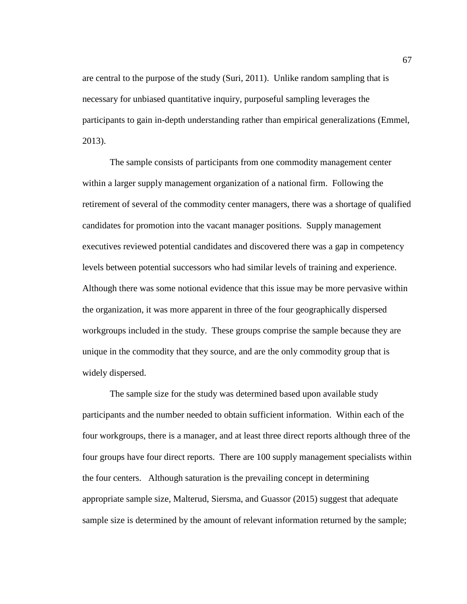are central to the purpose of the study (Suri, 2011). Unlike random sampling that is necessary for unbiased quantitative inquiry, purposeful sampling leverages the participants to gain in-depth understanding rather than empirical generalizations (Emmel, 2013).

The sample consists of participants from one commodity management center within a larger supply management organization of a national firm. Following the retirement of several of the commodity center managers, there was a shortage of qualified candidates for promotion into the vacant manager positions. Supply management executives reviewed potential candidates and discovered there was a gap in competency levels between potential successors who had similar levels of training and experience. Although there was some notional evidence that this issue may be more pervasive within the organization, it was more apparent in three of the four geographically dispersed workgroups included in the study. These groups comprise the sample because they are unique in the commodity that they source, and are the only commodity group that is widely dispersed.

The sample size for the study was determined based upon available study participants and the number needed to obtain sufficient information. Within each of the four workgroups, there is a manager, and at least three direct reports although three of the four groups have four direct reports. There are 100 supply management specialists within the four centers. Although saturation is the prevailing concept in determining appropriate sample size, Malterud, Siersma, and Guassor (2015) suggest that adequate sample size is determined by the amount of relevant information returned by the sample;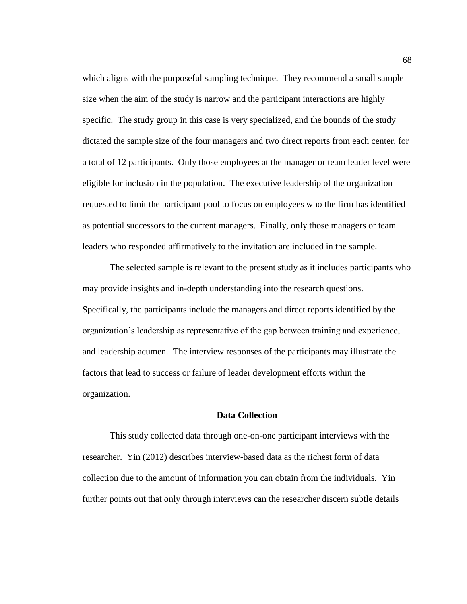which aligns with the purposeful sampling technique. They recommend a small sample size when the aim of the study is narrow and the participant interactions are highly specific. The study group in this case is very specialized, and the bounds of the study dictated the sample size of the four managers and two direct reports from each center, for a total of 12 participants. Only those employees at the manager or team leader level were eligible for inclusion in the population. The executive leadership of the organization requested to limit the participant pool to focus on employees who the firm has identified as potential successors to the current managers. Finally, only those managers or team leaders who responded affirmatively to the invitation are included in the sample.

The selected sample is relevant to the present study as it includes participants who may provide insights and in-depth understanding into the research questions. Specifically, the participants include the managers and direct reports identified by the organization's leadership as representative of the gap between training and experience, and leadership acumen. The interview responses of the participants may illustrate the factors that lead to success or failure of leader development efforts within the organization.

# **Data Collection**

This study collected data through one-on-one participant interviews with the researcher. Yin (2012) describes interview-based data as the richest form of data collection due to the amount of information you can obtain from the individuals. Yin further points out that only through interviews can the researcher discern subtle details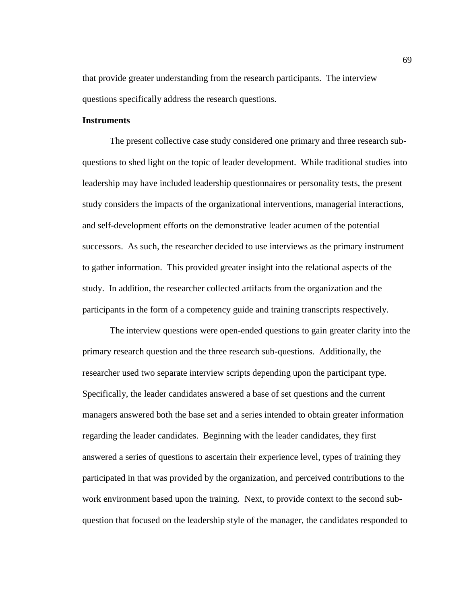that provide greater understanding from the research participants. The interview questions specifically address the research questions.

#### **Instruments**

The present collective case study considered one primary and three research subquestions to shed light on the topic of leader development. While traditional studies into leadership may have included leadership questionnaires or personality tests, the present study considers the impacts of the organizational interventions, managerial interactions, and self-development efforts on the demonstrative leader acumen of the potential successors. As such, the researcher decided to use interviews as the primary instrument to gather information. This provided greater insight into the relational aspects of the study. In addition, the researcher collected artifacts from the organization and the participants in the form of a competency guide and training transcripts respectively.

The interview questions were open-ended questions to gain greater clarity into the primary research question and the three research sub-questions. Additionally, the researcher used two separate interview scripts depending upon the participant type. Specifically, the leader candidates answered a base of set questions and the current managers answered both the base set and a series intended to obtain greater information regarding the leader candidates. Beginning with the leader candidates, they first answered a series of questions to ascertain their experience level, types of training they participated in that was provided by the organization, and perceived contributions to the work environment based upon the training. Next, to provide context to the second subquestion that focused on the leadership style of the manager, the candidates responded to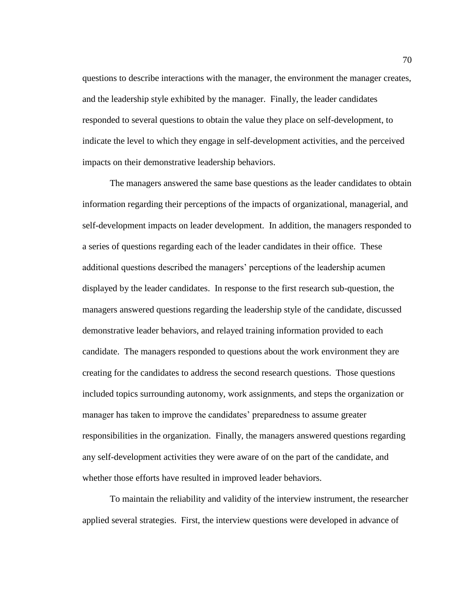questions to describe interactions with the manager, the environment the manager creates, and the leadership style exhibited by the manager. Finally, the leader candidates responded to several questions to obtain the value they place on self-development, to indicate the level to which they engage in self-development activities, and the perceived impacts on their demonstrative leadership behaviors.

The managers answered the same base questions as the leader candidates to obtain information regarding their perceptions of the impacts of organizational, managerial, and self-development impacts on leader development. In addition, the managers responded to a series of questions regarding each of the leader candidates in their office. These additional questions described the managers' perceptions of the leadership acumen displayed by the leader candidates. In response to the first research sub-question, the managers answered questions regarding the leadership style of the candidate, discussed demonstrative leader behaviors, and relayed training information provided to each candidate. The managers responded to questions about the work environment they are creating for the candidates to address the second research questions. Those questions included topics surrounding autonomy, work assignments, and steps the organization or manager has taken to improve the candidates' preparedness to assume greater responsibilities in the organization. Finally, the managers answered questions regarding any self-development activities they were aware of on the part of the candidate, and whether those efforts have resulted in improved leader behaviors.

To maintain the reliability and validity of the interview instrument, the researcher applied several strategies. First, the interview questions were developed in advance of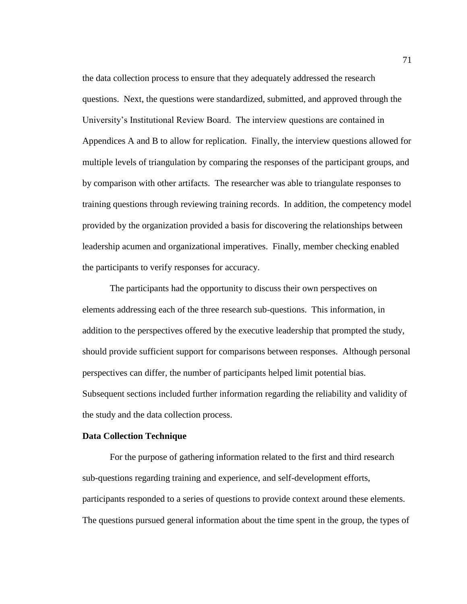the data collection process to ensure that they adequately addressed the research questions. Next, the questions were standardized, submitted, and approved through the University's Institutional Review Board. The interview questions are contained in Appendices A and B to allow for replication. Finally, the interview questions allowed for multiple levels of triangulation by comparing the responses of the participant groups, and by comparison with other artifacts. The researcher was able to triangulate responses to training questions through reviewing training records. In addition, the competency model provided by the organization provided a basis for discovering the relationships between leadership acumen and organizational imperatives. Finally, member checking enabled the participants to verify responses for accuracy.

The participants had the opportunity to discuss their own perspectives on elements addressing each of the three research sub-questions. This information, in addition to the perspectives offered by the executive leadership that prompted the study, should provide sufficient support for comparisons between responses. Although personal perspectives can differ, the number of participants helped limit potential bias. Subsequent sections included further information regarding the reliability and validity of the study and the data collection process.

### **Data Collection Technique**

For the purpose of gathering information related to the first and third research sub-questions regarding training and experience, and self-development efforts, participants responded to a series of questions to provide context around these elements. The questions pursued general information about the time spent in the group, the types of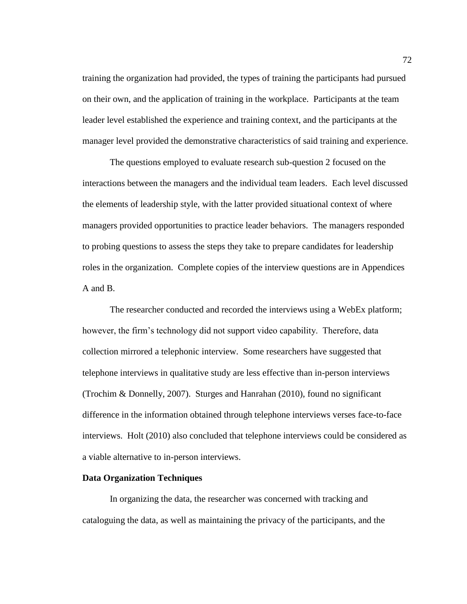training the organization had provided, the types of training the participants had pursued on their own, and the application of training in the workplace. Participants at the team leader level established the experience and training context, and the participants at the manager level provided the demonstrative characteristics of said training and experience.

The questions employed to evaluate research sub-question 2 focused on the interactions between the managers and the individual team leaders. Each level discussed the elements of leadership style, with the latter provided situational context of where managers provided opportunities to practice leader behaviors. The managers responded to probing questions to assess the steps they take to prepare candidates for leadership roles in the organization. Complete copies of the interview questions are in Appendices A and B.

The researcher conducted and recorded the interviews using a WebEx platform; however, the firm's technology did not support video capability. Therefore, data collection mirrored a telephonic interview. Some researchers have suggested that telephone interviews in qualitative study are less effective than in-person interviews (Trochim & Donnelly, 2007). Sturges and Hanrahan (2010), found no significant difference in the information obtained through telephone interviews verses face-to-face interviews. Holt (2010) also concluded that telephone interviews could be considered as a viable alternative to in-person interviews.

## **Data Organization Techniques**

In organizing the data, the researcher was concerned with tracking and cataloguing the data, as well as maintaining the privacy of the participants, and the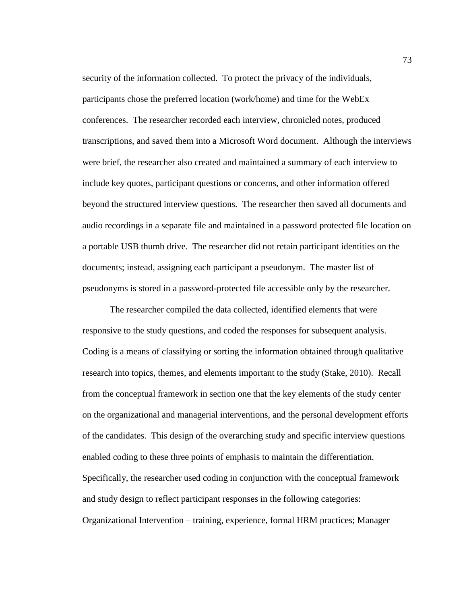security of the information collected. To protect the privacy of the individuals, participants chose the preferred location (work/home) and time for the WebEx conferences. The researcher recorded each interview, chronicled notes, produced transcriptions, and saved them into a Microsoft Word document. Although the interviews were brief, the researcher also created and maintained a summary of each interview to include key quotes, participant questions or concerns, and other information offered beyond the structured interview questions. The researcher then saved all documents and audio recordings in a separate file and maintained in a password protected file location on a portable USB thumb drive. The researcher did not retain participant identities on the documents; instead, assigning each participant a pseudonym. The master list of pseudonyms is stored in a password-protected file accessible only by the researcher.

The researcher compiled the data collected, identified elements that were responsive to the study questions, and coded the responses for subsequent analysis. Coding is a means of classifying or sorting the information obtained through qualitative research into topics, themes, and elements important to the study (Stake, 2010). Recall from the conceptual framework in section one that the key elements of the study center on the organizational and managerial interventions, and the personal development efforts of the candidates. This design of the overarching study and specific interview questions enabled coding to these three points of emphasis to maintain the differentiation. Specifically, the researcher used coding in conjunction with the conceptual framework and study design to reflect participant responses in the following categories: Organizational Intervention – training, experience, formal HRM practices; Manager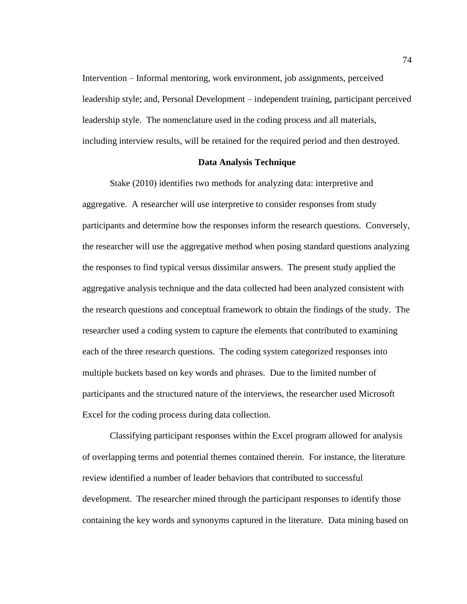Intervention – Informal mentoring, work environment, job assignments, perceived leadership style; and, Personal Development – independent training, participant perceived leadership style. The nomenclature used in the coding process and all materials, including interview results, will be retained for the required period and then destroyed.

### **Data Analysis Technique**

Stake (2010) identifies two methods for analyzing data: interpretive and aggregative. A researcher will use interpretive to consider responses from study participants and determine how the responses inform the research questions. Conversely, the researcher will use the aggregative method when posing standard questions analyzing the responses to find typical versus dissimilar answers. The present study applied the aggregative analysis technique and the data collected had been analyzed consistent with the research questions and conceptual framework to obtain the findings of the study. The researcher used a coding system to capture the elements that contributed to examining each of the three research questions. The coding system categorized responses into multiple buckets based on key words and phrases. Due to the limited number of participants and the structured nature of the interviews, the researcher used Microsoft Excel for the coding process during data collection.

Classifying participant responses within the Excel program allowed for analysis of overlapping terms and potential themes contained therein. For instance, the literature review identified a number of leader behaviors that contributed to successful development. The researcher mined through the participant responses to identify those containing the key words and synonyms captured in the literature. Data mining based on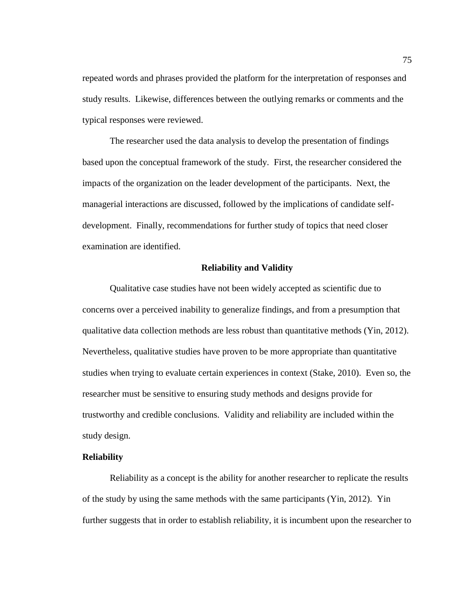repeated words and phrases provided the platform for the interpretation of responses and study results. Likewise, differences between the outlying remarks or comments and the typical responses were reviewed.

The researcher used the data analysis to develop the presentation of findings based upon the conceptual framework of the study. First, the researcher considered the impacts of the organization on the leader development of the participants. Next, the managerial interactions are discussed, followed by the implications of candidate selfdevelopment. Finally, recommendations for further study of topics that need closer examination are identified.

#### **Reliability and Validity**

Qualitative case studies have not been widely accepted as scientific due to concerns over a perceived inability to generalize findings, and from a presumption that qualitative data collection methods are less robust than quantitative methods (Yin, 2012). Nevertheless, qualitative studies have proven to be more appropriate than quantitative studies when trying to evaluate certain experiences in context (Stake, 2010). Even so, the researcher must be sensitive to ensuring study methods and designs provide for trustworthy and credible conclusions. Validity and reliability are included within the study design.

## **Reliability**

Reliability as a concept is the ability for another researcher to replicate the results of the study by using the same methods with the same participants (Yin, 2012). Yin further suggests that in order to establish reliability, it is incumbent upon the researcher to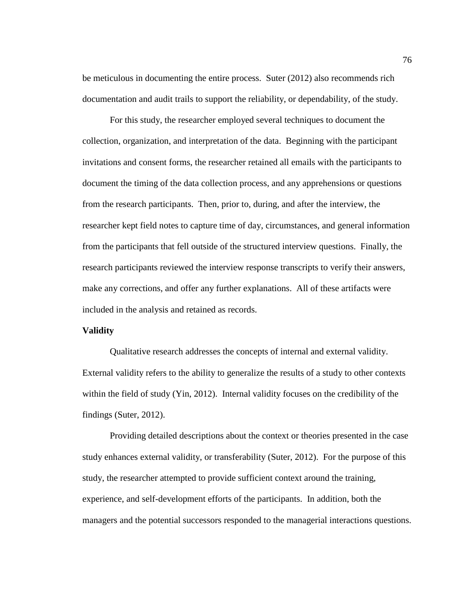be meticulous in documenting the entire process. Suter (2012) also recommends rich documentation and audit trails to support the reliability, or dependability, of the study.

For this study, the researcher employed several techniques to document the collection, organization, and interpretation of the data. Beginning with the participant invitations and consent forms, the researcher retained all emails with the participants to document the timing of the data collection process, and any apprehensions or questions from the research participants. Then, prior to, during, and after the interview, the researcher kept field notes to capture time of day, circumstances, and general information from the participants that fell outside of the structured interview questions. Finally, the research participants reviewed the interview response transcripts to verify their answers, make any corrections, and offer any further explanations. All of these artifacts were included in the analysis and retained as records.

## **Validity**

Qualitative research addresses the concepts of internal and external validity. External validity refers to the ability to generalize the results of a study to other contexts within the field of study (Yin, 2012). Internal validity focuses on the credibility of the findings (Suter, 2012).

Providing detailed descriptions about the context or theories presented in the case study enhances external validity, or transferability (Suter, 2012). For the purpose of this study, the researcher attempted to provide sufficient context around the training, experience, and self-development efforts of the participants. In addition, both the managers and the potential successors responded to the managerial interactions questions.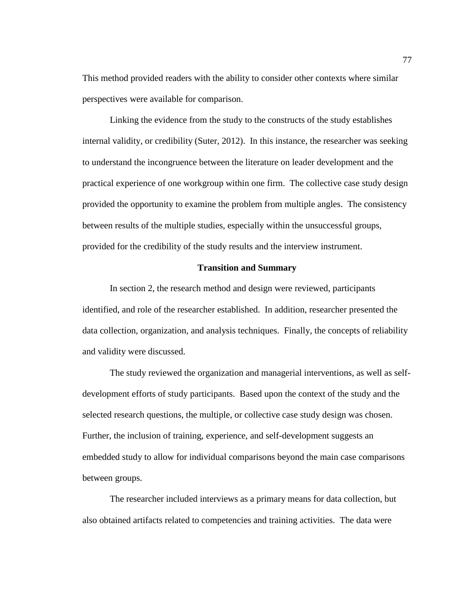This method provided readers with the ability to consider other contexts where similar perspectives were available for comparison.

Linking the evidence from the study to the constructs of the study establishes internal validity, or credibility (Suter, 2012). In this instance, the researcher was seeking to understand the incongruence between the literature on leader development and the practical experience of one workgroup within one firm. The collective case study design provided the opportunity to examine the problem from multiple angles. The consistency between results of the multiple studies, especially within the unsuccessful groups, provided for the credibility of the study results and the interview instrument.

#### **Transition and Summary**

In section 2, the research method and design were reviewed, participants identified, and role of the researcher established. In addition, researcher presented the data collection, organization, and analysis techniques. Finally, the concepts of reliability and validity were discussed.

The study reviewed the organization and managerial interventions, as well as selfdevelopment efforts of study participants. Based upon the context of the study and the selected research questions, the multiple, or collective case study design was chosen. Further, the inclusion of training, experience, and self-development suggests an embedded study to allow for individual comparisons beyond the main case comparisons between groups.

The researcher included interviews as a primary means for data collection, but also obtained artifacts related to competencies and training activities. The data were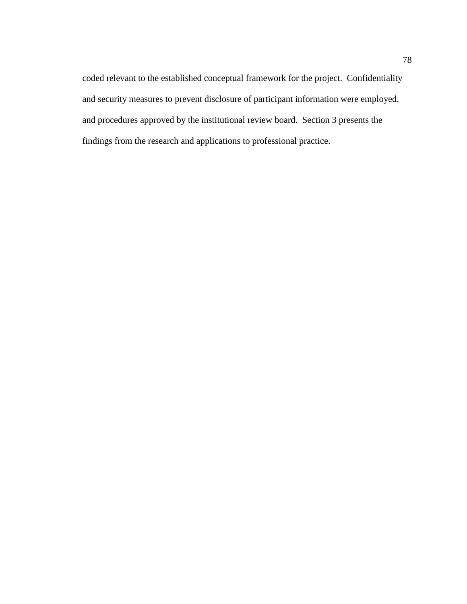coded relevant to the established conceptual framework for the project. Confidentiality and security measures to prevent disclosure of participant information were employed, and procedures approved by the institutional review board. Section 3 presents the findings from the research and applications to professional practice.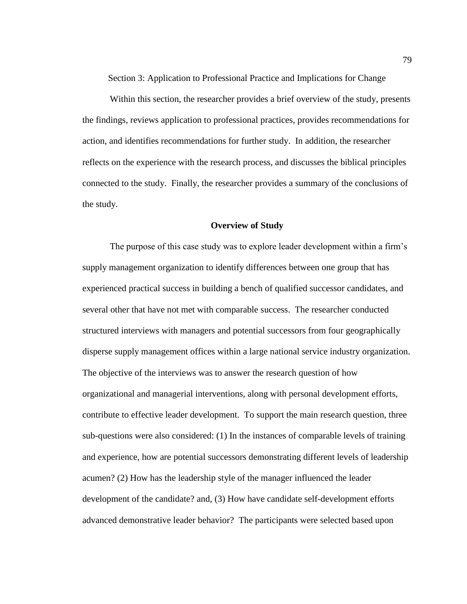Section 3: Application to Professional Practice and Implications for Change

Within this section, the researcher provides a brief overview of the study, presents the findings, reviews application to professional practices, provides recommendations for action, and identifies recommendations for further study. In addition, the researcher reflects on the experience with the research process, and discusses the biblical principles connected to the study. Finally, the researcher provides a summary of the conclusions of the study.

### **Overview of Study**

The purpose of this case study was to explore leader development within a firm's supply management organization to identify differences between one group that has experienced practical success in building a bench of qualified successor candidates, and several other that have not met with comparable success. The researcher conducted structured interviews with managers and potential successors from four geographically disperse supply management offices within a large national service industry organization. The objective of the interviews was to answer the research question of how organizational and managerial interventions, along with personal development efforts, contribute to effective leader development. To support the main research question, three sub-questions were also considered: (1) In the instances of comparable levels of training and experience, how are potential successors demonstrating different levels of leadership acumen? (2) How has the leadership style of the manager influenced the leader development of the candidate? and, (3) How have candidate self-development efforts advanced demonstrative leader behavior?The participants were selected based upon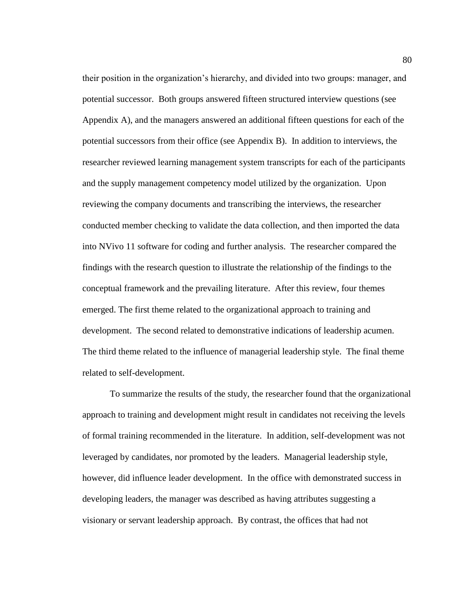their position in the organization's hierarchy, and divided into two groups: manager, and potential successor. Both groups answered fifteen structured interview questions (see Appendix A), and the managers answered an additional fifteen questions for each of the potential successors from their office (see Appendix B). In addition to interviews, the researcher reviewed learning management system transcripts for each of the participants and the supply management competency model utilized by the organization. Upon reviewing the company documents and transcribing the interviews, the researcher conducted member checking to validate the data collection, and then imported the data into NVivo 11 software for coding and further analysis. The researcher compared the findings with the research question to illustrate the relationship of the findings to the conceptual framework and the prevailing literature. After this review, four themes emerged. The first theme related to the organizational approach to training and development. The second related to demonstrative indications of leadership acumen. The third theme related to the influence of managerial leadership style. The final theme related to self-development.

To summarize the results of the study, the researcher found that the organizational approach to training and development might result in candidates not receiving the levels of formal training recommended in the literature. In addition, self-development was not leveraged by candidates, nor promoted by the leaders. Managerial leadership style, however, did influence leader development. In the office with demonstrated success in developing leaders, the manager was described as having attributes suggesting a visionary or servant leadership approach. By contrast, the offices that had not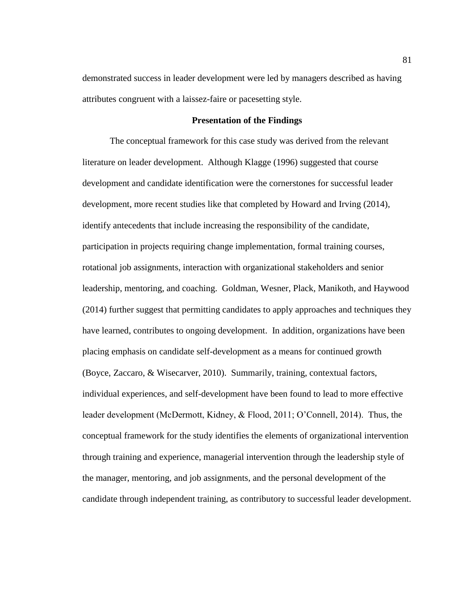demonstrated success in leader development were led by managers described as having attributes congruent with a laissez-faire or pacesetting style.

### **Presentation of the Findings**

The conceptual framework for this case study was derived from the relevant literature on leader development. Although Klagge (1996) suggested that course development and candidate identification were the cornerstones for successful leader development, more recent studies like that completed by Howard and Irving (2014), identify antecedents that include increasing the responsibility of the candidate, participation in projects requiring change implementation, formal training courses, rotational job assignments, interaction with organizational stakeholders and senior leadership, mentoring, and coaching. Goldman, Wesner, Plack, Manikoth, and Haywood (2014) further suggest that permitting candidates to apply approaches and techniques they have learned, contributes to ongoing development. In addition, organizations have been placing emphasis on candidate self-development as a means for continued growth (Boyce, Zaccaro, & Wisecarver, 2010). Summarily, training, contextual factors, individual experiences, and self-development have been found to lead to more effective leader development (McDermott, Kidney, & Flood, 2011; O'Connell, 2014). Thus, the conceptual framework for the study identifies the elements of organizational intervention through training and experience, managerial intervention through the leadership style of the manager, mentoring, and job assignments, and the personal development of the candidate through independent training, as contributory to successful leader development.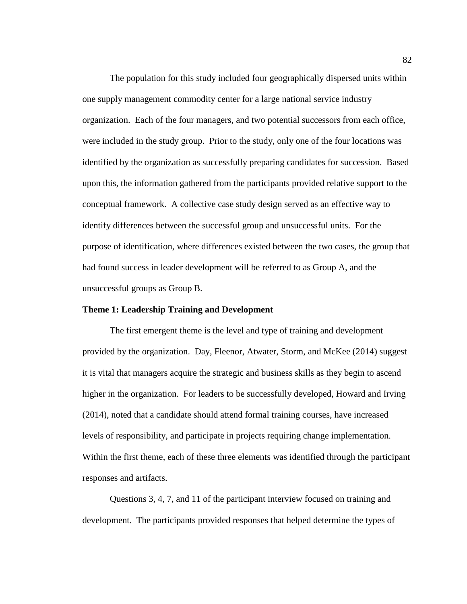The population for this study included four geographically dispersed units within one supply management commodity center for a large national service industry organization. Each of the four managers, and two potential successors from each office, were included in the study group. Prior to the study, only one of the four locations was identified by the organization as successfully preparing candidates for succession. Based upon this, the information gathered from the participants provided relative support to the conceptual framework. A collective case study design served as an effective way to identify differences between the successful group and unsuccessful units. For the purpose of identification, where differences existed between the two cases, the group that had found success in leader development will be referred to as Group A, and the unsuccessful groups as Group B.

## **Theme 1: Leadership Training and Development**

The first emergent theme is the level and type of training and development provided by the organization. Day, Fleenor, Atwater, Storm, and McKee (2014) suggest it is vital that managers acquire the strategic and business skills as they begin to ascend higher in the organization. For leaders to be successfully developed, Howard and Irving (2014), noted that a candidate should attend formal training courses, have increased levels of responsibility, and participate in projects requiring change implementation. Within the first theme, each of these three elements was identified through the participant responses and artifacts.

Questions 3, 4, 7, and 11 of the participant interview focused on training and development. The participants provided responses that helped determine the types of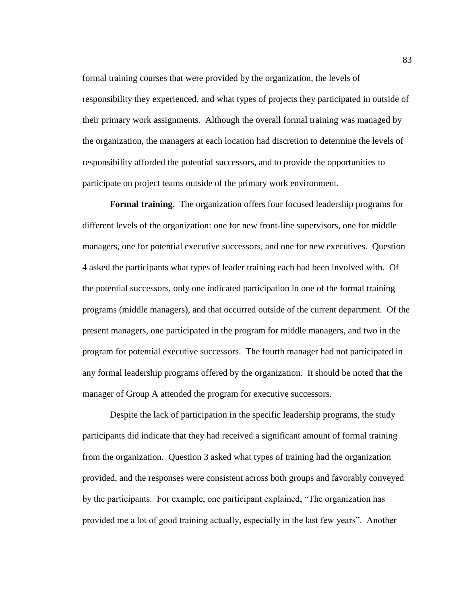formal training courses that were provided by the organization, the levels of responsibility they experienced, and what types of projects they participated in outside of their primary work assignments. Although the overall formal training was managed by the organization, the managers at each location had discretion to determine the levels of responsibility afforded the potential successors, and to provide the opportunities to participate on project teams outside of the primary work environment.

**Formal training.** The organization offers four focused leadership programs for different levels of the organization: one for new front-line supervisors, one for middle managers, one for potential executive successors, and one for new executives. Question 4 asked the participants what types of leader training each had been involved with. Of the potential successors, only one indicated participation in one of the formal training programs (middle managers), and that occurred outside of the current department. Of the present managers, one participated in the program for middle managers, and two in the program for potential executive successors. The fourth manager had not participated in any formal leadership programs offered by the organization. It should be noted that the manager of Group A attended the program for executive successors.

Despite the lack of participation in the specific leadership programs, the study participants did indicate that they had received a significant amount of formal training from the organization. Question 3 asked what types of training had the organization provided, and the responses were consistent across both groups and favorably conveyed by the participants. For example, one participant explained, "The organization has provided me a lot of good training actually, especially in the last few years". Another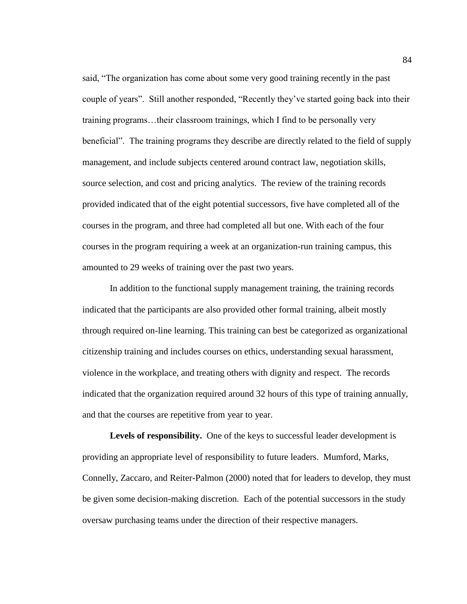said, "The organization has come about some very good training recently in the past couple of years". Still another responded, "Recently they've started going back into their training programs…their classroom trainings, which I find to be personally very beneficial". The training programs they describe are directly related to the field of supply management, and include subjects centered around contract law, negotiation skills, source selection, and cost and pricing analytics. The review of the training records provided indicated that of the eight potential successors, five have completed all of the courses in the program, and three had completed all but one. With each of the four courses in the program requiring a week at an organization-run training campus, this amounted to 29 weeks of training over the past two years.

In addition to the functional supply management training, the training records indicated that the participants are also provided other formal training, albeit mostly through required on-line learning. This training can best be categorized as organizational citizenship training and includes courses on ethics, understanding sexual harassment, violence in the workplace, and treating others with dignity and respect. The records indicated that the organization required around 32 hours of this type of training annually, and that the courses are repetitive from year to year.

**Levels of responsibility.** One of the keys to successful leader development is providing an appropriate level of responsibility to future leaders. Mumford, Marks, Connelly, Zaccaro, and Reiter-Palmon (2000) noted that for leaders to develop, they must be given some decision-making discretion. Each of the potential successors in the study oversaw purchasing teams under the direction of their respective managers.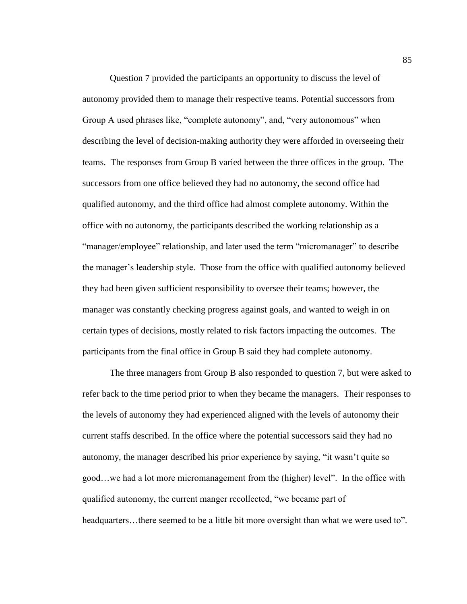Question 7 provided the participants an opportunity to discuss the level of autonomy provided them to manage their respective teams. Potential successors from Group A used phrases like, "complete autonomy", and, "very autonomous" when describing the level of decision-making authority they were afforded in overseeing their teams. The responses from Group B varied between the three offices in the group. The successors from one office believed they had no autonomy, the second office had qualified autonomy, and the third office had almost complete autonomy. Within the office with no autonomy, the participants described the working relationship as a "manager/employee" relationship, and later used the term "micromanager" to describe the manager's leadership style. Those from the office with qualified autonomy believed they had been given sufficient responsibility to oversee their teams; however, the manager was constantly checking progress against goals, and wanted to weigh in on certain types of decisions, mostly related to risk factors impacting the outcomes. The participants from the final office in Group B said they had complete autonomy.

The three managers from Group B also responded to question 7, but were asked to refer back to the time period prior to when they became the managers. Their responses to the levels of autonomy they had experienced aligned with the levels of autonomy their current staffs described. In the office where the potential successors said they had no autonomy, the manager described his prior experience by saying, "it wasn't quite so good…we had a lot more micromanagement from the (higher) level". In the office with qualified autonomy, the current manger recollected, "we became part of headquarters…there seemed to be a little bit more oversight than what we were used to".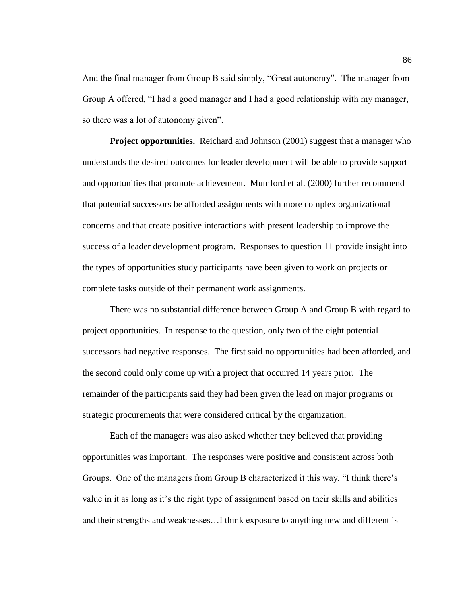And the final manager from Group B said simply, "Great autonomy". The manager from Group A offered, "I had a good manager and I had a good relationship with my manager, so there was a lot of autonomy given".

**Project opportunities.** Reichard and Johnson (2001) suggest that a manager who understands the desired outcomes for leader development will be able to provide support and opportunities that promote achievement. Mumford et al. (2000) further recommend that potential successors be afforded assignments with more complex organizational concerns and that create positive interactions with present leadership to improve the success of a leader development program. Responses to question 11 provide insight into the types of opportunities study participants have been given to work on projects or complete tasks outside of their permanent work assignments.

There was no substantial difference between Group A and Group B with regard to project opportunities. In response to the question, only two of the eight potential successors had negative responses. The first said no opportunities had been afforded, and the second could only come up with a project that occurred 14 years prior. The remainder of the participants said they had been given the lead on major programs or strategic procurements that were considered critical by the organization.

Each of the managers was also asked whether they believed that providing opportunities was important. The responses were positive and consistent across both Groups. One of the managers from Group B characterized it this way, "I think there's value in it as long as it's the right type of assignment based on their skills and abilities and their strengths and weaknesses…I think exposure to anything new and different is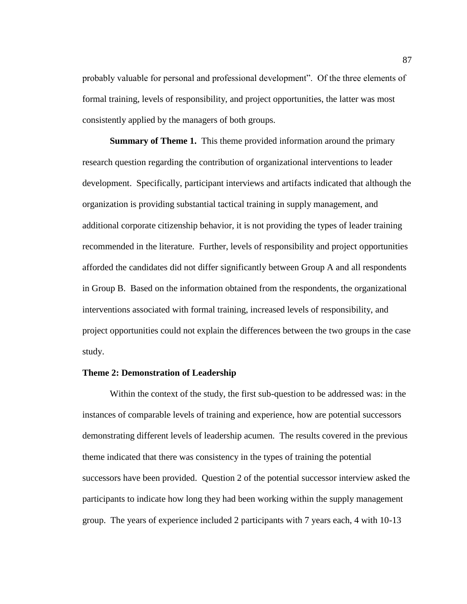probably valuable for personal and professional development". Of the three elements of formal training, levels of responsibility, and project opportunities, the latter was most consistently applied by the managers of both groups.

**Summary of Theme 1.** This theme provided information around the primary research question regarding the contribution of organizational interventions to leader development. Specifically, participant interviews and artifacts indicated that although the organization is providing substantial tactical training in supply management, and additional corporate citizenship behavior, it is not providing the types of leader training recommended in the literature. Further, levels of responsibility and project opportunities afforded the candidates did not differ significantly between Group A and all respondents in Group B. Based on the information obtained from the respondents, the organizational interventions associated with formal training, increased levels of responsibility, and project opportunities could not explain the differences between the two groups in the case study.

### **Theme 2: Demonstration of Leadership**

Within the context of the study, the first sub-question to be addressed was: in the instances of comparable levels of training and experience, how are potential successors demonstrating different levels of leadership acumen. The results covered in the previous theme indicated that there was consistency in the types of training the potential successors have been provided. Question 2 of the potential successor interview asked the participants to indicate how long they had been working within the supply management group. The years of experience included 2 participants with 7 years each, 4 with 10-13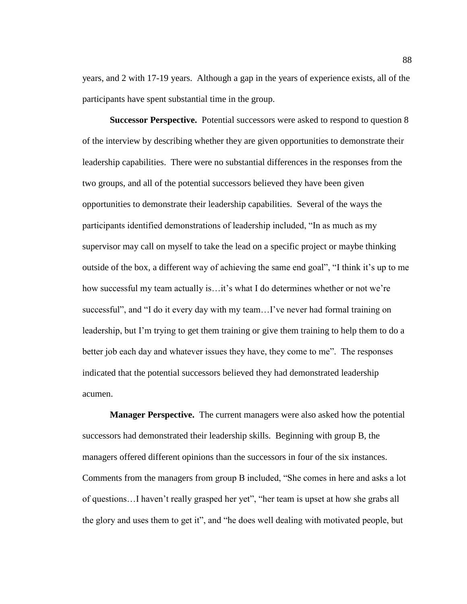years, and 2 with 17-19 years. Although a gap in the years of experience exists, all of the participants have spent substantial time in the group.

**Successor Perspective.** Potential successors were asked to respond to question 8 of the interview by describing whether they are given opportunities to demonstrate their leadership capabilities. There were no substantial differences in the responses from the two groups, and all of the potential successors believed they have been given opportunities to demonstrate their leadership capabilities. Several of the ways the participants identified demonstrations of leadership included, "In as much as my supervisor may call on myself to take the lead on a specific project or maybe thinking outside of the box, a different way of achieving the same end goal", "I think it's up to me how successful my team actually is…it's what I do determines whether or not we're successful", and "I do it every day with my team…I've never had formal training on leadership, but I'm trying to get them training or give them training to help them to do a better job each day and whatever issues they have, they come to me". The responses indicated that the potential successors believed they had demonstrated leadership acumen.

**Manager Perspective.** The current managers were also asked how the potential successors had demonstrated their leadership skills. Beginning with group B, the managers offered different opinions than the successors in four of the six instances. Comments from the managers from group B included, "She comes in here and asks a lot of questions…I haven't really grasped her yet", "her team is upset at how she grabs all the glory and uses them to get it", and "he does well dealing with motivated people, but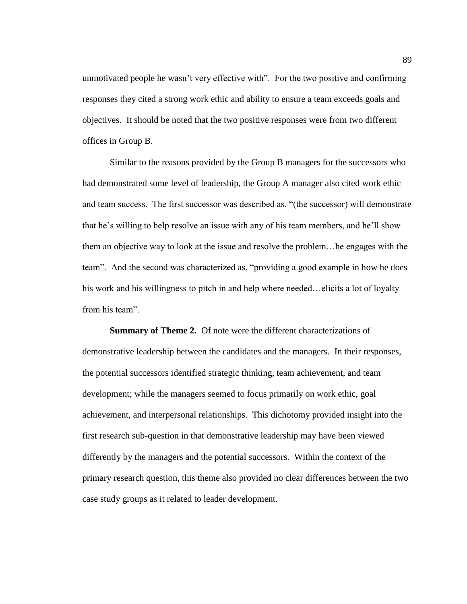unmotivated people he wasn't very effective with". For the two positive and confirming responses they cited a strong work ethic and ability to ensure a team exceeds goals and objectives. It should be noted that the two positive responses were from two different offices in Group B.

Similar to the reasons provided by the Group B managers for the successors who had demonstrated some level of leadership, the Group A manager also cited work ethic and team success. The first successor was described as, "(the successor) will demonstrate that he's willing to help resolve an issue with any of his team members, and he'll show them an objective way to look at the issue and resolve the problem…he engages with the team". And the second was characterized as, "providing a good example in how he does his work and his willingness to pitch in and help where needed...elicits a lot of loyalty from his team".

**Summary of Theme 2.** Of note were the different characterizations of demonstrative leadership between the candidates and the managers. In their responses, the potential successors identified strategic thinking, team achievement, and team development; while the managers seemed to focus primarily on work ethic, goal achievement, and interpersonal relationships. This dichotomy provided insight into the first research sub-question in that demonstrative leadership may have been viewed differently by the managers and the potential successors. Within the context of the primary research question, this theme also provided no clear differences between the two case study groups as it related to leader development.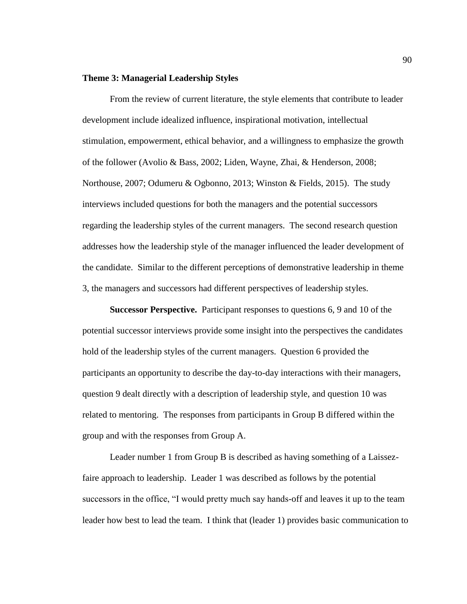#### **Theme 3: Managerial Leadership Styles**

From the review of current literature, the style elements that contribute to leader development include idealized influence, inspirational motivation, intellectual stimulation, empowerment, ethical behavior, and a willingness to emphasize the growth of the follower (Avolio & Bass, 2002; Liden, Wayne, Zhai, & Henderson, 2008; Northouse, 2007; Odumeru & Ogbonno, 2013; Winston & Fields, 2015). The study interviews included questions for both the managers and the potential successors regarding the leadership styles of the current managers. The second research question addresses how the leadership style of the manager influenced the leader development of the candidate. Similar to the different perceptions of demonstrative leadership in theme 3, the managers and successors had different perspectives of leadership styles.

**Successor Perspective.** Participant responses to questions 6, 9 and 10 of the potential successor interviews provide some insight into the perspectives the candidates hold of the leadership styles of the current managers. Question 6 provided the participants an opportunity to describe the day-to-day interactions with their managers, question 9 dealt directly with a description of leadership style, and question 10 was related to mentoring. The responses from participants in Group B differed within the group and with the responses from Group A.

Leader number 1 from Group B is described as having something of a Laissezfaire approach to leadership. Leader 1 was described as follows by the potential successors in the office, "I would pretty much say hands-off and leaves it up to the team leader how best to lead the team. I think that (leader 1) provides basic communication to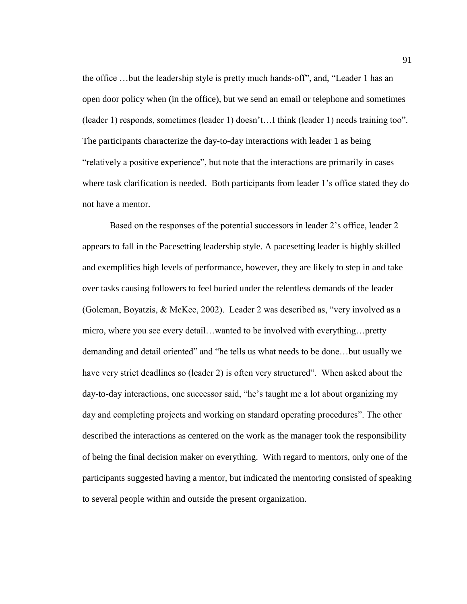the office …but the leadership style is pretty much hands-off", and, "Leader 1 has an open door policy when (in the office), but we send an email or telephone and sometimes (leader 1) responds, sometimes (leader 1) doesn't…I think (leader 1) needs training too". The participants characterize the day-to-day interactions with leader 1 as being "relatively a positive experience", but note that the interactions are primarily in cases where task clarification is needed. Both participants from leader 1's office stated they do not have a mentor.

Based on the responses of the potential successors in leader 2's office, leader 2 appears to fall in the Pacesetting leadership style. A pacesetting leader is highly skilled and exemplifies high levels of performance, however, they are likely to step in and take over tasks causing followers to feel buried under the relentless demands of the leader (Goleman, Boyatzis, & McKee, 2002). Leader 2 was described as, "very involved as a micro, where you see every detail…wanted to be involved with everything…pretty demanding and detail oriented" and "he tells us what needs to be done…but usually we have very strict deadlines so (leader 2) is often very structured". When asked about the day-to-day interactions, one successor said, "he's taught me a lot about organizing my day and completing projects and working on standard operating procedures". The other described the interactions as centered on the work as the manager took the responsibility of being the final decision maker on everything. With regard to mentors, only one of the participants suggested having a mentor, but indicated the mentoring consisted of speaking to several people within and outside the present organization.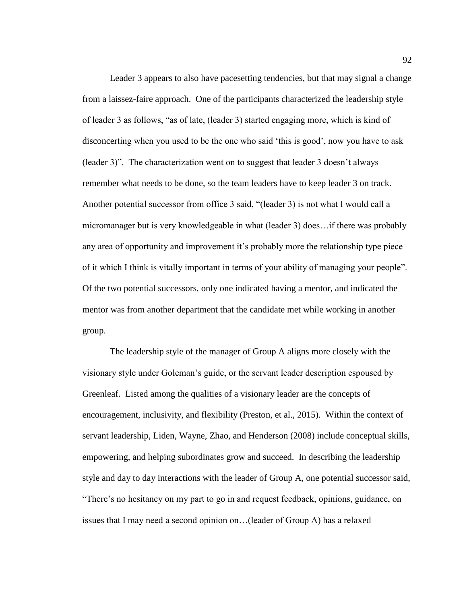Leader 3 appears to also have pacesetting tendencies, but that may signal a change from a laissez-faire approach. One of the participants characterized the leadership style of leader 3 as follows, "as of late, (leader 3) started engaging more, which is kind of disconcerting when you used to be the one who said 'this is good', now you have to ask (leader 3)". The characterization went on to suggest that leader 3 doesn't always remember what needs to be done, so the team leaders have to keep leader 3 on track. Another potential successor from office 3 said, "(leader 3) is not what I would call a micromanager but is very knowledgeable in what (leader 3) does…if there was probably any area of opportunity and improvement it's probably more the relationship type piece of it which I think is vitally important in terms of your ability of managing your people". Of the two potential successors, only one indicated having a mentor, and indicated the mentor was from another department that the candidate met while working in another group.

The leadership style of the manager of Group A aligns more closely with the visionary style under Goleman's guide, or the servant leader description espoused by Greenleaf. Listed among the qualities of a visionary leader are the concepts of encouragement, inclusivity, and flexibility (Preston, et al., 2015). Within the context of servant leadership, Liden, Wayne, Zhao, and Henderson (2008) include conceptual skills, empowering, and helping subordinates grow and succeed. In describing the leadership style and day to day interactions with the leader of Group A, one potential successor said, "There's no hesitancy on my part to go in and request feedback, opinions, guidance, on issues that I may need a second opinion on…(leader of Group A) has a relaxed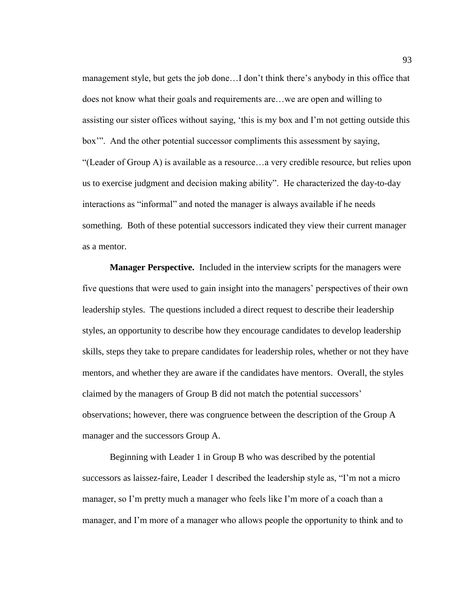management style, but gets the job done…I don't think there's anybody in this office that does not know what their goals and requirements are…we are open and willing to assisting our sister offices without saying, 'this is my box and I'm not getting outside this box'". And the other potential successor compliments this assessment by saying, "(Leader of Group A) is available as a resource…a very credible resource, but relies upon us to exercise judgment and decision making ability". He characterized the day-to-day interactions as "informal" and noted the manager is always available if he needs something. Both of these potential successors indicated they view their current manager as a mentor.

**Manager Perspective.** Included in the interview scripts for the managers were five questions that were used to gain insight into the managers' perspectives of their own leadership styles. The questions included a direct request to describe their leadership styles, an opportunity to describe how they encourage candidates to develop leadership skills, steps they take to prepare candidates for leadership roles, whether or not they have mentors, and whether they are aware if the candidates have mentors. Overall, the styles claimed by the managers of Group B did not match the potential successors' observations; however, there was congruence between the description of the Group A manager and the successors Group A.

Beginning with Leader 1 in Group B who was described by the potential successors as laissez-faire, Leader 1 described the leadership style as, "I'm not a micro manager, so I'm pretty much a manager who feels like I'm more of a coach than a manager, and I'm more of a manager who allows people the opportunity to think and to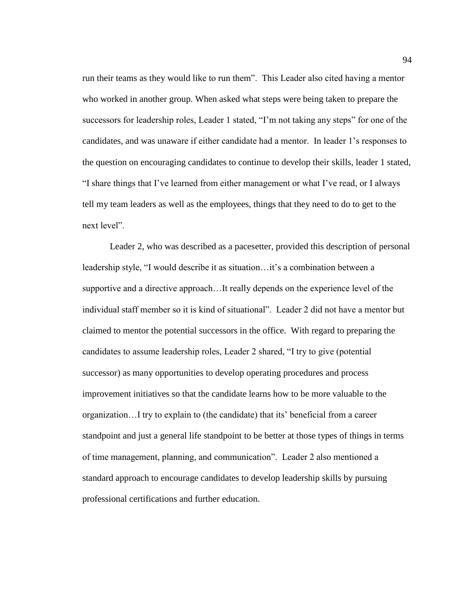run their teams as they would like to run them". This Leader also cited having a mentor who worked in another group. When asked what steps were being taken to prepare the successors for leadership roles, Leader 1 stated, "I'm not taking any steps" for one of the candidates, and was unaware if either candidate had a mentor. In leader 1's responses to the question on encouraging candidates to continue to develop their skills, leader 1 stated, "I share things that I've learned from either management or what I've read, or I always tell my team leaders as well as the employees, things that they need to do to get to the next level".

Leader 2, who was described as a pacesetter, provided this description of personal leadership style, "I would describe it as situation…it's a combination between a supportive and a directive approach…It really depends on the experience level of the individual staff member so it is kind of situational". Leader 2 did not have a mentor but claimed to mentor the potential successors in the office. With regard to preparing the candidates to assume leadership roles, Leader 2 shared, "I try to give (potential successor) as many opportunities to develop operating procedures and process improvement initiatives so that the candidate learns how to be more valuable to the organization…I try to explain to (the candidate) that its' beneficial from a career standpoint and just a general life standpoint to be better at those types of things in terms of time management, planning, and communication". Leader 2 also mentioned a standard approach to encourage candidates to develop leadership skills by pursuing professional certifications and further education.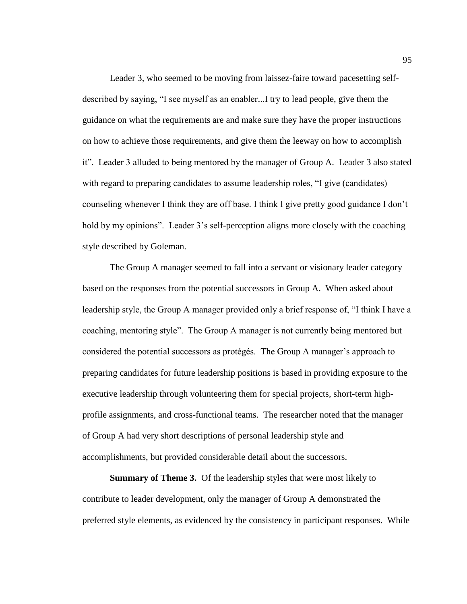Leader 3, who seemed to be moving from laissez-faire toward pacesetting selfdescribed by saying, "I see myself as an enabler...I try to lead people, give them the guidance on what the requirements are and make sure they have the proper instructions on how to achieve those requirements, and give them the leeway on how to accomplish it". Leader 3 alluded to being mentored by the manager of Group A. Leader 3 also stated with regard to preparing candidates to assume leadership roles, "I give (candidates) counseling whenever I think they are off base. I think I give pretty good guidance I don't hold by my opinions". Leader 3's self-perception aligns more closely with the coaching style described by Goleman.

The Group A manager seemed to fall into a servant or visionary leader category based on the responses from the potential successors in Group A. When asked about leadership style, the Group A manager provided only a brief response of, "I think I have a coaching, mentoring style". The Group A manager is not currently being mentored but considered the potential successors as protégés. The Group A manager's approach to preparing candidates for future leadership positions is based in providing exposure to the executive leadership through volunteering them for special projects, short-term highprofile assignments, and cross-functional teams. The researcher noted that the manager of Group A had very short descriptions of personal leadership style and accomplishments, but provided considerable detail about the successors.

**Summary of Theme 3.** Of the leadership styles that were most likely to contribute to leader development, only the manager of Group A demonstrated the preferred style elements, as evidenced by the consistency in participant responses. While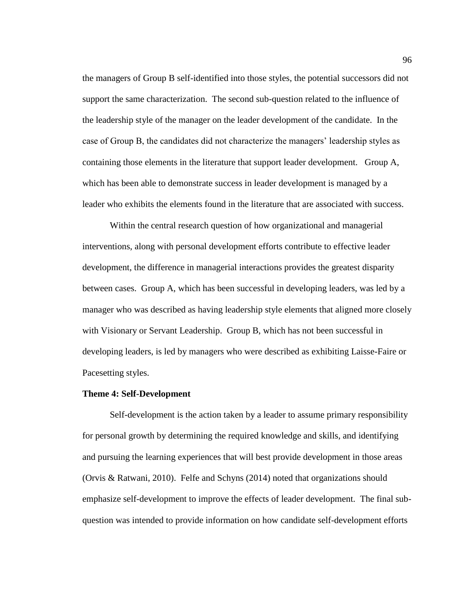the managers of Group B self-identified into those styles, the potential successors did not support the same characterization. The second sub-question related to the influence of the leadership style of the manager on the leader development of the candidate. In the case of Group B, the candidates did not characterize the managers' leadership styles as containing those elements in the literature that support leader development. Group A, which has been able to demonstrate success in leader development is managed by a leader who exhibits the elements found in the literature that are associated with success.

Within the central research question of how organizational and managerial interventions, along with personal development efforts contribute to effective leader development, the difference in managerial interactions provides the greatest disparity between cases. Group A, which has been successful in developing leaders, was led by a manager who was described as having leadership style elements that aligned more closely with Visionary or Servant Leadership. Group B, which has not been successful in developing leaders, is led by managers who were described as exhibiting Laisse-Faire or Pacesetting styles.

## **Theme 4: Self-Development**

Self-development is the action taken by a leader to assume primary responsibility for personal growth by determining the required knowledge and skills, and identifying and pursuing the learning experiences that will best provide development in those areas (Orvis & Ratwani, 2010). Felfe and Schyns (2014) noted that organizations should emphasize self-development to improve the effects of leader development. The final subquestion was intended to provide information on how candidate self-development efforts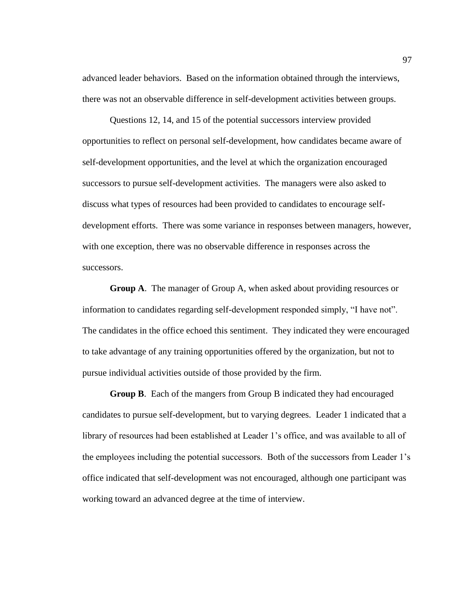advanced leader behaviors. Based on the information obtained through the interviews, there was not an observable difference in self-development activities between groups.

Questions 12, 14, and 15 of the potential successors interview provided opportunities to reflect on personal self-development, how candidates became aware of self-development opportunities, and the level at which the organization encouraged successors to pursue self-development activities. The managers were also asked to discuss what types of resources had been provided to candidates to encourage selfdevelopment efforts. There was some variance in responses between managers, however, with one exception, there was no observable difference in responses across the successors.

**Group A**. The manager of Group A, when asked about providing resources or information to candidates regarding self-development responded simply, "I have not". The candidates in the office echoed this sentiment. They indicated they were encouraged to take advantage of any training opportunities offered by the organization, but not to pursue individual activities outside of those provided by the firm.

**Group B**. Each of the mangers from Group B indicated they had encouraged candidates to pursue self-development, but to varying degrees. Leader 1 indicated that a library of resources had been established at Leader 1's office, and was available to all of the employees including the potential successors. Both of the successors from Leader 1's office indicated that self-development was not encouraged, although one participant was working toward an advanced degree at the time of interview.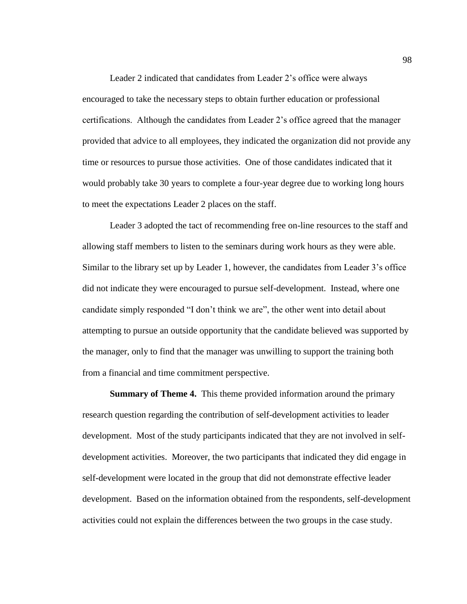Leader 2 indicated that candidates from Leader 2's office were always encouraged to take the necessary steps to obtain further education or professional certifications. Although the candidates from Leader 2's office agreed that the manager provided that advice to all employees, they indicated the organization did not provide any time or resources to pursue those activities. One of those candidates indicated that it would probably take 30 years to complete a four-year degree due to working long hours to meet the expectations Leader 2 places on the staff.

Leader 3 adopted the tact of recommending free on-line resources to the staff and allowing staff members to listen to the seminars during work hours as they were able. Similar to the library set up by Leader 1, however, the candidates from Leader 3's office did not indicate they were encouraged to pursue self-development. Instead, where one candidate simply responded "I don't think we are", the other went into detail about attempting to pursue an outside opportunity that the candidate believed was supported by the manager, only to find that the manager was unwilling to support the training both from a financial and time commitment perspective.

**Summary of Theme 4.** This theme provided information around the primary research question regarding the contribution of self-development activities to leader development. Most of the study participants indicated that they are not involved in selfdevelopment activities. Moreover, the two participants that indicated they did engage in self-development were located in the group that did not demonstrate effective leader development. Based on the information obtained from the respondents, self-development activities could not explain the differences between the two groups in the case study.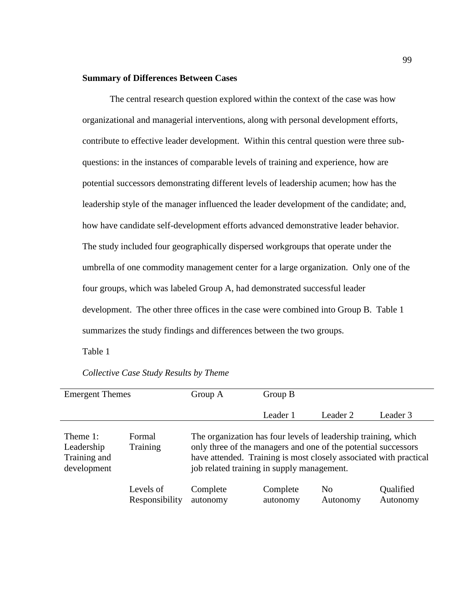# **Summary of Differences Between Cases**

The central research question explored within the context of the case was how organizational and managerial interventions, along with personal development efforts, contribute to effective leader development. Within this central question were three subquestions: in the instances of comparable levels of training and experience, how are potential successors demonstrating different levels of leadership acumen; how has the leadership style of the manager influenced the leader development of the candidate; and, how have candidate self-development efforts advanced demonstrative leader behavior. The study included four geographically dispersed workgroups that operate under the umbrella of one commodity management center for a large organization. Only one of the four groups, which was labeled Group A, had demonstrated successful leader development. The other three offices in the case were combined into Group B. Table 1 summarizes the study findings and differences between the two groups.

Table 1

| <b>Emergent Themes</b>                                |                             | Group A                                                                                                                                                                                                                                             | Group B              |                            |                       |  |
|-------------------------------------------------------|-----------------------------|-----------------------------------------------------------------------------------------------------------------------------------------------------------------------------------------------------------------------------------------------------|----------------------|----------------------------|-----------------------|--|
|                                                       |                             |                                                                                                                                                                                                                                                     | Leader 1             | Leader 2                   | Leader 3              |  |
| Theme 1:<br>Leadership<br>Training and<br>development | Formal<br>Training          | The organization has four levels of leadership training, which<br>only three of the managers and one of the potential successors<br>have attended. Training is most closely associated with practical<br>job related training in supply management. |                      |                            |                       |  |
|                                                       | Levels of<br>Responsibility | Complete<br>autonomy                                                                                                                                                                                                                                | Complete<br>autonomy | N <sub>0</sub><br>Autonomy | Qualified<br>Autonomy |  |

*Collective Case Study Results by Theme*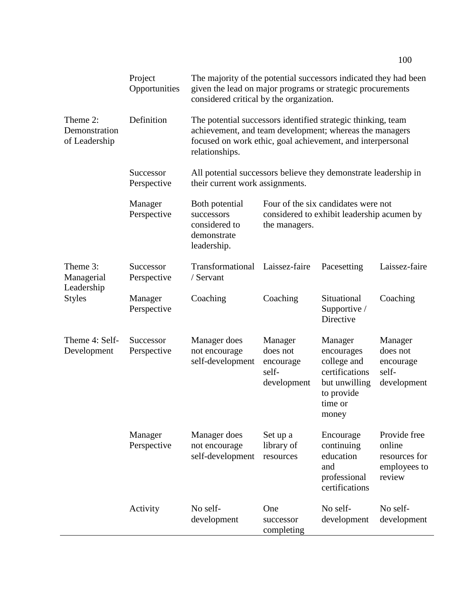|                                                       | Project<br>Opportunities | The majority of the potential successors indicated they had been<br>given the lead on major programs or strategic procurements<br>considered critical by the organization.                              |                                                                                                    |                                                                                                           |                                                                   |  |
|-------------------------------------------------------|--------------------------|---------------------------------------------------------------------------------------------------------------------------------------------------------------------------------------------------------|----------------------------------------------------------------------------------------------------|-----------------------------------------------------------------------------------------------------------|-------------------------------------------------------------------|--|
| Theme 2:<br>Demonstration<br>of Leadership            | Definition               | The potential successors identified strategic thinking, team<br>achievement, and team development; whereas the managers<br>focused on work ethic, goal achievement, and interpersonal<br>relationships. |                                                                                                    |                                                                                                           |                                                                   |  |
|                                                       | Successor<br>Perspective | All potential successors believe they demonstrate leadership in<br>their current work assignments.                                                                                                      |                                                                                                    |                                                                                                           |                                                                   |  |
|                                                       | Manager<br>Perspective   | Both potential<br>successors<br>considered to<br>demonstrate<br>leadership.                                                                                                                             | Four of the six candidates were not<br>considered to exhibit leadership acumen by<br>the managers. |                                                                                                           |                                                                   |  |
| Theme 3:<br>Managerial<br>Leadership<br><b>Styles</b> | Successor<br>Perspective | Transformational<br>/ Servant                                                                                                                                                                           | Laissez-faire                                                                                      | Pacesetting                                                                                               | Laissez-faire                                                     |  |
|                                                       | Manager<br>Perspective   | Coaching                                                                                                                                                                                                | Coaching                                                                                           | Situational<br>Supportive /<br>Directive                                                                  | Coaching                                                          |  |
| Theme 4: Self-<br>Development                         | Successor<br>Perspective | Manager does<br>not encourage<br>self-development                                                                                                                                                       | Manager<br>does not<br>encourage<br>self-<br>development                                           | Manager<br>encourages<br>college and<br>certifications<br>but unwilling<br>to provide<br>time or<br>money | Manager<br>does not<br>encourage<br>self-<br>development          |  |
|                                                       | Manager<br>Perspective   | Manager does<br>not encourage<br>self-development                                                                                                                                                       | Set up a<br>library of<br>resources                                                                | Encourage<br>continuing<br>education<br>and<br>professional<br>certifications                             | Provide free<br>online<br>resources for<br>employees to<br>review |  |
|                                                       | Activity                 | No self-<br>development                                                                                                                                                                                 | One<br>successor<br>completing                                                                     | No self-<br>development                                                                                   | No self-<br>development                                           |  |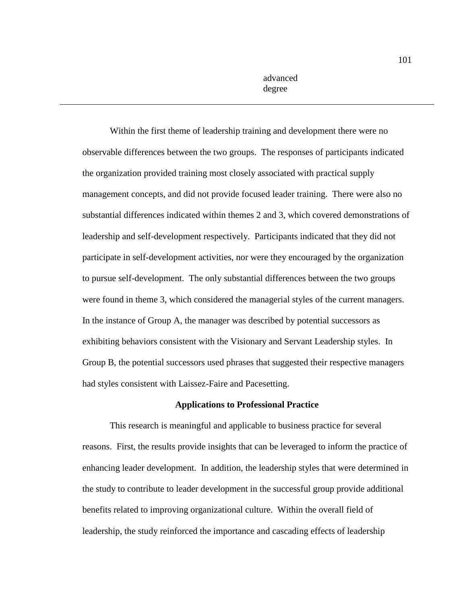advanced degree

Within the first theme of leadership training and development there were no observable differences between the two groups. The responses of participants indicated the organization provided training most closely associated with practical supply management concepts, and did not provide focused leader training. There were also no substantial differences indicated within themes 2 and 3, which covered demonstrations of leadership and self-development respectively. Participants indicated that they did not participate in self-development activities, nor were they encouraged by the organization to pursue self-development. The only substantial differences between the two groups were found in theme 3, which considered the managerial styles of the current managers. In the instance of Group A, the manager was described by potential successors as exhibiting behaviors consistent with the Visionary and Servant Leadership styles. In Group B, the potential successors used phrases that suggested their respective managers had styles consistent with Laissez-Faire and Pacesetting.

## **Applications to Professional Practice**

This research is meaningful and applicable to business practice for several reasons. First, the results provide insights that can be leveraged to inform the practice of enhancing leader development. In addition, the leadership styles that were determined in the study to contribute to leader development in the successful group provide additional benefits related to improving organizational culture. Within the overall field of leadership, the study reinforced the importance and cascading effects of leadership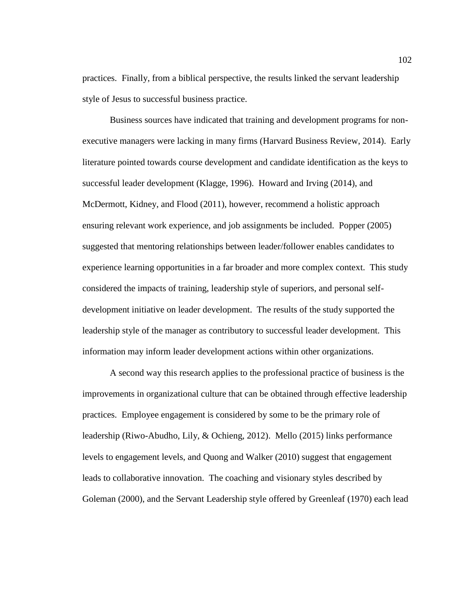practices. Finally, from a biblical perspective, the results linked the servant leadership style of Jesus to successful business practice.

Business sources have indicated that training and development programs for nonexecutive managers were lacking in many firms (Harvard Business Review, 2014). Early literature pointed towards course development and candidate identification as the keys to successful leader development (Klagge, 1996). Howard and Irving (2014), and McDermott, Kidney, and Flood (2011), however, recommend a holistic approach ensuring relevant work experience, and job assignments be included. Popper (2005) suggested that mentoring relationships between leader/follower enables candidates to experience learning opportunities in a far broader and more complex context. This study considered the impacts of training, leadership style of superiors, and personal selfdevelopment initiative on leader development. The results of the study supported the leadership style of the manager as contributory to successful leader development. This information may inform leader development actions within other organizations.

A second way this research applies to the professional practice of business is the improvements in organizational culture that can be obtained through effective leadership practices. Employee engagement is considered by some to be the primary role of leadership (Riwo-Abudho, Lily, & Ochieng, 2012). Mello (2015) links performance levels to engagement levels, and Quong and Walker (2010) suggest that engagement leads to collaborative innovation. The coaching and visionary styles described by Goleman (2000), and the Servant Leadership style offered by Greenleaf (1970) each lead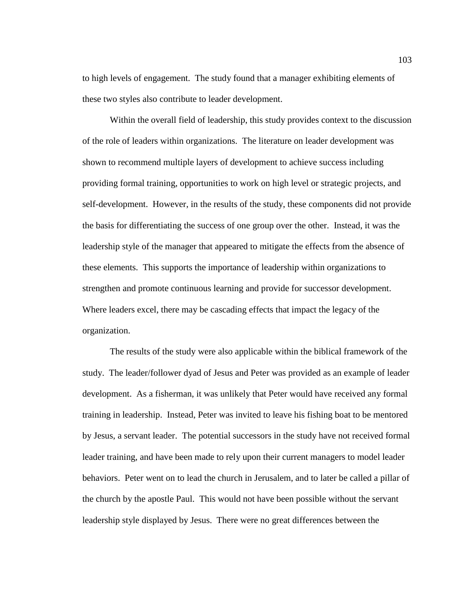to high levels of engagement. The study found that a manager exhibiting elements of these two styles also contribute to leader development.

Within the overall field of leadership, this study provides context to the discussion of the role of leaders within organizations. The literature on leader development was shown to recommend multiple layers of development to achieve success including providing formal training, opportunities to work on high level or strategic projects, and self-development. However, in the results of the study, these components did not provide the basis for differentiating the success of one group over the other. Instead, it was the leadership style of the manager that appeared to mitigate the effects from the absence of these elements. This supports the importance of leadership within organizations to strengthen and promote continuous learning and provide for successor development. Where leaders excel, there may be cascading effects that impact the legacy of the organization.

The results of the study were also applicable within the biblical framework of the study. The leader/follower dyad of Jesus and Peter was provided as an example of leader development. As a fisherman, it was unlikely that Peter would have received any formal training in leadership. Instead, Peter was invited to leave his fishing boat to be mentored by Jesus, a servant leader. The potential successors in the study have not received formal leader training, and have been made to rely upon their current managers to model leader behaviors. Peter went on to lead the church in Jerusalem, and to later be called a pillar of the church by the apostle Paul. This would not have been possible without the servant leadership style displayed by Jesus. There were no great differences between the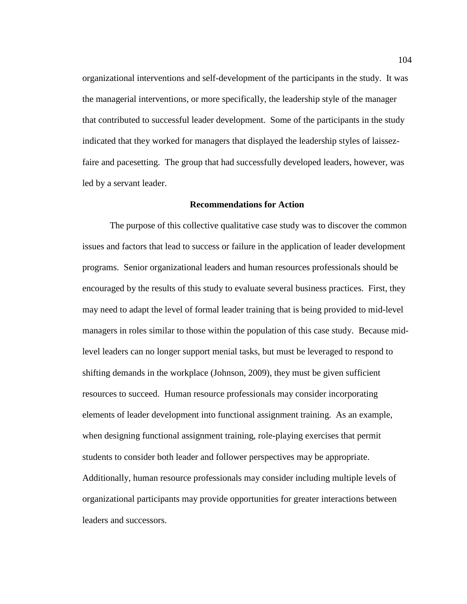organizational interventions and self-development of the participants in the study. It was the managerial interventions, or more specifically, the leadership style of the manager that contributed to successful leader development. Some of the participants in the study indicated that they worked for managers that displayed the leadership styles of laissezfaire and pacesetting. The group that had successfully developed leaders, however, was led by a servant leader.

## **Recommendations for Action**

The purpose of this collective qualitative case study was to discover the common issues and factors that lead to success or failure in the application of leader development programs. Senior organizational leaders and human resources professionals should be encouraged by the results of this study to evaluate several business practices. First, they may need to adapt the level of formal leader training that is being provided to mid-level managers in roles similar to those within the population of this case study. Because midlevel leaders can no longer support menial tasks, but must be leveraged to respond to shifting demands in the workplace (Johnson, 2009), they must be given sufficient resources to succeed. Human resource professionals may consider incorporating elements of leader development into functional assignment training. As an example, when designing functional assignment training, role-playing exercises that permit students to consider both leader and follower perspectives may be appropriate. Additionally, human resource professionals may consider including multiple levels of organizational participants may provide opportunities for greater interactions between leaders and successors.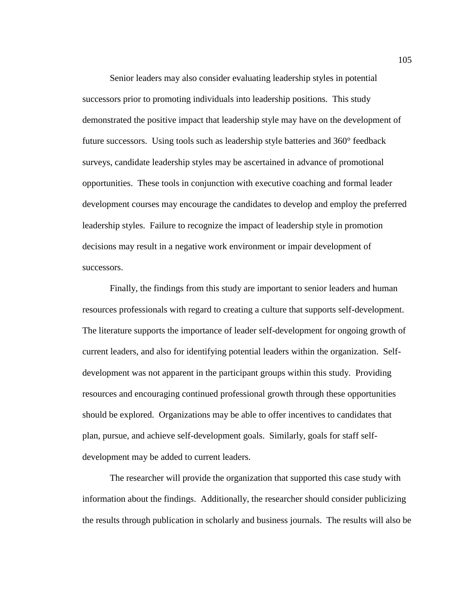Senior leaders may also consider evaluating leadership styles in potential successors prior to promoting individuals into leadership positions. This study demonstrated the positive impact that leadership style may have on the development of future successors. Using tools such as leadership style batteries and 360° feedback surveys, candidate leadership styles may be ascertained in advance of promotional opportunities. These tools in conjunction with executive coaching and formal leader development courses may encourage the candidates to develop and employ the preferred leadership styles. Failure to recognize the impact of leadership style in promotion decisions may result in a negative work environment or impair development of successors.

Finally, the findings from this study are important to senior leaders and human resources professionals with regard to creating a culture that supports self-development. The literature supports the importance of leader self-development for ongoing growth of current leaders, and also for identifying potential leaders within the organization. Selfdevelopment was not apparent in the participant groups within this study. Providing resources and encouraging continued professional growth through these opportunities should be explored. Organizations may be able to offer incentives to candidates that plan, pursue, and achieve self-development goals. Similarly, goals for staff selfdevelopment may be added to current leaders.

The researcher will provide the organization that supported this case study with information about the findings. Additionally, the researcher should consider publicizing the results through publication in scholarly and business journals. The results will also be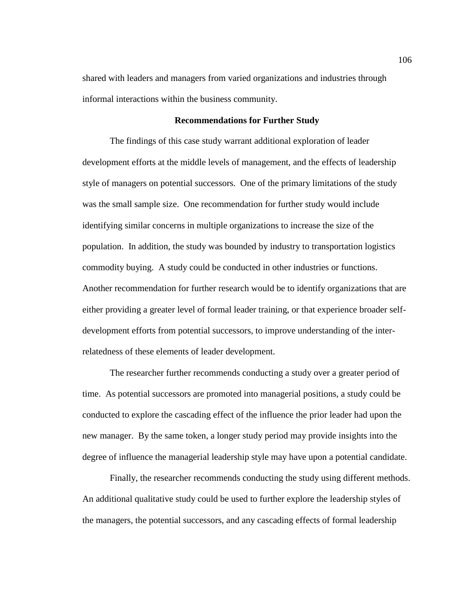shared with leaders and managers from varied organizations and industries through informal interactions within the business community.

## **Recommendations for Further Study**

The findings of this case study warrant additional exploration of leader development efforts at the middle levels of management, and the effects of leadership style of managers on potential successors. One of the primary limitations of the study was the small sample size. One recommendation for further study would include identifying similar concerns in multiple organizations to increase the size of the population. In addition, the study was bounded by industry to transportation logistics commodity buying. A study could be conducted in other industries or functions. Another recommendation for further research would be to identify organizations that are either providing a greater level of formal leader training, or that experience broader selfdevelopment efforts from potential successors, to improve understanding of the interrelatedness of these elements of leader development.

The researcher further recommends conducting a study over a greater period of time. As potential successors are promoted into managerial positions, a study could be conducted to explore the cascading effect of the influence the prior leader had upon the new manager. By the same token, a longer study period may provide insights into the degree of influence the managerial leadership style may have upon a potential candidate.

Finally, the researcher recommends conducting the study using different methods. An additional qualitative study could be used to further explore the leadership styles of the managers, the potential successors, and any cascading effects of formal leadership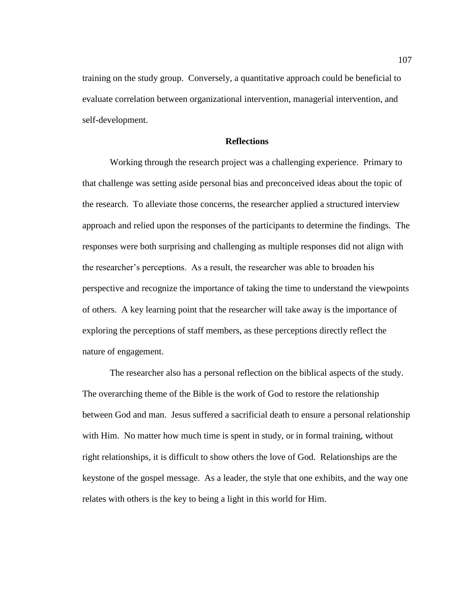training on the study group. Conversely, a quantitative approach could be beneficial to evaluate correlation between organizational intervention, managerial intervention, and self-development.

# **Reflections**

Working through the research project was a challenging experience. Primary to that challenge was setting aside personal bias and preconceived ideas about the topic of the research. To alleviate those concerns, the researcher applied a structured interview approach and relied upon the responses of the participants to determine the findings. The responses were both surprising and challenging as multiple responses did not align with the researcher's perceptions. As a result, the researcher was able to broaden his perspective and recognize the importance of taking the time to understand the viewpoints of others. A key learning point that the researcher will take away is the importance of exploring the perceptions of staff members, as these perceptions directly reflect the nature of engagement.

The researcher also has a personal reflection on the biblical aspects of the study. The overarching theme of the Bible is the work of God to restore the relationship between God and man. Jesus suffered a sacrificial death to ensure a personal relationship with Him. No matter how much time is spent in study, or in formal training, without right relationships, it is difficult to show others the love of God. Relationships are the keystone of the gospel message. As a leader, the style that one exhibits, and the way one relates with others is the key to being a light in this world for Him.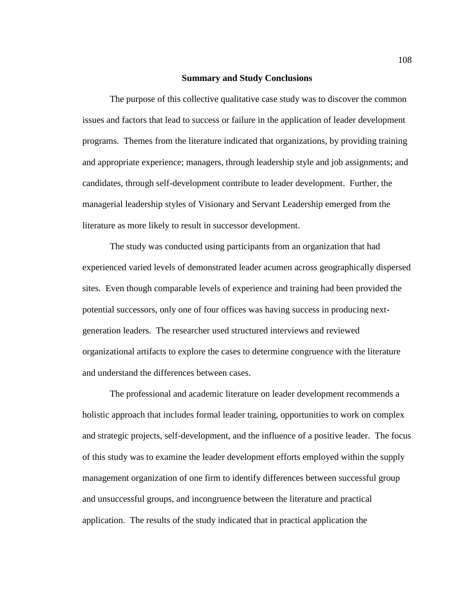### **Summary and Study Conclusions**

The purpose of this collective qualitative case study was to discover the common issues and factors that lead to success or failure in the application of leader development programs. Themes from the literature indicated that organizations, by providing training and appropriate experience; managers, through leadership style and job assignments; and candidates, through self-development contribute to leader development. Further, the managerial leadership styles of Visionary and Servant Leadership emerged from the literature as more likely to result in successor development.

The study was conducted using participants from an organization that had experienced varied levels of demonstrated leader acumen across geographically dispersed sites. Even though comparable levels of experience and training had been provided the potential successors, only one of four offices was having success in producing nextgeneration leaders. The researcher used structured interviews and reviewed organizational artifacts to explore the cases to determine congruence with the literature and understand the differences between cases.

The professional and academic literature on leader development recommends a holistic approach that includes formal leader training, opportunities to work on complex and strategic projects, self-development, and the influence of a positive leader. The focus of this study was to examine the leader development efforts employed within the supply management organization of one firm to identify differences between successful group and unsuccessful groups, and incongruence between the literature and practical application. The results of the study indicated that in practical application the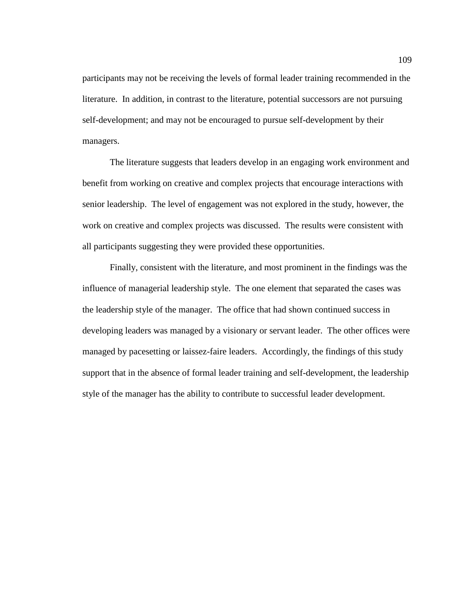participants may not be receiving the levels of formal leader training recommended in the literature. In addition, in contrast to the literature, potential successors are not pursuing self-development; and may not be encouraged to pursue self-development by their managers.

The literature suggests that leaders develop in an engaging work environment and benefit from working on creative and complex projects that encourage interactions with senior leadership. The level of engagement was not explored in the study, however, the work on creative and complex projects was discussed. The results were consistent with all participants suggesting they were provided these opportunities.

Finally, consistent with the literature, and most prominent in the findings was the influence of managerial leadership style. The one element that separated the cases was the leadership style of the manager. The office that had shown continued success in developing leaders was managed by a visionary or servant leader. The other offices were managed by pacesetting or laissez-faire leaders. Accordingly, the findings of this study support that in the absence of formal leader training and self-development, the leadership style of the manager has the ability to contribute to successful leader development.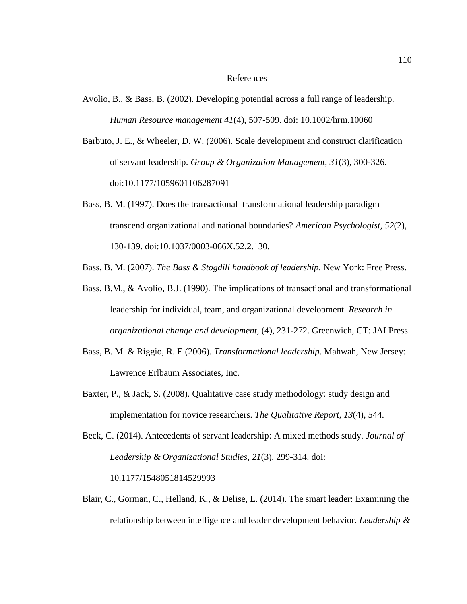#### References

- Avolio, B., & Bass, B. (2002). Developing potential across a full range of leadership. *Human Resource management 41*(4), 507-509. doi: 10.1002/hrm.10060
- Barbuto, J. E., & Wheeler, D. W. (2006). Scale development and construct clarification of servant leadership. *Group & Organization Management, 31*(3), 300-326. doi:10.1177/1059601106287091
- Bass, B. M. (1997). Does the transactional–transformational leadership paradigm transcend organizational and national boundaries? *American Psychologist, 52*(2), 130-139. doi:10.1037/0003-066X.52.2.130.

Bass, B. M. (2007). *The Bass & Stogdill handbook of leadership*. New York: Free Press.

- Bass, B.M., & Avolio, B.J. (1990). The implications of transactional and transformational leadership for individual, team, and organizational development. *Research in organizational change and development,* (4), 231-272. Greenwich, CT: JAI Press.
- Bass, B. M. & Riggio, R. E (2006). *Transformational leadership*. Mahwah, New Jersey: Lawrence Erlbaum Associates, Inc.
- Baxter, P., & Jack, S. (2008). Qualitative case study methodology: study design and implementation for novice researchers. *The Qualitative Report*, *13*(4), 544.
- Beck, C. (2014). Antecedents of servant leadership: A mixed methods study. *Journal of Leadership & Organizational Studies, 21*(3), 299-314. doi: 10.1177/1548051814529993
- Blair, C., Gorman, C., Helland, K., & Delise, L. (2014). The smart leader: Examining the relationship between intelligence and leader development behavior. *Leadership &*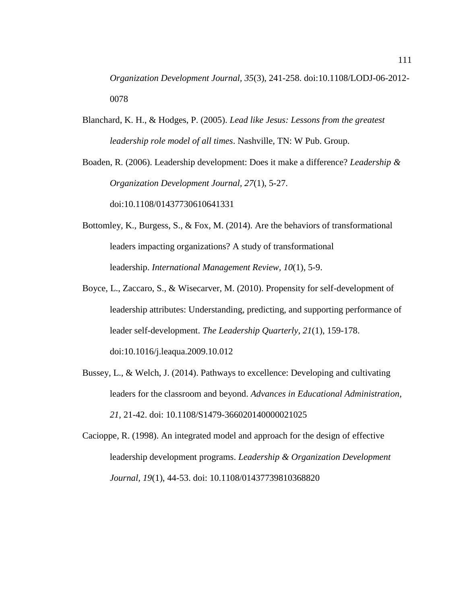*Organization Development Journal, 35*(3), 241-258. doi:10.1108/LODJ-06-2012- 0078

Blanchard, K. H., & Hodges, P. (2005). *Lead like Jesus: Lessons from the greatest leadership role model of all times*. Nashville, TN: W Pub. Group.

Boaden, R. (2006). Leadership development: Does it make a difference? *Leadership & Organization Development Journal, 27*(1), 5-27. doi:10.1108/01437730610641331

- Bottomley, K., Burgess, S., & Fox, M. (2014). Are the behaviors of transformational leaders impacting organizations? A study of transformational leadership. *International Management Review, 10*(1), 5-9.
- Boyce, L., Zaccaro, S., & Wisecarver, M. (2010). Propensity for self-development of leadership attributes: Understanding, predicting, and supporting performance of leader self-development. *The Leadership Quarterly, 21*(1), 159-178. [doi:10.1016/j.leaqua.2009.10.012](http://dx.doi.org/10.1016/j.leaqua.2009.10.012)
- Bussey, L., & Welch, J. (2014). Pathways to excellence: Developing and cultivating leaders for the classroom and beyond. *Advances in Educational Administration, 21*, 21-42. doi: 10.1108/S1479-366020140000021025
- Cacioppe, R. (1998). An integrated model and approach for the design of effective leadership development programs. *Leadership & Organization Development Journal, 19*(1), 44-53. doi: 10.1108/01437739810368820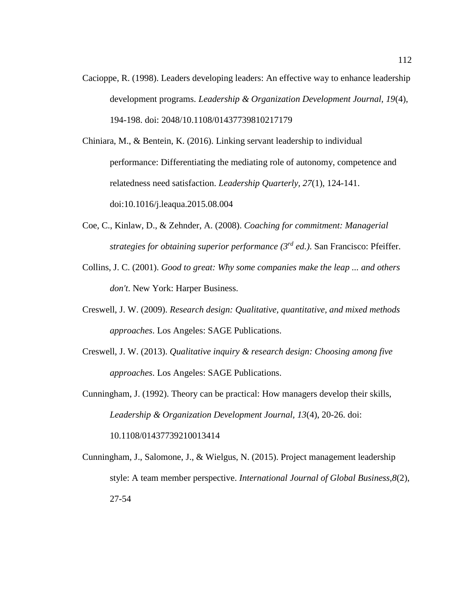Cacioppe, R. (1998). Leaders developing leaders: An effective way to enhance leadership development programs. *Leadership & Organization Development Journal, 19*(4), 194-198. doi: [2048/10.1108/01437739810217179](http://dx.doi.org.ezproxy.liberty.edu:2048/10.1108/01437739810217179)

Chiniara, M., & Bentein, K. (2016). Linking servant leadership to individual performance: Differentiating the mediating role of autonomy, competence and relatedness need satisfaction. *Leadership Quarterly, 27*(1), 124-141. doi:10.1016/j.leaqua.2015.08.004

- Coe, C., Kinlaw, D., & Zehnder, A. (2008). *Coaching for commitment: Managerial strategies for obtaining superior performance (3rd ed.)*. San Francisco: Pfeiffer.
- Collins, J. C. (2001). *Good to great: Why some companies make the leap ... and others don't*. New York: Harper Business.
- Creswell, J. W. (2009). *Research design: Qualitative, quantitative, and mixed methods approaches*. Los Angeles: SAGE Publications.
- Creswell, J. W. (2013). *Qualitative inquiry & research design: Choosing among five approaches*. Los Angeles: SAGE Publications.
- Cunningham, J. (1992). Theory can be practical: How managers develop their skills, *Leadership & Organization Development Journal, 13*(4), 20-26. doi: 10.1108/01437739210013414
- Cunningham, J., Salomone, J., & Wielgus, N. (2015). Project management leadership style: A team member perspective. *International Journal of Global Business,8*(2), 27-54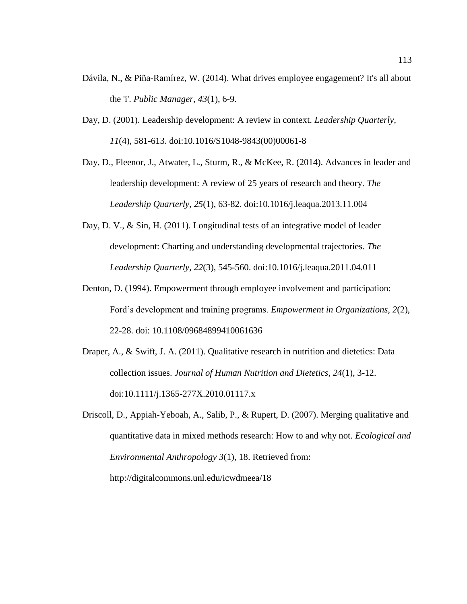- Dávila, N., & Piña-Ramírez, W. (2014). What drives employee engagement? It's all about the 'i'. *Public Manager, 43*(1), 6-9.
- Day, D. (2001). Leadership development: A review in context. *Leadership Quarterly, 11*(4), 581-613. [doi:10.1016/S1048-9843\(00\)00061-8](http://dx.doi.org/10.1016/S1048-9843(00)00061-8)
- Day, D., Fleenor, J., Atwater, L., Sturm, R., & McKee, R. (2014). Advances in leader and leadership development: A review of 25 years of research and theory. *The Leadership Quarterly, 25*(1), 63-82. [doi:10.1016/j.leaqua.2013.11.004](http://dx.doi.org/10.1016/j.leaqua.2013.11.004)
- Day, D. V., & Sin, H. (2011). Longitudinal tests of an integrative model of leader development: Charting and understanding developmental trajectories. *The Leadership Quarterly, 22*(3), 545-560. doi:10.1016/j.leaqua.2011.04.011
- Denton, D. (1994). Empowerment through employee involvement and participation: Ford's development and training programs. *Empowerment in Organizations, 2*(2), 22-28. doi: 10.1108/09684899410061636
- Draper, A., & Swift, J. A. (2011). Qualitative research in nutrition and dietetics: Data collection issues. *Journal of Human Nutrition and Dietetics, 24*(1), 3-12. doi:10.1111/j.1365-277X.2010.01117.x
- Driscoll, D., Appiah-Yeboah, A., Salib, P., & Rupert, D. (2007). Merging qualitative and quantitative data in mixed methods research: How to and why not. *Ecological and Environmental Anthropology 3*(1), 18. Retrieved from: http://digitalcommons.unl.edu/icwdmeea/18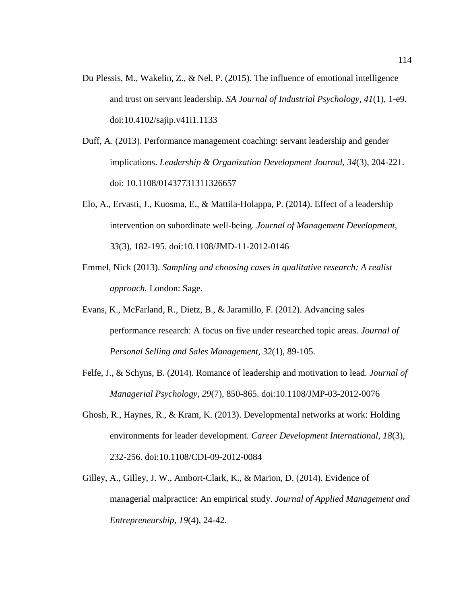- Du Plessis, M., Wakelin, Z., & Nel, P. (2015). The influence of emotional intelligence and trust on servant leadership. *SA Journal of Industrial Psychology, 41*(1), 1-e9. doi:10.4102/sajip.v41i1.1133
- Duff, A. (2013). Performance management coaching: servant leadership and gender implications. *Leadership & Organization Development Journal, 34*(3), 204-221. doi: 10.1108/01437731311326657
- Elo, A., Ervasti, J., Kuosma, E., & Mattila-Holappa, P. (2014). Effect of a leadership intervention on subordinate well-being. *Journal of Management Development, 33*(3), 182-195. doi:10.1108/JMD-11-2012-0146
- Emmel, Nick (2013). *Sampling and choosing cases in qualitative research: A realist approach.* London: Sage.
- Evans, K., McFarland, R., Dietz, B., & Jaramillo, F. (2012). Advancing sales performance research: A focus on five under researched topic areas. *Journal of Personal Selling and Sales Management, 32*(1), 89-105.
- Felfe, J., & Schyns, B. (2014). Romance of leadership and motivation to lead. *Journal of Managerial Psychology, 29*(7), 850-865. doi:10.1108/JMP-03-2012-0076
- Ghosh, R., Haynes, R., & Kram, K. (2013). Developmental networks at work: Holding environments for leader development. *Career Development International, 18*(3), 232-256. doi:10.1108/CDI-09-2012-0084
- Gilley, A., Gilley, J. W., Ambort-Clark, K., & Marion, D. (2014). Evidence of managerial malpractice: An empirical study. *Journal of Applied Management and Entrepreneurship, 19*(4), 24-42.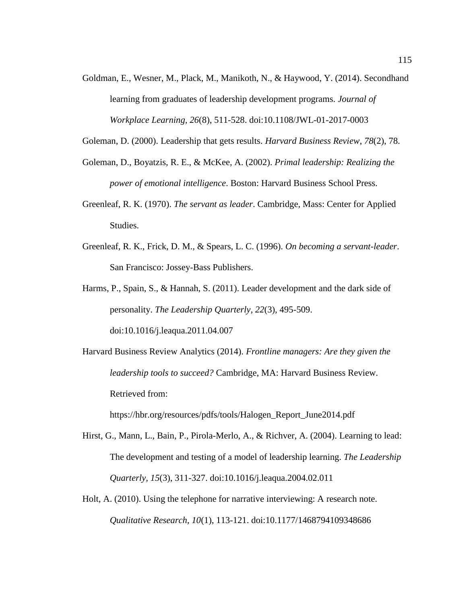Goldman, E., Wesner, M., Plack, M., Manikoth, N., & Haywood, Y. (2014). Secondhand learning from graduates of leadership development programs. *Journal of Workplace Learning, 26*(8), 511-528. doi:10.1108/JWL-01-2017-0003

Goleman, D. (2000). Leadership that gets results. *Harvard Business Review*, *78*(2), 78.

- Goleman, D., Boyatzis, R. E., & McKee, A. (2002). *Primal leadership: Realizing the power of emotional intelligence*. Boston: Harvard Business School Press.
- Greenleaf, R. K. (1970). *The servant as leader*. Cambridge, Mass: Center for Applied Studies.
- Greenleaf, R. K., Frick, D. M., & Spears, L. C. (1996). *On becoming a servant-leader*. San Francisco: Jossey-Bass Publishers.
- Harms, P., Spain, S., & Hannah, S. (2011). Leader development and the dark side of personality. *The Leadership Quarterly, 22*(3), 495-509. [doi:10.1016/j.leaqua.2011.04.007](http://dx.doi.org/10.1016/j.leaqua.2011.04.007)

Harvard Business Review Analytics (2014). *Frontline managers: Are they given the leadership tools to succeed?* Cambridge, MA: Harvard Business Review. Retrieved from:

[https://hbr.org/resources/pdfs/tools/Halogen\\_Report\\_June2014.pdf](https://hbr.org/resources/pdfs/tools/Halogen_Report_June2014.pdf)

- Hirst, G., Mann, L., Bain, P., Pirola-Merlo, A., & Richver, A. (2004). Learning to lead: The development and testing of a model of leadership learning. *The Leadership Quarterly, 15*(3), 311-327. [doi:10.1016/j.leaqua.2004.02.011](http://dx.doi.org/10.1016/j.leaqua.2004.02.011)
- Holt, A. (2010). Using the telephone for narrative interviewing: A research note. *Qualitative Research, 10*(1), 113-121. doi:10.1177/1468794109348686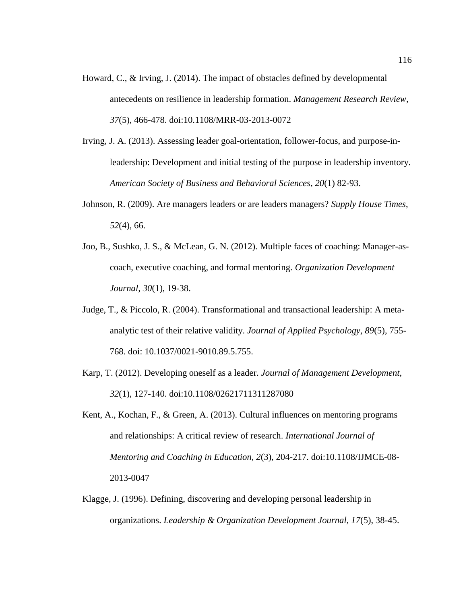- Howard, C., & Irving, J. (2014). The impact of obstacles defined by developmental antecedents on resilience in leadership formation. *Management Research Review, 37*(5), 466-478. doi:10.1108/MRR-03-2013-0072
- Irving, J. A. (2013). Assessing leader goal-orientation, follower-focus, and purpose-inleadership: Development and initial testing of the purpose in leadership inventory. *American Society of Business and Behavioral Sciences, 20*(1) 82-93.
- Johnson, R. (2009). Are managers leaders or are leaders managers? *Supply House Times*, *52*(4), 66.
- Joo, B., Sushko, J. S., & McLean, G. N. (2012). Multiple faces of coaching: Manager-ascoach, executive coaching, and formal mentoring. *Organization Development Journal, 30*(1), 19-38.
- Judge, T., & Piccolo, R. (2004). Transformational and transactional leadership: A metaanalytic test of their relative validity. *Journal of Applied Psychology, 89*(5), 755- 768. doi: 10.1037/0021-9010.89.5.755.
- Karp, T. (2012). Developing oneself as a leader. *Journal of Management Development, 32*(1), 127-140. doi:10.1108/02621711311287080
- Kent, A., Kochan, F., & Green, A. (2013). Cultural influences on mentoring programs and relationships: A critical review of research. *International Journal of Mentoring and Coaching in Education, 2*(3), 204-217. doi:10.1108/IJMCE-08- 2013-0047
- Klagge, J. (1996). Defining, discovering and developing personal leadership in organizations. *Leadership & Organization Development Journal, 17*(5), 38-45.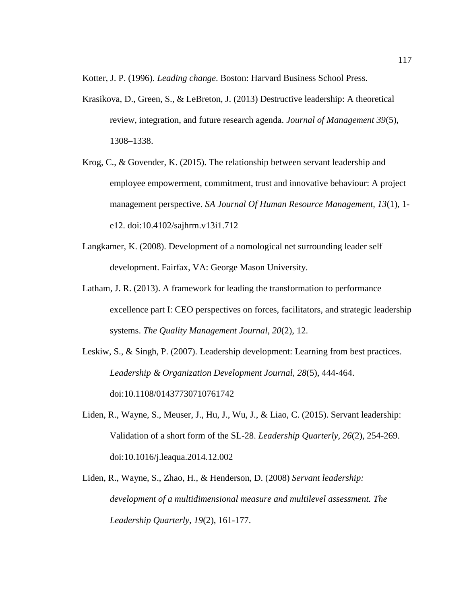Kotter, J. P. (1996). *Leading change*. Boston: Harvard Business School Press.

- Krasikova, D., Green, S., & LeBreton, J. (2013) Destructive leadership: A theoretical review, integration, and future research agenda. *Journal of Management 39*(5), 1308–1338.
- Krog, C., & Govender, K. (2015). The relationship between servant leadership and employee empowerment, commitment, trust and innovative behaviour: A project management perspective. *SA Journal Of Human Resource Management, 13*(1), 1 e12. doi:10.4102/sajhrm.v13i1.712
- Langkamer, K. (2008). Development of a nomological net surrounding leader self development. Fairfax, VA: George Mason University.
- Latham, J. R. (2013). A framework for leading the transformation to performance excellence part I: CEO perspectives on forces, facilitators, and strategic leadership systems. *The Quality Management Journal, 20*(2), 12.
- Leskiw, S., & Singh, P. (2007). Leadership development: Learning from best practices. *Leadership & Organization Development Journal, 28*(5), 444-464. doi:10.1108/01437730710761742
- Liden, R., Wayne, S., Meuser, J., Hu, J., Wu, J., & Liao, C. (2015). Servant leadership: Validation of a short form of the SL-28. *Leadership Quarterly, 26*(2), 254-269. doi:10.1016/j.leaqua.2014.12.002
- Liden, R., Wayne, S., Zhao, H., & Henderson, D. (2008) *Servant leadership: development of a multidimensional measure and multilevel assessment. The Leadership Quarterly, 19*(2), 161-177.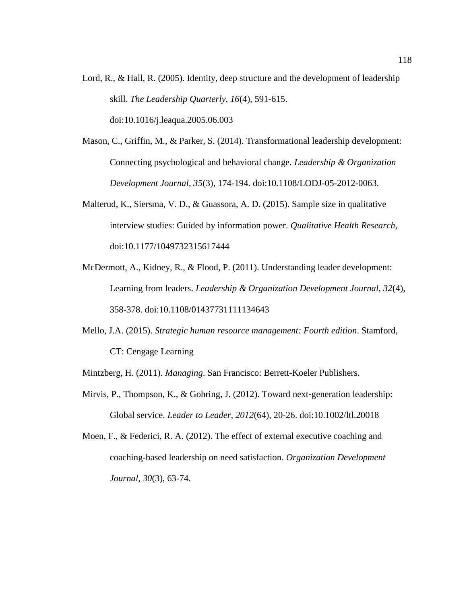- Lord, R., & Hall, R. (2005). Identity, deep structure and the development of leadership skill. *The Leadership Quarterly, 16*(4), 591-615. [doi:10.1016/j.leaqua.2005.06.003](http://dx.doi.org/10.1016/j.leaqua.2005.06.003)
- Mason, C., Griffin, M., & Parker, S. (2014). Transformational leadership development: Connecting psychological and behavioral change. *Leadership & Organization Development Journal, 35*(3), 174-194. doi:10.1108/LODJ-05-2012-0063.
- Malterud, K., Siersma, V. D., & Guassora, A. D. (2015). Sample size in qualitative interview studies: Guided by information power. *Qualitative Health Research*, doi:10.1177/1049732315617444
- McDermott, A., Kidney, R., & Flood, P. (2011). Understanding leader development: Learning from leaders. *Leadership & Organization Development Journal, 32*(4), 358-378. doi:10.1108/01437731111134643
- Mello, J.A. (2015). *Strategic human resource management: Fourth edition*. Stamford, CT: Cengage Learning

Mintzberg, H. (2011). *Managing*. San Francisco: Berrett-Koeler Publishers.

- Mirvis, P., Thompson, K., & Gohring, J. (2012). Toward next-generation leadership: Global service. *Leader to Leader, 2012*(64), 20-26. doi:10.1002/ltl.20018
- Moen, F., & Federici, R. A. (2012). The effect of external executive coaching and coaching-based leadership on need satisfaction. *Organization Development Journal, 30*(3), 63-74.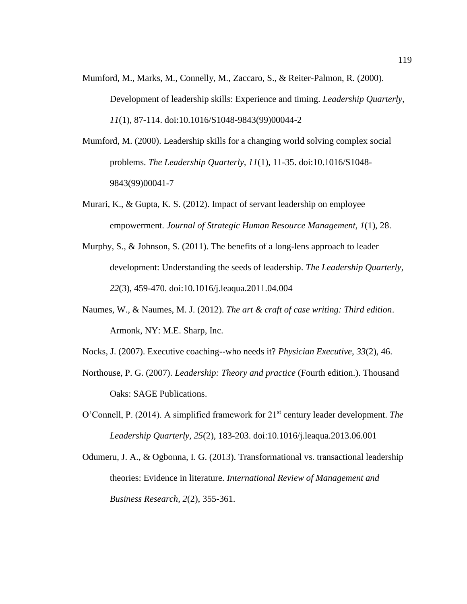- Mumford, M., Marks, M., Connelly, M., Zaccaro, S., & Reiter-Palmon, R. (2000). Development of leadership skills: Experience and timing. *Leadership Quarterly, 11*(1), 87-114. [doi:10.1016/S1048-9843\(99\)00044-2](http://dx.doi.org/10.1016/S1048-9843(99)00044-2)
- Mumford, M. (2000). Leadership skills for a changing world solving complex social problems. *The Leadership Quarterly, 11*(1), 11-35. doi:10.1016/S1048- 9843(99)00041-7
- Murari, K., & Gupta, K. S. (2012). Impact of servant leadership on employee empowerment. *Journal of Strategic Human Resource Management, 1*(1), 28.
- Murphy, S., & Johnson, S. (2011). The benefits of a long-lens approach to leader development: Understanding the seeds of leadership. *The Leadership Quarterly, 22*(3), 459-470. [doi:10.1016/j.leaqua.2011.04.004](http://dx.doi.org/10.1016/j.leaqua.2011.04.004)
- Naumes, W., & Naumes, M. J. (2012). *The art & craft of case writing: Third edition*. Armonk, NY: M.E. Sharp, Inc.
- Nocks, J. (2007). Executive coaching--who needs it? *Physician Executive*, *33*(2), 46.
- Northouse, P. G. (2007). *Leadership: Theory and practice* (Fourth edition.). Thousand Oaks: SAGE Publications.
- O'Connell, P. (2014). A simplified framework for 21st century leader development. *The Leadership Quarterly, 25*(2), 183-203. [doi:10.1016/j.leaqua.2013.06.001](http://dx.doi.org/10.1016/j.leaqua.2013.06.001)
- Odumeru, J. A., & Ogbonna, I. G. (2013). Transformational vs. transactional leadership theories: Evidence in literature. *International Review of Management and Business Research, 2*(2), 355-361.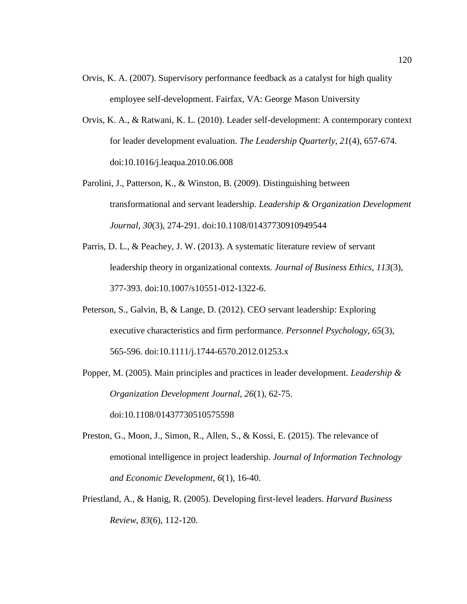- Orvis, K. A. (2007). Supervisory performance feedback as a catalyst for high quality employee self-development. Fairfax, VA: George Mason University
- Orvis, K. A., & Ratwani, K. L. (2010). Leader self-development: A contemporary context for leader development evaluation. *The Leadership Quarterly, 21*(4), 657-674. doi:10.1016/j.leaqua.2010.06.008
- Parolini, J., Patterson, K., & Winston, B. (2009). Distinguishing between transformational and servant leadership*. Leadership & Organization Development Journal, 30*(3), 274-291. doi:10.1108/01437730910949544
- Parris, D. L., & Peachey, J. W. (2013). A systematic literature review of servant leadership theory in organizational contexts. *Journal of Business Ethics, 113*(3), 377-393. doi:10.1007/s10551-012-1322-6.
- Peterson, S., Galvin, B, & Lange, D. (2012). CEO servant leadership: Exploring executive characteristics and firm performance. *Personnel Psychology, 65*(3), 565-596. doi:10.1111/j.1744-6570.2012.01253.x
- Popper, M. (2005). Main principles and practices in leader development. *Leadership & Organization Development Journal, 26*(1), 62-75. doi:10.1108/01437730510575598

Preston, G., Moon, J., Simon, R., Allen, S., & Kossi, E. (2015). The relevance of emotional intelligence in project leadership. *Journal of Information Technology* 

*and Economic Development, 6*(1), 16-40.

Priestland, A., & Hanig, R. (2005). Developing first-level leaders. *Harvard Business Review*, *83*(6), 112-120.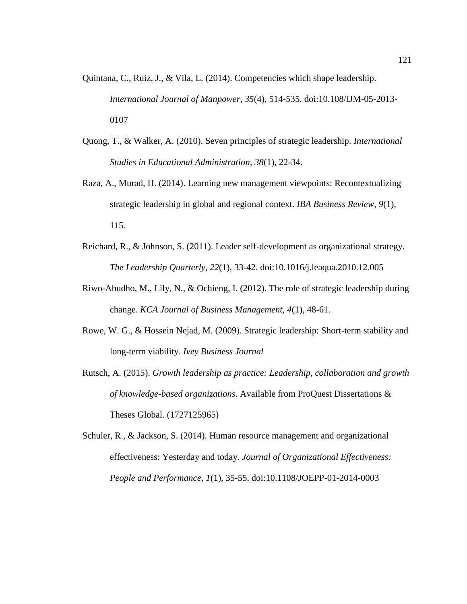- Quintana, C., Ruiz, J., & Vila, L. (2014). Competencies which shape leadership. *International Journal of Manpower, 35*(4), 514-535. doi:10.108/IJM-05-2013- 0107
- Quong, T., & Walker, A. (2010). Seven principles of strategic leadership. *International Studies in Educational Administration, 38*(1), 22-34.
- Raza, A., Murad, H. (2014). Learning new management viewpoints: Recontextualizing strategic leadership in global and regional context. *IBA Business Review, 9*(1), 115.
- Reichard, R., & Johnson, S. (2011). Leader self-development as organizational strategy. *The Leadership Quarterly, 22*(1), 33-42. doi:10.1016/j.leaqua.2010.12.005
- Riwo-Abudho, M., Lily, N., & Ochieng, I. (2012). The role of strategic leadership during change. *KCA Journal of Business Management, 4*(1), 48-61.
- Rowe, W. G., & Hossein Nejad, M. (2009). Strategic leadership: Short-term stability and long-term viability. *Ivey Business Journal*
- Rutsch, A. (2015). *Growth leadership as practice: Leadership, collaboration and growth of knowledge-based organizations*. Available from ProQuest Dissertations & Theses Global. (1727125965)
- Schuler, R., & Jackson, S. (2014). Human resource management and organizational effectiveness: Yesterday and today. *Journal of Organizational Effectiveness: People and Performance, 1*(1), 35-55. doi:10.1108/JOEPP-01-2014-0003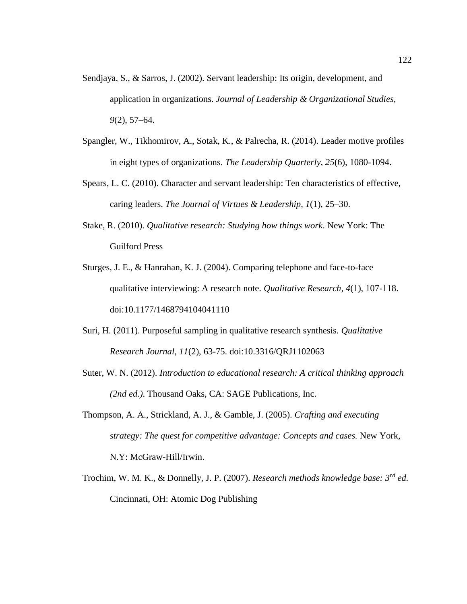- Sendjaya, S., & Sarros, J. (2002). Servant leadership: Its origin, development, and application in organizations. *Journal of Leadership & Organizational Studies, 9*(2), 57–64.
- Spangler, W., Tikhomirov, A., Sotak, K., & Palrecha, R. (2014). Leader motive profiles in eight types of organizations. *The Leadership Quarterly, 25*(6), 1080-1094.
- Spears, L. C. (2010). Character and servant leadership: Ten characteristics of effective, caring leaders. *The Journal of Virtues & Leadership, 1*(1), 25–30.
- Stake, R. (2010). *Qualitative research: Studying how things work*. New York: The Guilford Press
- Sturges, J. E., & Hanrahan, K. J. (2004). Comparing telephone and face-to-face qualitative interviewing: A research note. *Qualitative Research, 4*(1), 107-118. doi:10.1177/1468794104041110
- Suri, H. (2011). Purposeful sampling in qualitative research synthesis. *Qualitative Research Journal, 11*(2), 63-75. doi:10.3316/QRJ1102063
- Suter, W. N. (2012). *Introduction to educational research: A critical thinking approach (2nd ed.)*. Thousand Oaks, CA: SAGE Publications, Inc.
- Thompson, A. A., Strickland, A. J., & Gamble, J. (2005). *Crafting and executing strategy: The quest for competitive advantage: Concepts and cases.* New York, N.Y: McGraw-Hill/Irwin.
- Trochim, W. M. K., & Donnelly, J. P. (2007). *Research methods knowledge base: 3rd ed.* Cincinnati, OH: Atomic Dog Publishing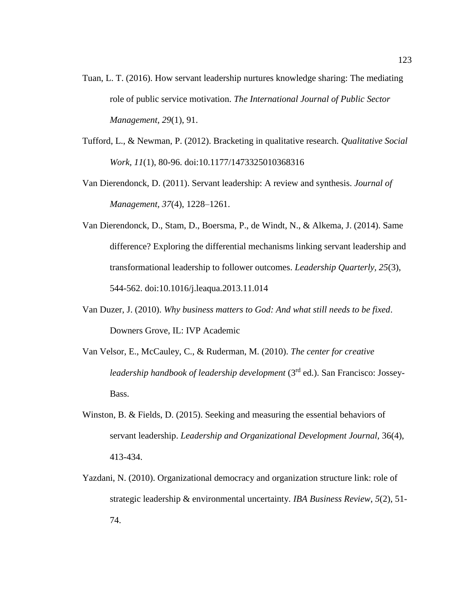- Tuan, L. T. (2016). How servant leadership nurtures knowledge sharing: The mediating role of public service motivation. *The International Journal of Public Sector Management, 29*(1), 91.
- Tufford, L., & Newman, P. (2012). Bracketing in qualitative research. *Qualitative Social Work, 11*(1), 80-96. doi:10.1177/1473325010368316
- Van Dierendonck, D. (2011). Servant leadership: A review and synthesis. *Journal of Management, 37*(4), 1228–1261.
- Van Dierendonck, D., Stam, D., Boersma, P., de Windt, N., & Alkema, J. (2014). Same difference? Exploring the differential mechanisms linking servant leadership and transformational leadership to follower outcomes. *Leadership Quarterly, 25*(3), 544-562. doi:10.1016/j.leaqua.2013.11.014
- Van Duzer, J. (2010). *Why business matters to God: And what still needs to be fixed*. Downers Grove, IL: IVP Academic
- Van Velsor, E., McCauley, C., & Ruderman, M. (2010). *The center for creative leadership handbook of leadership development* (3rd ed.). San Francisco: Jossey-Bass.
- Winston, B. & Fields, D. (2015). Seeking and measuring the essential behaviors of servant leadership. *Leadership and Organizational Development Journal,* 36(4), 413-434.
- Yazdani, N. (2010). Organizational democracy and organization structure link: role of strategic leadership & environmental uncertainty. *IBA Business Review*, *5*(2), 51- 74.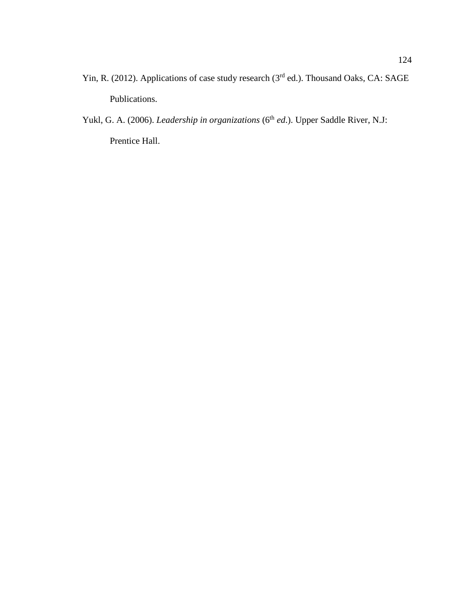- Yin, R. (2012). Applications of case study research (3<sup>rd</sup> ed.). Thousand Oaks, CA: SAGE Publications.
- Yukl, G. A. (2006). *Leadership in organizations* (6<sup>th</sup> *ed*.). Upper Saddle River, N.J: Prentice Hall.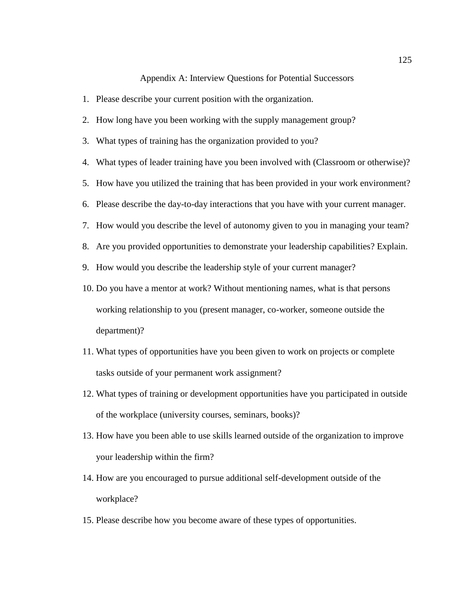## Appendix A: Interview Questions for Potential Successors

- 1. Please describe your current position with the organization. 2. How long have you been working with the supply management group? 3. What types of training has the organization provided to you? 4. What types of leader training have you been involved with (Classroom or otherwise)? 5. How have you utilized the training that has been provided in your work environment? 6. Please describe the day-to-day interactions that you have with your current manager. 7. How would you describe the level of autonomy given to you in managing your team? 8. Are you provided opportunities to demonstrate your leadership capabilities? Explain. 9. How would you describe the leadership style of your current manager? 10. Do you have a mentor at work? Without mentioning names, what is that persons working relationship to you (present manager, co-worker, someone outside the department)? 11. What types of opportunities have you been given to work on projects or complete tasks outside of your permanent work assignment?
- 12. What types of training or development opportunities have you participated in outside of the workplace (university courses, seminars, books)?
- 13. How have you been able to use skills learned outside of the organization to improve your leadership within the firm?
- 14. How are you encouraged to pursue additional self-development outside of the workplace?
- 15. Please describe how you become aware of these types of opportunities.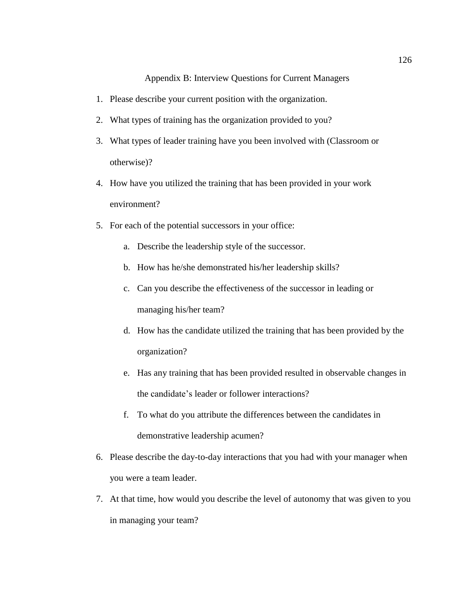Appendix B: Interview Questions for Current Managers

- 1. Please describe your current position with the organization.
- 2. What types of training has the organization provided to you?
- 3. What types of leader training have you been involved with (Classroom or otherwise)?
- 4. How have you utilized the training that has been provided in your work environment?
- 5. For each of the potential successors in your office:
	- a. Describe the leadership style of the successor.
	- b. How has he/she demonstrated his/her leadership skills?
	- c. Can you describe the effectiveness of the successor in leading or managing his/her team?
	- d. How has the candidate utilized the training that has been provided by the organization?
	- e. Has any training that has been provided resulted in observable changes in the candidate's leader or follower interactions?
	- f. To what do you attribute the differences between the candidates in demonstrative leadership acumen?
- 6. Please describe the day-to-day interactions that you had with your manager when you were a team leader.
- 7. At that time, how would you describe the level of autonomy that was given to you in managing your team?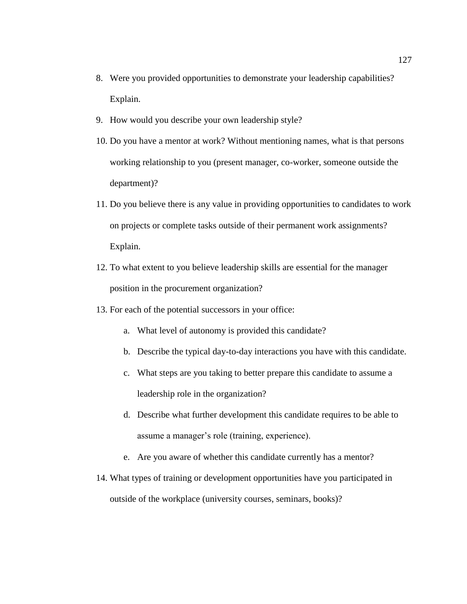- 8. Were you provided opportunities to demonstrate your leadership capabilities? Explain.
- 9. How would you describe your own leadership style?
- 10. Do you have a mentor at work? Without mentioning names, what is that persons working relationship to you (present manager, co-worker, someone outside the department)?
- 11. Do you believe there is any value in providing opportunities to candidates to work on projects or complete tasks outside of their permanent work assignments? Explain.
- 12. To what extent to you believe leadership skills are essential for the manager position in the procurement organization?
- 13. For each of the potential successors in your office:
	- a. What level of autonomy is provided this candidate?
	- b. Describe the typical day-to-day interactions you have with this candidate.
	- c. What steps are you taking to better prepare this candidate to assume a leadership role in the organization?
	- d. Describe what further development this candidate requires to be able to assume a manager's role (training, experience).
	- e. Are you aware of whether this candidate currently has a mentor?
- 14. What types of training or development opportunities have you participated in outside of the workplace (university courses, seminars, books)?